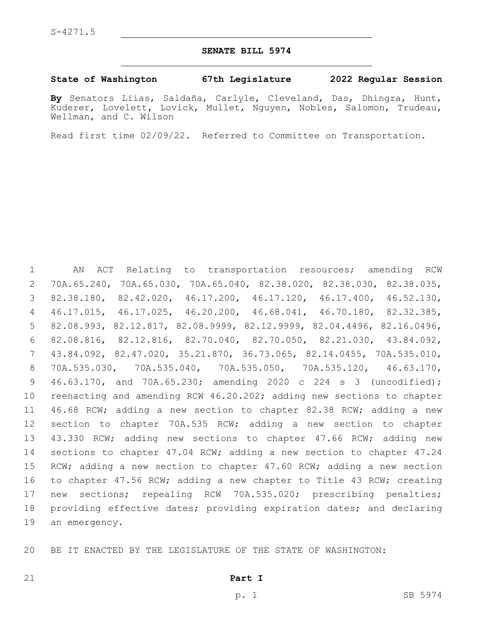### **SENATE BILL 5974**

#### **State of Washington 67th Legislature 2022 Regular Session**

**By** Senators Liias, Saldaña, Carlyle, Cleveland, Das, Dhingra, Hunt, Kuderer, Lovelett, Lovick, Mullet, Nguyen, Nobles, Salomon, Trudeau, Wellman, and C. Wilson

Read first time 02/09/22. Referred to Committee on Transportation.

 AN ACT Relating to transportation resources; amending RCW 70A.65.240, 70A.65.030, 70A.65.040, 82.38.020, 82.38.030, 82.38.035, 82.38.180, 82.42.020, 46.17.200, 46.17.120, 46.17.400, 46.52.130, 46.17.015, 46.17.025, 46.20.200, 46.68.041, 46.70.180, 82.32.385, 82.08.993, 82.12.817, 82.08.9999, 82.12.9999, 82.04.4496, 82.16.0496, 82.08.816, 82.12.816, 82.70.040, 82.70.050, 82.21.030, 43.84.092, 43.84.092, 82.47.020, 35.21.870, 36.73.065, 82.14.0455, 70A.535.010, 70A.535.030, 70A.535.040, 70A.535.050, 70A.535.120, 46.63.170, 46.63.170, and 70A.65.230; amending 2020 c 224 s 3 (uncodified); reenacting and amending RCW 46.20.202; adding new sections to chapter 46.68 RCW; adding a new section to chapter 82.38 RCW; adding a new section to chapter 70A.535 RCW; adding a new section to chapter 43.330 RCW; adding new sections to chapter 47.66 RCW; adding new sections to chapter 47.04 RCW; adding a new section to chapter 47.24 RCW; adding a new section to chapter 47.60 RCW; adding a new section to chapter 47.56 RCW; adding a new chapter to Title 43 RCW; creating new sections; repealing RCW 70A.535.020; prescribing penalties; providing effective dates; providing expiration dates; and declaring 19 an emergency.

BE IT ENACTED BY THE LEGISLATURE OF THE STATE OF WASHINGTON:

#### **Part I**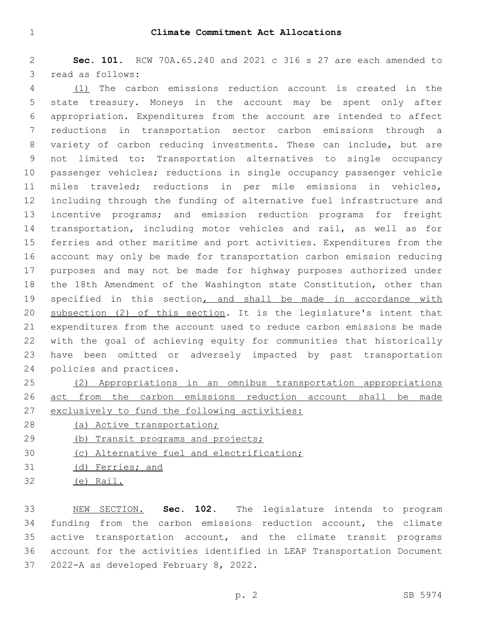**Sec. 101.** RCW 70A.65.240 and 2021 c 316 s 27 are each amended to 3 read as follows:

 (1) The carbon emissions reduction account is created in the state treasury. Moneys in the account may be spent only after appropriation. Expenditures from the account are intended to affect reductions in transportation sector carbon emissions through a variety of carbon reducing investments. These can include, but are not limited to: Transportation alternatives to single occupancy passenger vehicles; reductions in single occupancy passenger vehicle miles traveled; reductions in per mile emissions in vehicles, including through the funding of alternative fuel infrastructure and incentive programs; and emission reduction programs for freight transportation, including motor vehicles and rail, as well as for ferries and other maritime and port activities. Expenditures from the account may only be made for transportation carbon emission reducing purposes and may not be made for highway purposes authorized under the 18th Amendment of the Washington state Constitution, other than 19 specified in this section, and shall be made in accordance with subsection (2) of this section. It is the legislature's intent that expenditures from the account used to reduce carbon emissions be made with the goal of achieving equity for communities that historically have been omitted or adversely impacted by past transportation 24 policies and practices.

 (2) Appropriations in an omnibus transportation appropriations act from the carbon emissions reduction account shall be made exclusively to fund the following activities:

- (a) Active transportation;
- 29 (b) Transit programs and projects;
- (c) Alternative fuel and electrification;
- (d) Ferries; and
- (e) Rail.

 NEW SECTION. **Sec. 102.** The legislature intends to program funding from the carbon emissions reduction account, the climate active transportation account, and the climate transit programs account for the activities identified in LEAP Transportation Document 2022-A as developed February 8, 2022.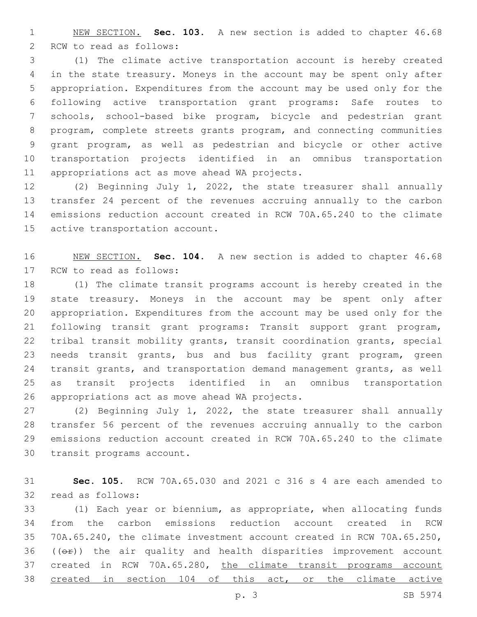NEW SECTION. **Sec. 103.** A new section is added to chapter 46.68 2 RCW to read as follows:

 (1) The climate active transportation account is hereby created in the state treasury. Moneys in the account may be spent only after appropriation. Expenditures from the account may be used only for the following active transportation grant programs: Safe routes to schools, school-based bike program, bicycle and pedestrian grant program, complete streets grants program, and connecting communities grant program, as well as pedestrian and bicycle or other active transportation projects identified in an omnibus transportation 11 appropriations act as move ahead WA projects.

 (2) Beginning July 1, 2022, the state treasurer shall annually transfer 24 percent of the revenues accruing annually to the carbon emissions reduction account created in RCW 70A.65.240 to the climate 15 active transportation account.

 NEW SECTION. **Sec. 104.** A new section is added to chapter 46.68 17 RCW to read as follows:

 (1) The climate transit programs account is hereby created in the state treasury. Moneys in the account may be spent only after appropriation. Expenditures from the account may be used only for the following transit grant programs: Transit support grant program, tribal transit mobility grants, transit coordination grants, special needs transit grants, bus and bus facility grant program, green transit grants, and transportation demand management grants, as well as transit projects identified in an omnibus transportation 26 appropriations act as move ahead WA projects.

 (2) Beginning July 1, 2022, the state treasurer shall annually transfer 56 percent of the revenues accruing annually to the carbon emissions reduction account created in RCW 70A.65.240 to the climate 30 transit programs account.

 **Sec. 105.** RCW 70A.65.030 and 2021 c 316 s 4 are each amended to 32 read as follows:

 (1) Each year or biennium, as appropriate, when allocating funds from the carbon emissions reduction account created in RCW 70A.65.240, the climate investment account created in RCW 70A.65.250, (( $\Theta$ )) the air quality and health disparities improvement account created in RCW 70A.65.280, the climate transit programs account 38 created in section 104 of this act, or the climate active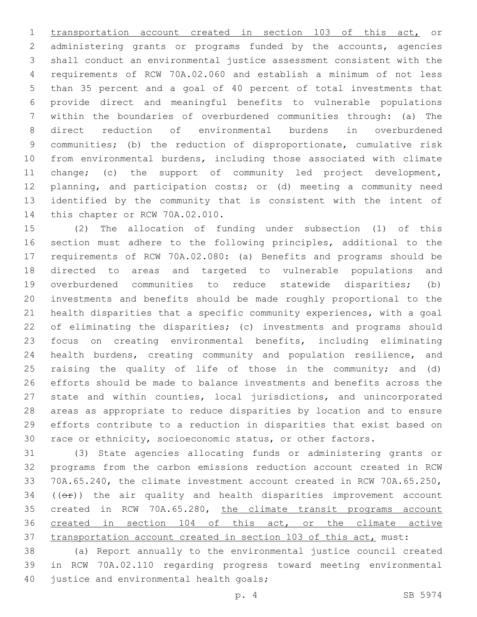transportation account created in section 103 of this act, or administering grants or programs funded by the accounts, agencies shall conduct an environmental justice assessment consistent with the requirements of RCW 70A.02.060 and establish a minimum of not less than 35 percent and a goal of 40 percent of total investments that provide direct and meaningful benefits to vulnerable populations within the boundaries of overburdened communities through: (a) The direct reduction of environmental burdens in overburdened communities; (b) the reduction of disproportionate, cumulative risk from environmental burdens, including those associated with climate change; (c) the support of community led project development, planning, and participation costs; or (d) meeting a community need identified by the community that is consistent with the intent of 14 this chapter or RCW 70A.02.010.

 (2) The allocation of funding under subsection (1) of this section must adhere to the following principles, additional to the requirements of RCW 70A.02.080: (a) Benefits and programs should be directed to areas and targeted to vulnerable populations and overburdened communities to reduce statewide disparities; (b) investments and benefits should be made roughly proportional to the health disparities that a specific community experiences, with a goal of eliminating the disparities; (c) investments and programs should focus on creating environmental benefits, including eliminating health burdens, creating community and population resilience, and raising the quality of life of those in the community; and (d) efforts should be made to balance investments and benefits across the state and within counties, local jurisdictions, and unincorporated areas as appropriate to reduce disparities by location and to ensure efforts contribute to a reduction in disparities that exist based on race or ethnicity, socioeconomic status, or other factors.

 (3) State agencies allocating funds or administering grants or programs from the carbon emissions reduction account created in RCW 70A.65.240, the climate investment account created in RCW 70A.65.250, (( $\Theta$ )) the air quality and health disparities improvement account 35 created in RCW 70A.65.280, the climate transit programs account 36 created in section 104 of this act, or the climate active transportation account created in section 103 of this act, must:

 (a) Report annually to the environmental justice council created in RCW 70A.02.110 regarding progress toward meeting environmental 40 justice and environmental health goals;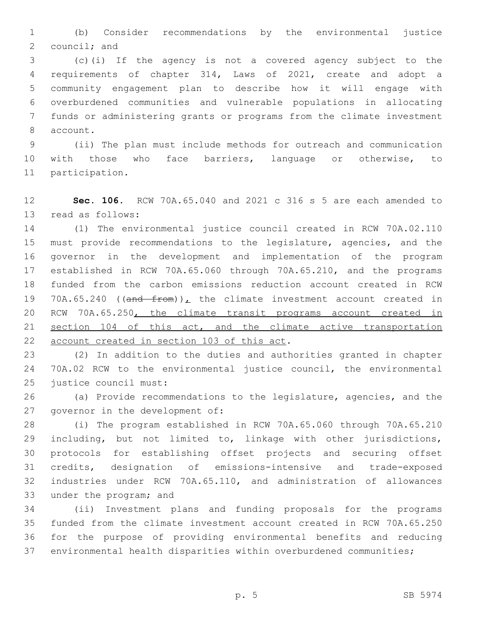(b) Consider recommendations by the environmental justice council; and

 (c)(i) If the agency is not a covered agency subject to the requirements of chapter 314, Laws of 2021, create and adopt a community engagement plan to describe how it will engage with overburdened communities and vulnerable populations in allocating funds or administering grants or programs from the climate investment 8 account.

 (ii) The plan must include methods for outreach and communication with those who face barriers, language or otherwise, to 11 participation.

 **Sec. 106.** RCW 70A.65.040 and 2021 c 316 s 5 are each amended to 13 read as follows:

 (1) The environmental justice council created in RCW 70A.02.110 must provide recommendations to the legislature, agencies, and the governor in the development and implementation of the program established in RCW 70A.65.060 through 70A.65.210, and the programs funded from the carbon emissions reduction account created in RCW 19 70A.65.240 (( $\frac{10}{2}$  from))<sub>L</sub> the climate investment account created in RCW 70A.65.250, the climate transit programs account created in 21 section 104 of this act, and the climate active transportation 22 account created in section 103 of this act.

 (2) In addition to the duties and authorities granted in chapter 70A.02 RCW to the environmental justice council, the environmental 25 justice council must:

 (a) Provide recommendations to the legislature, agencies, and the 27 governor in the development of:

 (i) The program established in RCW 70A.65.060 through 70A.65.210 including, but not limited to, linkage with other jurisdictions, protocols for establishing offset projects and securing offset credits, designation of emissions-intensive and trade-exposed industries under RCW 70A.65.110, and administration of allowances 33 under the program; and

 (ii) Investment plans and funding proposals for the programs funded from the climate investment account created in RCW 70A.65.250 for the purpose of providing environmental benefits and reducing environmental health disparities within overburdened communities;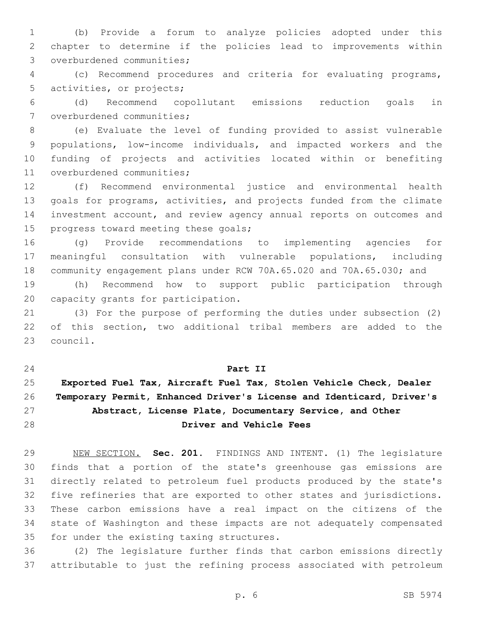(b) Provide a forum to analyze policies adopted under this chapter to determine if the policies lead to improvements within 3 overburdened communities;

 (c) Recommend procedures and criteria for evaluating programs, 5 activities, or projects;

 (d) Recommend copollutant emissions reduction goals in 7 overburdened communities;

 (e) Evaluate the level of funding provided to assist vulnerable populations, low-income individuals, and impacted workers and the funding of projects and activities located within or benefiting 11 overburdened communities;

 (f) Recommend environmental justice and environmental health goals for programs, activities, and projects funded from the climate investment account, and review agency annual reports on outcomes and 15 progress toward meeting these goals;

 (g) Provide recommendations to implementing agencies for meaningful consultation with vulnerable populations, including community engagement plans under RCW 70A.65.020 and 70A.65.030; and

 (h) Recommend how to support public participation through 20 capacity grants for participation.

 (3) For the purpose of performing the duties under subsection (2) of this section, two additional tribal members are added to the 23 council.

## **Part II**

# **Exported Fuel Tax, Aircraft Fuel Tax, Stolen Vehicle Check, Dealer Temporary Permit, Enhanced Driver's License and Identicard, Driver's Abstract, License Plate, Documentary Service, and Other Driver and Vehicle Fees**

 NEW SECTION. **Sec. 201.** FINDINGS AND INTENT. (1) The legislature finds that a portion of the state's greenhouse gas emissions are directly related to petroleum fuel products produced by the state's five refineries that are exported to other states and jurisdictions. These carbon emissions have a real impact on the citizens of the state of Washington and these impacts are not adequately compensated for under the existing taxing structures.

 (2) The legislature further finds that carbon emissions directly attributable to just the refining process associated with petroleum

p. 6 SB 5974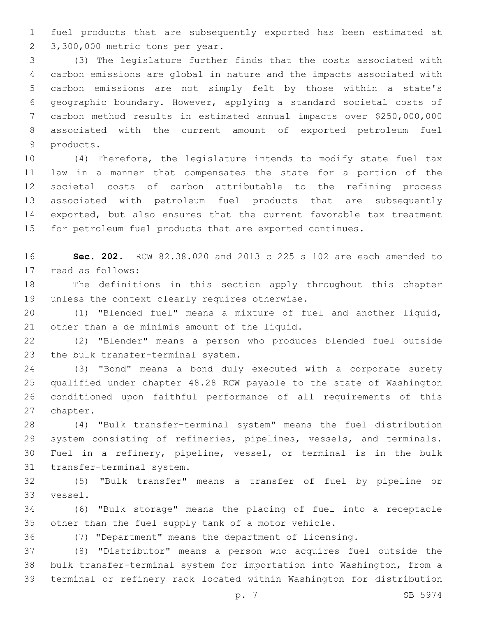fuel products that are subsequently exported has been estimated at 2 3,300,000 metric tons per year.

 (3) The legislature further finds that the costs associated with carbon emissions are global in nature and the impacts associated with carbon emissions are not simply felt by those within a state's geographic boundary. However, applying a standard societal costs of carbon method results in estimated annual impacts over \$250,000,000 associated with the current amount of exported petroleum fuel 9 products.

 (4) Therefore, the legislature intends to modify state fuel tax law in a manner that compensates the state for a portion of the societal costs of carbon attributable to the refining process associated with petroleum fuel products that are subsequently exported, but also ensures that the current favorable tax treatment for petroleum fuel products that are exported continues.

 **Sec. 202.** RCW 82.38.020 and 2013 c 225 s 102 are each amended to 17 read as follows:

 The definitions in this section apply throughout this chapter 19 unless the context clearly requires otherwise.

 (1) "Blended fuel" means a mixture of fuel and another liquid, 21 other than a de minimis amount of the liquid.

 (2) "Blender" means a person who produces blended fuel outside 23 the bulk transfer-terminal system.

 (3) "Bond" means a bond duly executed with a corporate surety qualified under chapter 48.28 RCW payable to the state of Washington conditioned upon faithful performance of all requirements of this 27 chapter.

 (4) "Bulk transfer-terminal system" means the fuel distribution system consisting of refineries, pipelines, vessels, and terminals. Fuel in a refinery, pipeline, vessel, or terminal is in the bulk 31 transfer-terminal system.

 (5) "Bulk transfer" means a transfer of fuel by pipeline or 33 vessel.

 (6) "Bulk storage" means the placing of fuel into a receptacle other than the fuel supply tank of a motor vehicle.

(7) "Department" means the department of licensing.

 (8) "Distributor" means a person who acquires fuel outside the bulk transfer-terminal system for importation into Washington, from a terminal or refinery rack located within Washington for distribution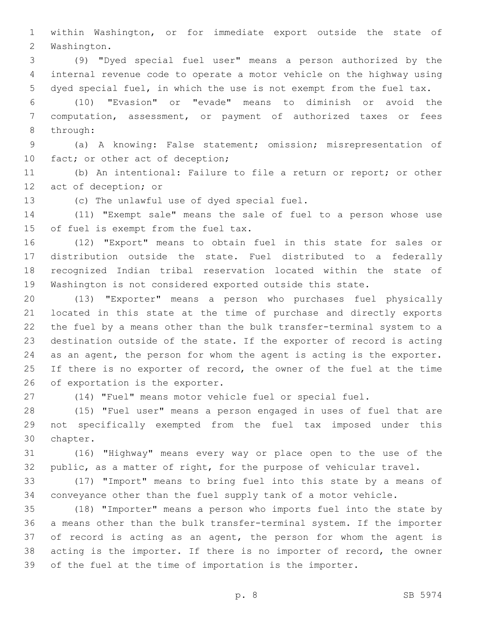within Washington, or for immediate export outside the state of 2 Washington.

 (9) "Dyed special fuel user" means a person authorized by the internal revenue code to operate a motor vehicle on the highway using dyed special fuel, in which the use is not exempt from the fuel tax.

 (10) "Evasion" or "evade" means to diminish or avoid the computation, assessment, or payment of authorized taxes or fees 8 through:

 (a) A knowing: False statement; omission; misrepresentation of 10 fact; or other act of deception;

 (b) An intentional: Failure to file a return or report; or other 12 act of deception; or

13 (c) The unlawful use of dyed special fuel.

 (11) "Exempt sale" means the sale of fuel to a person whose use 15 of fuel is exempt from the fuel tax.

 (12) "Export" means to obtain fuel in this state for sales or distribution outside the state. Fuel distributed to a federally recognized Indian tribal reservation located within the state of Washington is not considered exported outside this state.

 (13) "Exporter" means a person who purchases fuel physically located in this state at the time of purchase and directly exports the fuel by a means other than the bulk transfer-terminal system to a destination outside of the state. If the exporter of record is acting as an agent, the person for whom the agent is acting is the exporter. 25 If there is no exporter of record, the owner of the fuel at the time 26 of exportation is the exporter.

(14) "Fuel" means motor vehicle fuel or special fuel.

 (15) "Fuel user" means a person engaged in uses of fuel that are not specifically exempted from the fuel tax imposed under this 30 chapter.

 (16) "Highway" means every way or place open to the use of the public, as a matter of right, for the purpose of vehicular travel.

 (17) "Import" means to bring fuel into this state by a means of conveyance other than the fuel supply tank of a motor vehicle.

 (18) "Importer" means a person who imports fuel into the state by a means other than the bulk transfer-terminal system. If the importer of record is acting as an agent, the person for whom the agent is acting is the importer. If there is no importer of record, the owner of the fuel at the time of importation is the importer.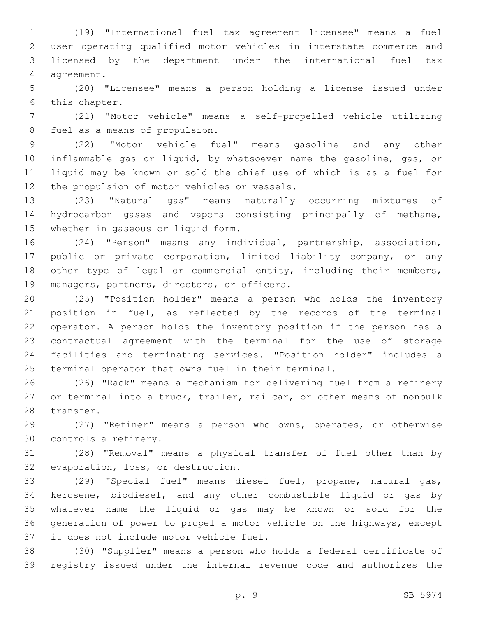(19) "International fuel tax agreement licensee" means a fuel user operating qualified motor vehicles in interstate commerce and licensed by the department under the international fuel tax 4 agreement.

 (20) "Licensee" means a person holding a license issued under 6 this chapter.

 (21) "Motor vehicle" means a self-propelled vehicle utilizing 8 fuel as a means of propulsion.

 (22) "Motor vehicle fuel" means gasoline and any other inflammable gas or liquid, by whatsoever name the gasoline, gas, or liquid may be known or sold the chief use of which is as a fuel for 12 the propulsion of motor vehicles or vessels.

 (23) "Natural gas" means naturally occurring mixtures of hydrocarbon gases and vapors consisting principally of methane, 15 whether in gaseous or liquid form.

 (24) "Person" means any individual, partnership, association, public or private corporation, limited liability company, or any 18 other type of legal or commercial entity, including their members, 19 managers, partners, directors, or officers.

 (25) "Position holder" means a person who holds the inventory position in fuel, as reflected by the records of the terminal operator. A person holds the inventory position if the person has a contractual agreement with the terminal for the use of storage facilities and terminating services. "Position holder" includes a terminal operator that owns fuel in their terminal.

 (26) "Rack" means a mechanism for delivering fuel from a refinery or terminal into a truck, trailer, railcar, or other means of nonbulk 28 transfer.

 (27) "Refiner" means a person who owns, operates, or otherwise 30 controls a refinery.

 (28) "Removal" means a physical transfer of fuel other than by 32 evaporation, loss, or destruction.

 (29) "Special fuel" means diesel fuel, propane, natural gas, kerosene, biodiesel, and any other combustible liquid or gas by whatever name the liquid or gas may be known or sold for the generation of power to propel a motor vehicle on the highways, except 37 it does not include motor vehicle fuel.

 (30) "Supplier" means a person who holds a federal certificate of registry issued under the internal revenue code and authorizes the

p. 9 SB 5974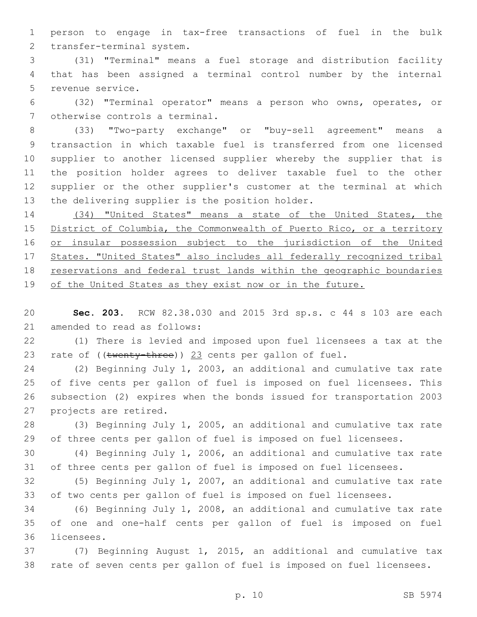person to engage in tax-free transactions of fuel in the bulk 2 transfer-terminal system.

 (31) "Terminal" means a fuel storage and distribution facility that has been assigned a terminal control number by the internal 5 revenue service.

 (32) "Terminal operator" means a person who owns, operates, or 7 otherwise controls a terminal.

 (33) "Two-party exchange" or "buy-sell agreement" means a transaction in which taxable fuel is transferred from one licensed supplier to another licensed supplier whereby the supplier that is the position holder agrees to deliver taxable fuel to the other supplier or the other supplier's customer at the terminal at which 13 the delivering supplier is the position holder.

 (34) "United States" means a state of the United States, the District of Columbia, the Commonwealth of Puerto Rico, or a territory 16 or insular possession subject to the jurisdiction of the United States. "United States" also includes all federally recognized tribal 18 reservations and federal trust lands within the geographic boundaries of the United States as they exist now or in the future.

 **Sec. 203.** RCW 82.38.030 and 2015 3rd sp.s. c 44 s 103 are each 21 amended to read as follows:

 (1) There is levied and imposed upon fuel licensees a tax at the 23 rate of ((twenty-three)) 23 cents per gallon of fuel.

 (2) Beginning July 1, 2003, an additional and cumulative tax rate of five cents per gallon of fuel is imposed on fuel licensees. This subsection (2) expires when the bonds issued for transportation 2003 27 projects are retired.

 (3) Beginning July 1, 2005, an additional and cumulative tax rate of three cents per gallon of fuel is imposed on fuel licensees.

 (4) Beginning July 1, 2006, an additional and cumulative tax rate of three cents per gallon of fuel is imposed on fuel licensees.

 (5) Beginning July 1, 2007, an additional and cumulative tax rate of two cents per gallon of fuel is imposed on fuel licensees.

 (6) Beginning July 1, 2008, an additional and cumulative tax rate of one and one-half cents per gallon of fuel is imposed on fuel 36 licensees.

 (7) Beginning August 1, 2015, an additional and cumulative tax rate of seven cents per gallon of fuel is imposed on fuel licensees.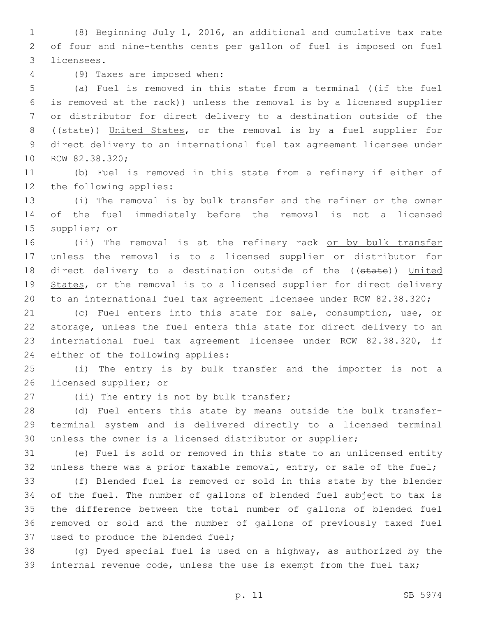(8) Beginning July 1, 2016, an additional and cumulative tax rate of four and nine-tenths cents per gallon of fuel is imposed on fuel 3 licensees.

(9) Taxes are imposed when:4

5 (a) Fuel is removed in this state from a terminal ((if the fuel is removed at the rack)) unless the removal is by a licensed supplier or distributor for direct delivery to a destination outside of the ((state)) United States, or the removal is by a fuel supplier for direct delivery to an international fuel tax agreement licensee under 10 RCW 82.38.320;

 (b) Fuel is removed in this state from a refinery if either of 12 the following applies:

 (i) The removal is by bulk transfer and the refiner or the owner of the fuel immediately before the removal is not a licensed 15 supplier; or

16 (ii) The removal is at the refinery rack or by bulk transfer unless the removal is to a licensed supplier or distributor for 18 direct delivery to a destination outside of the ((state)) United 19 States, or the removal is to a licensed supplier for direct delivery to an international fuel tax agreement licensee under RCW 82.38.320;

 (c) Fuel enters into this state for sale, consumption, use, or storage, unless the fuel enters this state for direct delivery to an international fuel tax agreement licensee under RCW 82.38.320, if 24 either of the following applies:

 (i) The entry is by bulk transfer and the importer is not a 26 licensed supplier; or

27 (ii) The entry is not by bulk transfer;

 (d) Fuel enters this state by means outside the bulk transfer- terminal system and is delivered directly to a licensed terminal unless the owner is a licensed distributor or supplier;

 (e) Fuel is sold or removed in this state to an unlicensed entity 32 unless there was a prior taxable removal, entry, or sale of the fuel;

 (f) Blended fuel is removed or sold in this state by the blender of the fuel. The number of gallons of blended fuel subject to tax is the difference between the total number of gallons of blended fuel removed or sold and the number of gallons of previously taxed fuel 37 used to produce the blended fuel;

 (g) Dyed special fuel is used on a highway, as authorized by the internal revenue code, unless the use is exempt from the fuel tax;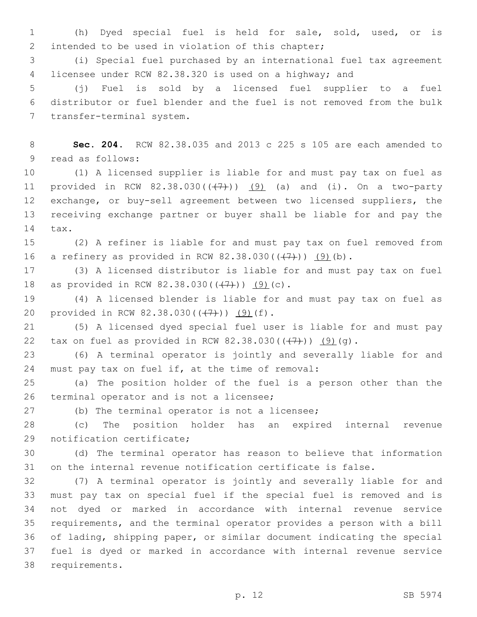(h) Dyed special fuel is held for sale, sold, used, or is 2 intended to be used in violation of this chapter;

 (i) Special fuel purchased by an international fuel tax agreement licensee under RCW 82.38.320 is used on a highway; and

 (j) Fuel is sold by a licensed fuel supplier to a fuel distributor or fuel blender and the fuel is not removed from the bulk 7 transfer-terminal system.

 **Sec. 204.** RCW 82.38.035 and 2013 c 225 s 105 are each amended to 9 read as follows:

 (1) A licensed supplier is liable for and must pay tax on fuel as 11 provided in RCW  $82.38.030((+7))$   $(9)$  (a) and (i). On a two-party exchange, or buy-sell agreement between two licensed suppliers, the receiving exchange partner or buyer shall be liable for and pay the 14 tax.

 (2) A refiner is liable for and must pay tax on fuel removed from 16 a refinery as provided in RCW  $82.38.030((\frac{7}{7}))$   $(9)(b)$ .

 (3) A licensed distributor is liable for and must pay tax on fuel 18 as provided in RCW 82.38.030( $(\frac{7}{7})$ ) (9)(c).

 (4) A licensed blender is liable for and must pay tax on fuel as 20 provided in RCW  $82.38.030((+7))$   $(9)(f)$ .

 (5) A licensed dyed special fuel user is liable for and must pay 22 tax on fuel as provided in RCW  $82.38.030((\frac{17}{1}))$   $(9)(q)$ .

 (6) A terminal operator is jointly and severally liable for and 24 must pay tax on fuel if, at the time of removal:

 (a) The position holder of the fuel is a person other than the 26 terminal operator and is not a licensee;

27 (b) The terminal operator is not a licensee;

 (c) The position holder has an expired internal revenue 29 notification certificate;

 (d) The terminal operator has reason to believe that information on the internal revenue notification certificate is false.

 (7) A terminal operator is jointly and severally liable for and must pay tax on special fuel if the special fuel is removed and is not dyed or marked in accordance with internal revenue service requirements, and the terminal operator provides a person with a bill of lading, shipping paper, or similar document indicating the special fuel is dyed or marked in accordance with internal revenue service 38 requirements.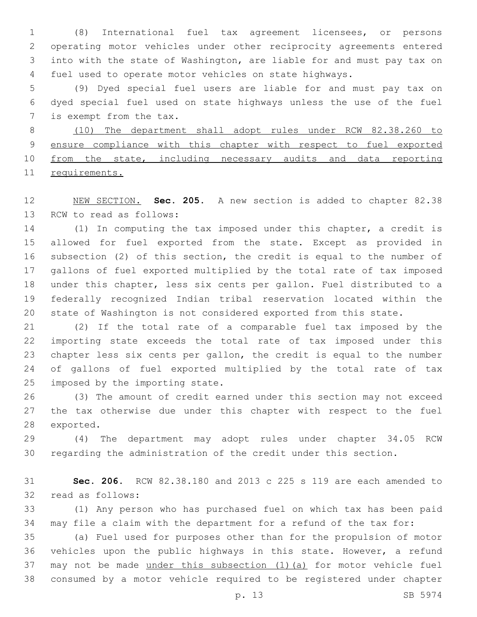(8) International fuel tax agreement licensees, or persons operating motor vehicles under other reciprocity agreements entered into with the state of Washington, are liable for and must pay tax on fuel used to operate motor vehicles on state highways.

 (9) Dyed special fuel users are liable for and must pay tax on dyed special fuel used on state highways unless the use of the fuel 7 is exempt from the tax.

 (10) The department shall adopt rules under RCW 82.38.260 to 9 ensure compliance with this chapter with respect to fuel exported from the state, including necessary audits and data reporting requirements.

 NEW SECTION. **Sec. 205.** A new section is added to chapter 82.38 13 RCW to read as follows:

 (1) In computing the tax imposed under this chapter, a credit is allowed for fuel exported from the state. Except as provided in subsection (2) of this section, the credit is equal to the number of gallons of fuel exported multiplied by the total rate of tax imposed under this chapter, less six cents per gallon. Fuel distributed to a federally recognized Indian tribal reservation located within the state of Washington is not considered exported from this state.

 (2) If the total rate of a comparable fuel tax imposed by the importing state exceeds the total rate of tax imposed under this chapter less six cents per gallon, the credit is equal to the number of gallons of fuel exported multiplied by the total rate of tax 25 imposed by the importing state.

 (3) The amount of credit earned under this section may not exceed the tax otherwise due under this chapter with respect to the fuel 28 exported.

 (4) The department may adopt rules under chapter 34.05 RCW regarding the administration of the credit under this section.

 **Sec. 206.** RCW 82.38.180 and 2013 c 225 s 119 are each amended to 32 read as follows:

 (1) Any person who has purchased fuel on which tax has been paid may file a claim with the department for a refund of the tax for:

 (a) Fuel used for purposes other than for the propulsion of motor vehicles upon the public highways in this state. However, a refund may not be made under this subsection (1)(a) for motor vehicle fuel consumed by a motor vehicle required to be registered under chapter

p. 13 SB 5974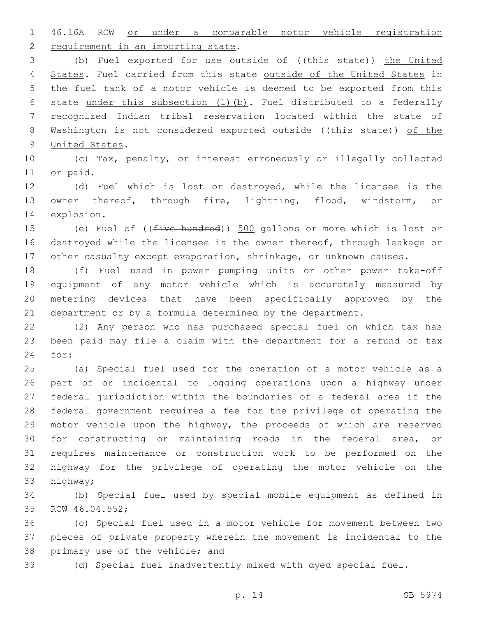46.16A RCW or under a comparable motor vehicle registration 2 requirement in an importing state.

3 (b) Fuel exported for use outside of ((this state)) the United 4 States. Fuel carried from this state outside of the United States in the fuel tank of a motor vehicle is deemed to be exported from this state under this subsection (1)(b). Fuel distributed to a federally recognized Indian tribal reservation located within the state of 8 Washington is not considered exported outside ((this state)) of the 9 United States.

 (c) Tax, penalty, or interest erroneously or illegally collected 11 or paid.

 (d) Fuel which is lost or destroyed, while the licensee is the owner thereof, through fire, lightning, flood, windstorm, or 14 explosion.

15 (e) Fuel of ((five hundred)) 500 gallons or more which is lost or destroyed while the licensee is the owner thereof, through leakage or other casualty except evaporation, shrinkage, or unknown causes.

 (f) Fuel used in power pumping units or other power take-off equipment of any motor vehicle which is accurately measured by metering devices that have been specifically approved by the department or by a formula determined by the department.

 (2) Any person who has purchased special fuel on which tax has been paid may file a claim with the department for a refund of tax 24 for:

 (a) Special fuel used for the operation of a motor vehicle as a part of or incidental to logging operations upon a highway under federal jurisdiction within the boundaries of a federal area if the federal government requires a fee for the privilege of operating the motor vehicle upon the highway, the proceeds of which are reserved for constructing or maintaining roads in the federal area, or requires maintenance or construction work to be performed on the highway for the privilege of operating the motor vehicle on the 33 highway;

 (b) Special fuel used by special mobile equipment as defined in 35 RCW 46.04.552;

 (c) Special fuel used in a motor vehicle for movement between two pieces of private property wherein the movement is incidental to the 38 primary use of the vehicle; and

(d) Special fuel inadvertently mixed with dyed special fuel.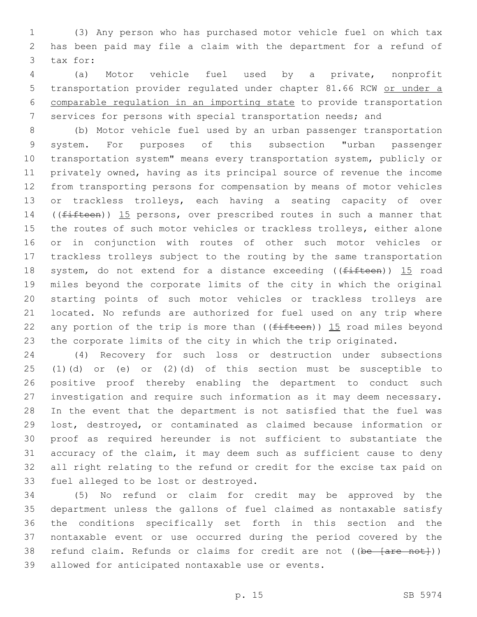(3) Any person who has purchased motor vehicle fuel on which tax has been paid may file a claim with the department for a refund of 3 tax for:

 (a) Motor vehicle fuel used by a private, nonprofit transportation provider regulated under chapter 81.66 RCW or under a comparable regulation in an importing state to provide transportation services for persons with special transportation needs; and

 (b) Motor vehicle fuel used by an urban passenger transportation system. For purposes of this subsection "urban passenger transportation system" means every transportation system, publicly or privately owned, having as its principal source of revenue the income from transporting persons for compensation by means of motor vehicles or trackless trolleys, each having a seating capacity of over 14 ((fifteen)) 15 persons, over prescribed routes in such a manner that the routes of such motor vehicles or trackless trolleys, either alone or in conjunction with routes of other such motor vehicles or trackless trolleys subject to the routing by the same transportation 18 system, do not extend for a distance exceeding ((fifteen)) 15 road miles beyond the corporate limits of the city in which the original starting points of such motor vehicles or trackless trolleys are located. No refunds are authorized for fuel used on any trip where 22 any portion of the trip is more than  $($  ( $f$ ifteen)) 15 road miles beyond the corporate limits of the city in which the trip originated.

 (4) Recovery for such loss or destruction under subsections (1)(d) or (e) or (2)(d) of this section must be susceptible to positive proof thereby enabling the department to conduct such investigation and require such information as it may deem necessary. In the event that the department is not satisfied that the fuel was lost, destroyed, or contaminated as claimed because information or proof as required hereunder is not sufficient to substantiate the accuracy of the claim, it may deem such as sufficient cause to deny all right relating to the refund or credit for the excise tax paid on 33 fuel alleged to be lost or destroyed.

 (5) No refund or claim for credit may be approved by the department unless the gallons of fuel claimed as nontaxable satisfy the conditions specifically set forth in this section and the nontaxable event or use occurred during the period covered by the 38 refund claim. Refunds or claims for credit are not ((be [are not])) 39 allowed for anticipated nontaxable use or events.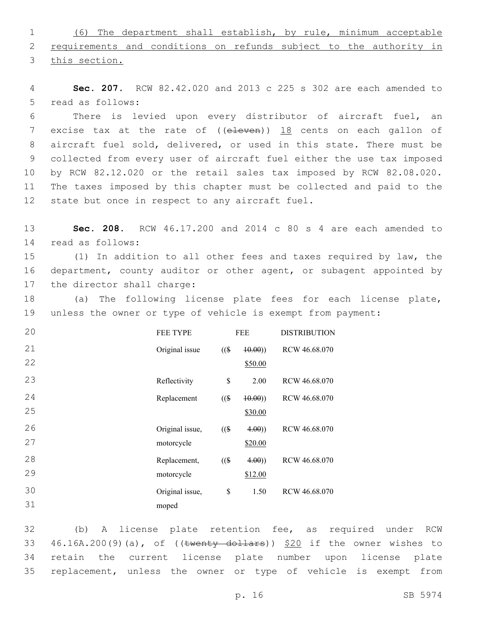1 (6) The department shall establish, by rule, minimum acceptable 2 requirements and conditions on refunds subject to the authority in 3 this section.

4 **Sec. 207.** RCW 82.42.020 and 2013 c 225 s 302 are each amended to 5 read as follows:

 There is levied upon every distributor of aircraft fuel, an 7 excise tax at the rate of ((eleven)) 18 cents on each gallon of aircraft fuel sold, delivered, or used in this state. There must be collected from every user of aircraft fuel either the use tax imposed by RCW 82.12.020 or the retail sales tax imposed by RCW 82.08.020. The taxes imposed by this chapter must be collected and paid to the 12 state but once in respect to any aircraft fuel.

13 **Sec. 208.** RCW 46.17.200 and 2014 c 80 s 4 are each amended to read as follows:14

15 (1) In addition to all other fees and taxes required by law, the 16 department, county auditor or other agent, or subagent appointed by 17 the director shall charge:

18 (a) The following license plate fees for each license plate, 19 unless the owner or type of vehicle is exempt from payment:

| 20 | <b>FEE TYPE</b> | <b>FEE</b> |         | <b>DISTRIBUTION</b> |
|----|-----------------|------------|---------|---------------------|
| 21 | Original issue  | $($ (\$    | (40.00) | RCW 46.68.070       |
| 22 |                 |            | \$50.00 |                     |
| 23 | Reflectivity    | \$         | 2.00    | RCW 46.68.070       |
| 24 | Replacement     | $($ (\$)   | (10.00) | RCW 46.68.070       |
| 25 |                 |            | \$30.00 |                     |
| 26 | Original issue, | $($ (\$    | 4.00)   | RCW 46.68.070       |
| 27 | motorcycle      |            | \$20.00 |                     |
| 28 | Replacement,    | $($ (\$)   | 4.00)   | RCW 46.68.070       |
| 29 | motorcycle      |            | \$12.00 |                     |
| 30 | Original issue, | \$         | 1.50    | RCW 46.68.070       |
| 31 | moped           |            |         |                     |

 (b) A license plate retention fee, as required under RCW  $46.16A.200(9)(a)$ , of ((twenty dollars))  $$20$  if the owner wishes to retain the current license plate number upon license plate replacement, unless the owner or type of vehicle is exempt from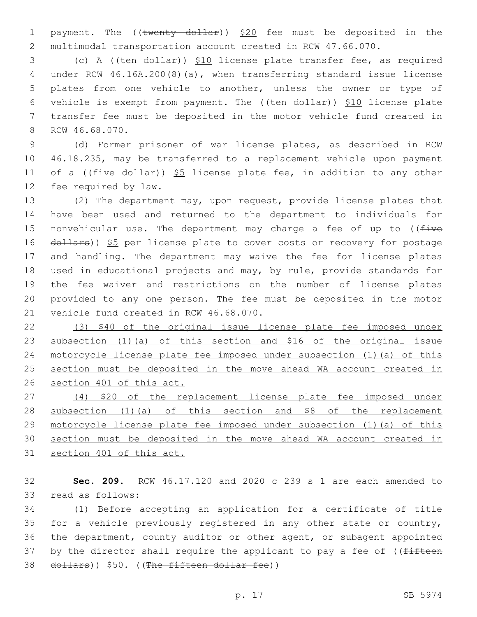1 payment. The ((twenty dollar)) \$20 fee must be deposited in the multimodal transportation account created in RCW 47.66.070.

 (c) A ((ten dollar)) \$10 license plate transfer fee, as required under RCW 46.16A.200(8)(a), when transferring standard issue license plates from one vehicle to another, unless the owner or type of 6 vehicle is exempt from payment. The  $((ten - dollar))$  \$10 license plate transfer fee must be deposited in the motor vehicle fund created in 8 RCW 46.68.070.

 (d) Former prisoner of war license plates, as described in RCW 46.18.235, may be transferred to a replacement vehicle upon payment 11 of a ( $(five-dollar)$ ) \$5 license plate fee, in addition to any other 12 fee required by law.

 (2) The department may, upon request, provide license plates that have been used and returned to the department to individuals for 15 nonvehicular use. The department may charge a fee of up to  $($  ( $\pm i$ ve 16 dollars)) \$5 per license plate to cover costs or recovery for postage and handling. The department may waive the fee for license plates used in educational projects and may, by rule, provide standards for the fee waiver and restrictions on the number of license plates provided to any one person. The fee must be deposited in the motor 21 vehicle fund created in RCW 46.68.070.

 (3) \$40 of the original issue license plate fee imposed under subsection (1)(a) of this section and \$16 of the original issue motorcycle license plate fee imposed under subsection (1)(a) of this 25 section must be deposited in the move ahead WA account created in section 401 of this act.

 (4) \$20 of the replacement license plate fee imposed under 28 subsection (1) (a) of this section and \$8 of the replacement motorcycle license plate fee imposed under subsection (1)(a) of this section must be deposited in the move ahead WA account created in section 401 of this act.

 **Sec. 209.** RCW 46.17.120 and 2020 c 239 s 1 are each amended to 33 read as follows:

 (1) Before accepting an application for a certificate of title for a vehicle previously registered in any other state or country, the department, county auditor or other agent, or subagent appointed 37 by the director shall require the applicant to pay a fee of ((fifteen 38 dollars)) \$50. ((The fifteen dollar fee))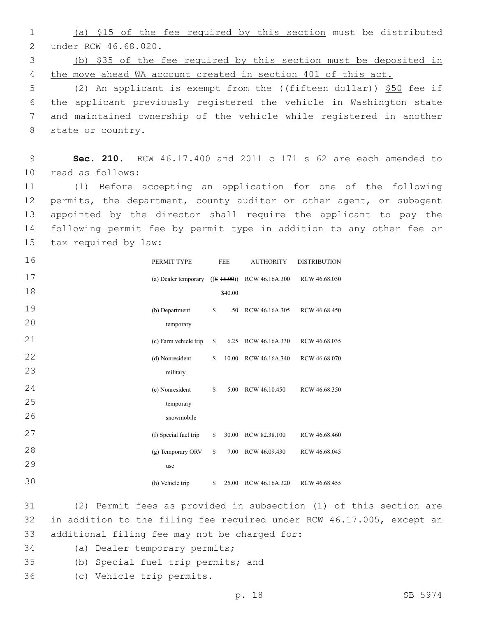1 (a) \$15 of the fee required by this section must be distributed 2 under RCW 46.68.020.

3 (b) \$35 of the fee required by this section must be deposited in 4 the move ahead WA account created in section 401 of this act.

5 (2) An applicant is exempt from the ((fifteen dollar)) \$50 fee if 6 the applicant previously registered the vehicle in Washington state 7 and maintained ownership of the vehicle while registered in another 8 state or country.

9 **Sec. 210.** RCW 46.17.400 and 2011 c 171 s 62 are each amended to 10 read as follows:

 (1) Before accepting an application for one of the following permits, the department, county auditor or other agent, or subagent appointed by the director shall require the applicant to pay the following permit fee by permit type in addition to any other fee or 15 tax required by law:

| 16 | PERMIT TYPE           | <b>FEE</b>     | <b>AUTHORITY</b> | <b>DISTRIBUTION</b> |  |
|----|-----------------------|----------------|------------------|---------------------|--|
| 17 | (a) Dealer temporary  | $((\$ 15.00))$ | RCW 46.16A.300   | RCW 46.68.030       |  |
| 18 |                       | \$40.00        |                  |                     |  |
| 19 | (b) Department        | \$<br>.50      | RCW 46.16A.305   | RCW 46.68.450       |  |
| 20 | temporary             |                |                  |                     |  |
| 21 | (c) Farm vehicle trip | \$<br>6.25     | RCW 46.16A.330   | RCW 46.68.035       |  |
| 22 | (d) Nonresident       | \$<br>10.00    | RCW 46.16A.340   | RCW 46.68.070       |  |
| 23 | military              |                |                  |                     |  |
| 24 | (e) Nonresident       | \$<br>5.00     | RCW 46.10.450    | RCW 46.68.350       |  |
| 25 | temporary             |                |                  |                     |  |
| 26 | snowmobile            |                |                  |                     |  |
| 27 | (f) Special fuel trip | \$<br>30.00    | RCW 82.38.100    | RCW 46.68.460       |  |
| 28 | (g) Temporary ORV     | \$<br>7.00     | RCW 46.09.430    | RCW 46.68.045       |  |
| 29 | use                   |                |                  |                     |  |
| 30 | (h) Vehicle trip      | \$<br>25.00    | RCW 46.16A.320   | RCW 46.68.455       |  |

31 (2) Permit fees as provided in subsection (1) of this section are 32 in addition to the filing fee required under RCW 46.17.005, except an 33 additional filing fee may not be charged for:

- 34 (a) Dealer temporary permits;
- 35 (b) Special fuel trip permits; and
- (c) Vehicle trip permits.36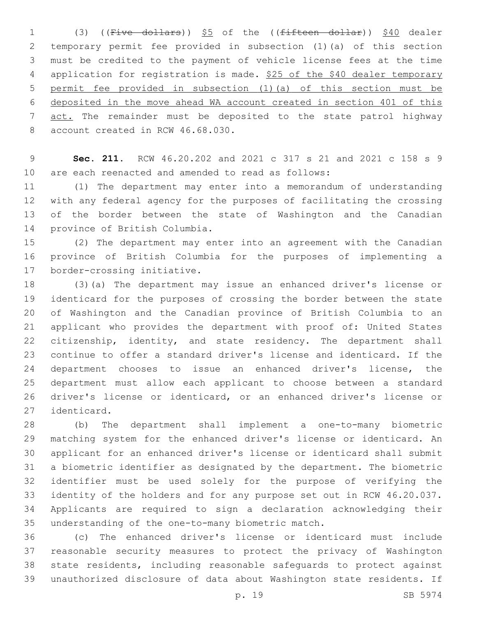1 (3) ((Five dollars)) \$5 of the ((fifteen dollar)) \$40 dealer temporary permit fee provided in subsection (1)(a) of this section must be credited to the payment of vehicle license fees at the time 4 application for registration is made. \$25 of the \$40 dealer temporary permit fee provided in subsection (1)(a) of this section must be deposited in the move ahead WA account created in section 401 of this 7 act. The remainder must be deposited to the state patrol highway 8 account created in RCW 46.68.030.

 **Sec. 211.** RCW 46.20.202 and 2021 c 317 s 21 and 2021 c 158 s 9 are each reenacted and amended to read as follows:

 (1) The department may enter into a memorandum of understanding with any federal agency for the purposes of facilitating the crossing of the border between the state of Washington and the Canadian 14 province of British Columbia.

 (2) The department may enter into an agreement with the Canadian province of British Columbia for the purposes of implementing a 17 border-crossing initiative.

 (3)(a) The department may issue an enhanced driver's license or identicard for the purposes of crossing the border between the state of Washington and the Canadian province of British Columbia to an applicant who provides the department with proof of: United States 22 citizenship, identity, and state residency. The department shall continue to offer a standard driver's license and identicard. If the department chooses to issue an enhanced driver's license, the department must allow each applicant to choose between a standard driver's license or identicard, or an enhanced driver's license or 27 identicard.

 (b) The department shall implement a one-to-many biometric matching system for the enhanced driver's license or identicard. An applicant for an enhanced driver's license or identicard shall submit a biometric identifier as designated by the department. The biometric identifier must be used solely for the purpose of verifying the identity of the holders and for any purpose set out in RCW 46.20.037. Applicants are required to sign a declaration acknowledging their 35 understanding of the one-to-many biometric match.

 (c) The enhanced driver's license or identicard must include reasonable security measures to protect the privacy of Washington state residents, including reasonable safeguards to protect against unauthorized disclosure of data about Washington state residents. If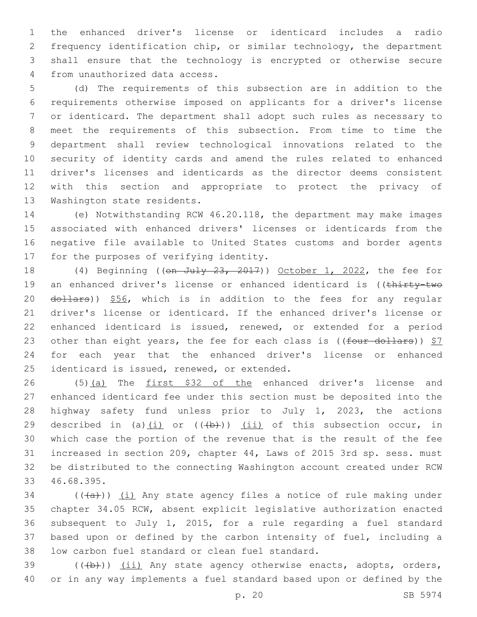the enhanced driver's license or identicard includes a radio frequency identification chip, or similar technology, the department shall ensure that the technology is encrypted or otherwise secure 4 from unauthorized data access.

 (d) The requirements of this subsection are in addition to the requirements otherwise imposed on applicants for a driver's license or identicard. The department shall adopt such rules as necessary to meet the requirements of this subsection. From time to time the department shall review technological innovations related to the security of identity cards and amend the rules related to enhanced driver's licenses and identicards as the director deems consistent with this section and appropriate to protect the privacy of 13 Washington state residents.

 (e) Notwithstanding RCW 46.20.118, the department may make images associated with enhanced drivers' licenses or identicards from the negative file available to United States customs and border agents 17 for the purposes of verifying identity.

18 (4) Beginning ((on July 23, 2017)) October 1, 2022, the fee for 19 an enhanced driver's license or enhanced identicard is ((thirty-two 20 dollars)) \$56, which is in addition to the fees for any regular driver's license or identicard. If the enhanced driver's license or enhanced identicard is issued, renewed, or extended for a period 23 other than eight years, the fee for each class is (( $four$  dollars))  $$7$  for each year that the enhanced driver's license or enhanced 25 identicard is issued, renewed, or extended.

26 (5)(a) The first \$32 of the enhanced driver's license and enhanced identicard fee under this section must be deposited into the highway safety fund unless prior to July 1, 2023, the actions 29 described in (a) $(i)$  or  $((+b))$   $(ii)$  of this subsection occur, in which case the portion of the revenue that is the result of the fee increased in section 209, chapter 44, Laws of 2015 3rd sp. sess. must be distributed to the connecting Washington account created under RCW 33 46.68.395.

 (( $(a+b)$ ) (i) Any state agency files a notice of rule making under chapter 34.05 RCW, absent explicit legislative authorization enacted subsequent to July 1, 2015, for a rule regarding a fuel standard based upon or defined by the carbon intensity of fuel, including a 38 low carbon fuel standard or clean fuel standard.

39 (((b))) (ii) Any state agency otherwise enacts, adopts, orders, or in any way implements a fuel standard based upon or defined by the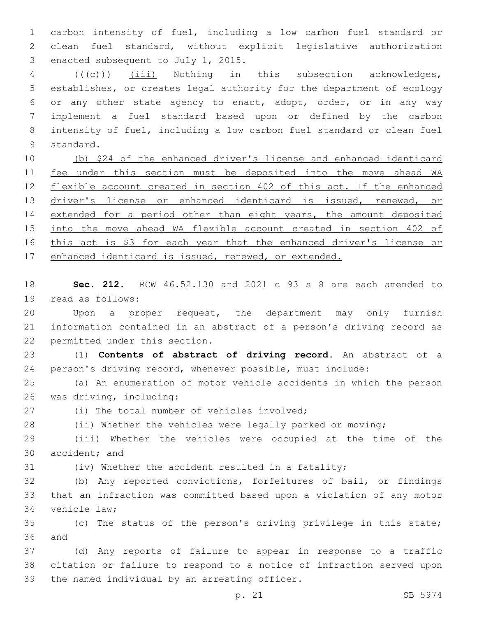1 carbon intensity of fuel, including a low carbon fuel standard or 2 clean fuel standard, without explicit legislative authorization 3 enacted subsequent to July 1, 2015.

4 (((e)) (iii) Nothing in this subsection acknowledges, establishes, or creates legal authority for the department of ecology or any other state agency to enact, adopt, order, or in any way implement a fuel standard based upon or defined by the carbon intensity of fuel, including a low carbon fuel standard or clean fuel 9 standard.

10 (b) \$24 of the enhanced driver's license and enhanced identicard 11 fee under this section must be deposited into the move ahead WA 12 flexible account created in section 402 of this act. If the enhanced 13 driver's license or enhanced identicard is issued, renewed, or 14 extended for a period other than eight years, the amount deposited 15 into the move ahead WA flexible account created in section 402 of 16 this act is \$3 for each year that the enhanced driver's license or 17 enhanced identicard is issued, renewed, or extended.

18 **Sec. 212.** RCW 46.52.130 and 2021 c 93 s 8 are each amended to 19 read as follows:

20 Upon a proper request, the department may only furnish 21 information contained in an abstract of a person's driving record as 22 permitted under this section.

23 (1) **Contents of abstract of driving record.** An abstract of a 24 person's driving record, whenever possible, must include:

25 (a) An enumeration of motor vehicle accidents in which the person 26 was driving, including:

(i) The total number of vehicles involved;

28 (ii) Whether the vehicles were legally parked or moving;

29 (iii) Whether the vehicles were occupied at the time of the 30 accident; and

31 (iv) Whether the accident resulted in a fatality;

32 (b) Any reported convictions, forfeitures of bail, or findings 33 that an infraction was committed based upon a violation of any motor 34 vehicle law;

35 (c) The status of the person's driving privilege in this state; 36 and

37 (d) Any reports of failure to appear in response to a traffic 38 citation or failure to respond to a notice of infraction served upon 39 the named individual by an arresting officer.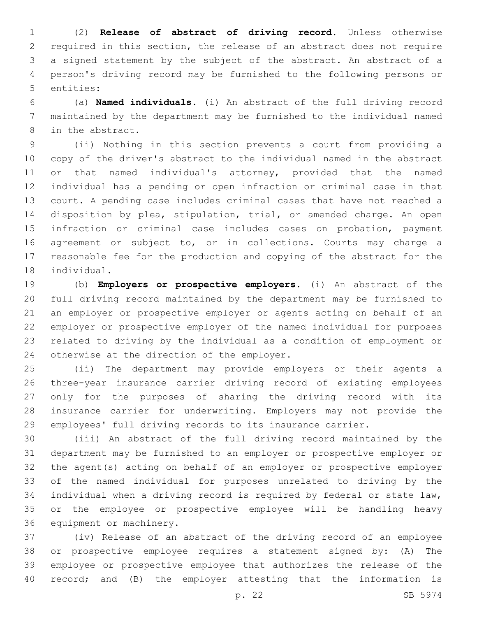(2) **Release of abstract of driving record.** Unless otherwise required in this section, the release of an abstract does not require a signed statement by the subject of the abstract. An abstract of a person's driving record may be furnished to the following persons or 5 entities:

 (a) **Named individuals.** (i) An abstract of the full driving record maintained by the department may be furnished to the individual named 8 in the abstract.

 (ii) Nothing in this section prevents a court from providing a copy of the driver's abstract to the individual named in the abstract or that named individual's attorney, provided that the named individual has a pending or open infraction or criminal case in that court. A pending case includes criminal cases that have not reached a disposition by plea, stipulation, trial, or amended charge. An open infraction or criminal case includes cases on probation, payment agreement or subject to, or in collections. Courts may charge a reasonable fee for the production and copying of the abstract for the 18 individual.

 (b) **Employers or prospective employers.** (i) An abstract of the full driving record maintained by the department may be furnished to an employer or prospective employer or agents acting on behalf of an employer or prospective employer of the named individual for purposes related to driving by the individual as a condition of employment or 24 otherwise at the direction of the employer.

 (ii) The department may provide employers or their agents a three-year insurance carrier driving record of existing employees only for the purposes of sharing the driving record with its insurance carrier for underwriting. Employers may not provide the employees' full driving records to its insurance carrier.

 (iii) An abstract of the full driving record maintained by the department may be furnished to an employer or prospective employer or the agent(s) acting on behalf of an employer or prospective employer of the named individual for purposes unrelated to driving by the individual when a driving record is required by federal or state law, or the employee or prospective employee will be handling heavy 36 equipment or machinery.

 (iv) Release of an abstract of the driving record of an employee or prospective employee requires a statement signed by: (A) The employee or prospective employee that authorizes the release of the record; and (B) the employer attesting that the information is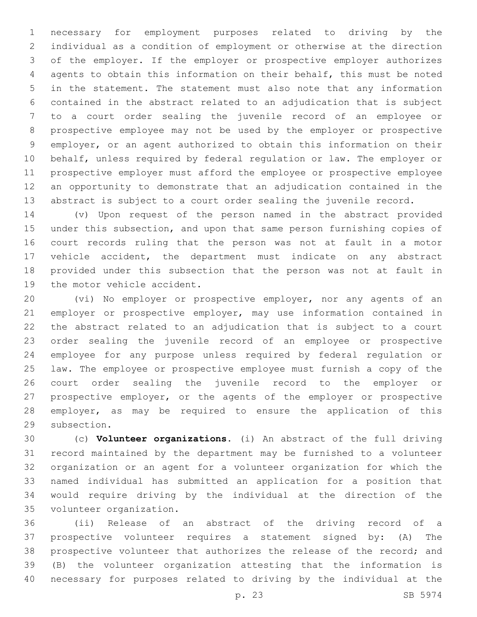necessary for employment purposes related to driving by the individual as a condition of employment or otherwise at the direction of the employer. If the employer or prospective employer authorizes agents to obtain this information on their behalf, this must be noted in the statement. The statement must also note that any information contained in the abstract related to an adjudication that is subject to a court order sealing the juvenile record of an employee or prospective employee may not be used by the employer or prospective employer, or an agent authorized to obtain this information on their behalf, unless required by federal regulation or law. The employer or prospective employer must afford the employee or prospective employee an opportunity to demonstrate that an adjudication contained in the abstract is subject to a court order sealing the juvenile record.

 (v) Upon request of the person named in the abstract provided under this subsection, and upon that same person furnishing copies of court records ruling that the person was not at fault in a motor vehicle accident, the department must indicate on any abstract provided under this subsection that the person was not at fault in 19 the motor vehicle accident.

 (vi) No employer or prospective employer, nor any agents of an employer or prospective employer, may use information contained in the abstract related to an adjudication that is subject to a court order sealing the juvenile record of an employee or prospective employee for any purpose unless required by federal regulation or law. The employee or prospective employee must furnish a copy of the court order sealing the juvenile record to the employer or prospective employer, or the agents of the employer or prospective employer, as may be required to ensure the application of this 29 subsection.

 (c) **Volunteer organizations.** (i) An abstract of the full driving record maintained by the department may be furnished to a volunteer organization or an agent for a volunteer organization for which the named individual has submitted an application for a position that would require driving by the individual at the direction of the 35 volunteer organization.

 (ii) Release of an abstract of the driving record of a prospective volunteer requires a statement signed by: (A) The prospective volunteer that authorizes the release of the record; and (B) the volunteer organization attesting that the information is necessary for purposes related to driving by the individual at the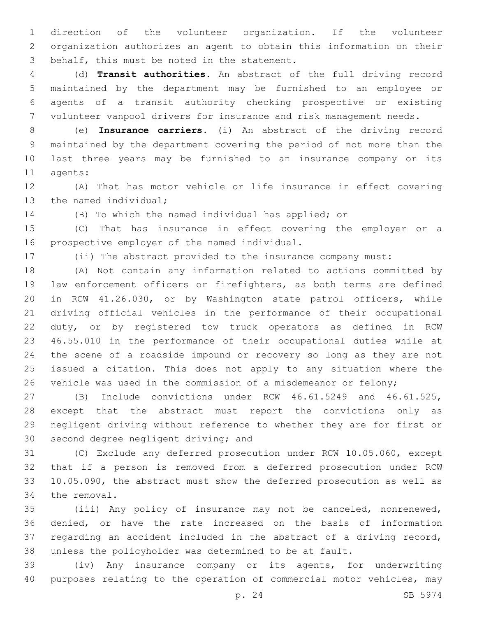direction of the volunteer organization. If the volunteer organization authorizes an agent to obtain this information on their 3 behalf, this must be noted in the statement.

 (d) **Transit authorities.** An abstract of the full driving record maintained by the department may be furnished to an employee or agents of a transit authority checking prospective or existing volunteer vanpool drivers for insurance and risk management needs.

 (e) **Insurance carriers.** (i) An abstract of the driving record maintained by the department covering the period of not more than the last three years may be furnished to an insurance company or its 11 agents:

 (A) That has motor vehicle or life insurance in effect covering 13 the named individual;

(B) To which the named individual has applied; or

 (C) That has insurance in effect covering the employer or a 16 prospective employer of the named individual.

(ii) The abstract provided to the insurance company must:

 (A) Not contain any information related to actions committed by law enforcement officers or firefighters, as both terms are defined in RCW 41.26.030, or by Washington state patrol officers, while driving official vehicles in the performance of their occupational duty, or by registered tow truck operators as defined in RCW 46.55.010 in the performance of their occupational duties while at the scene of a roadside impound or recovery so long as they are not issued a citation. This does not apply to any situation where the vehicle was used in the commission of a misdemeanor or felony;

 (B) Include convictions under RCW 46.61.5249 and 46.61.525, except that the abstract must report the convictions only as negligent driving without reference to whether they are for first or 30 second degree negligent driving; and

 (C) Exclude any deferred prosecution under RCW 10.05.060, except that if a person is removed from a deferred prosecution under RCW 10.05.090, the abstract must show the deferred prosecution as well as 34 the removal.

 (iii) Any policy of insurance may not be canceled, nonrenewed, denied, or have the rate increased on the basis of information regarding an accident included in the abstract of a driving record, unless the policyholder was determined to be at fault.

 (iv) Any insurance company or its agents, for underwriting purposes relating to the operation of commercial motor vehicles, may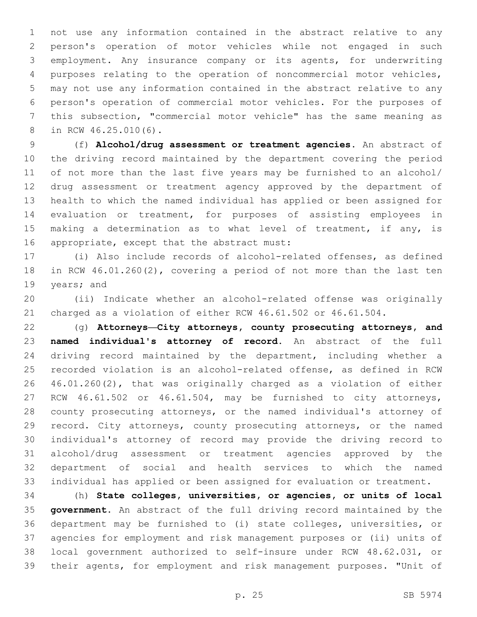not use any information contained in the abstract relative to any person's operation of motor vehicles while not engaged in such employment. Any insurance company or its agents, for underwriting purposes relating to the operation of noncommercial motor vehicles, may not use any information contained in the abstract relative to any person's operation of commercial motor vehicles. For the purposes of this subsection, "commercial motor vehicle" has the same meaning as 8 in RCW 46.25.010(6).

 (f) **Alcohol/drug assessment or treatment agencies.** An abstract of the driving record maintained by the department covering the period of not more than the last five years may be furnished to an alcohol/ drug assessment or treatment agency approved by the department of health to which the named individual has applied or been assigned for evaluation or treatment, for purposes of assisting employees in 15 making a determination as to what level of treatment, if any, is 16 appropriate, except that the abstract must:

 (i) Also include records of alcohol-related offenses, as defined in RCW 46.01.260(2), covering a period of not more than the last ten 19 years; and

 (ii) Indicate whether an alcohol-related offense was originally charged as a violation of either RCW 46.61.502 or 46.61.504.

 (g) **Attorneys—City attorneys, county prosecuting attorneys, and named individual's attorney of record.** An abstract of the full driving record maintained by the department, including whether a recorded violation is an alcohol-related offense, as defined in RCW 46.01.260(2), that was originally charged as a violation of either RCW 46.61.502 or 46.61.504, may be furnished to city attorneys, county prosecuting attorneys, or the named individual's attorney of 29 record. City attorneys, county prosecuting attorneys, or the named individual's attorney of record may provide the driving record to alcohol/drug assessment or treatment agencies approved by the department of social and health services to which the named individual has applied or been assigned for evaluation or treatment.

 (h) **State colleges, universities, or agencies, or units of local government.** An abstract of the full driving record maintained by the department may be furnished to (i) state colleges, universities, or agencies for employment and risk management purposes or (ii) units of local government authorized to self-insure under RCW 48.62.031, or their agents, for employment and risk management purposes. "Unit of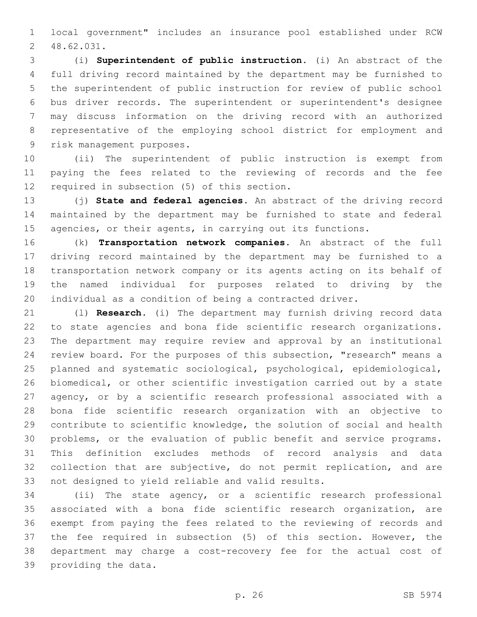local government" includes an insurance pool established under RCW 48.62.031.2

 (i) **Superintendent of public instruction.** (i) An abstract of the full driving record maintained by the department may be furnished to the superintendent of public instruction for review of public school bus driver records. The superintendent or superintendent's designee may discuss information on the driving record with an authorized representative of the employing school district for employment and 9 risk management purposes.

 (ii) The superintendent of public instruction is exempt from paying the fees related to the reviewing of records and the fee 12 required in subsection (5) of this section.

 (j) **State and federal agencies.** An abstract of the driving record maintained by the department may be furnished to state and federal 15 agencies, or their agents, in carrying out its functions.

 (k) **Transportation network companies.** An abstract of the full driving record maintained by the department may be furnished to a transportation network company or its agents acting on its behalf of the named individual for purposes related to driving by the individual as a condition of being a contracted driver.

 (l) **Research.** (i) The department may furnish driving record data to state agencies and bona fide scientific research organizations. The department may require review and approval by an institutional review board. For the purposes of this subsection, "research" means a planned and systematic sociological, psychological, epidemiological, biomedical, or other scientific investigation carried out by a state agency, or by a scientific research professional associated with a bona fide scientific research organization with an objective to contribute to scientific knowledge, the solution of social and health problems, or the evaluation of public benefit and service programs. This definition excludes methods of record analysis and data collection that are subjective, do not permit replication, and are 33 not designed to yield reliable and valid results.

 (ii) The state agency, or a scientific research professional associated with a bona fide scientific research organization, are exempt from paying the fees related to the reviewing of records and the fee required in subsection (5) of this section. However, the department may charge a cost-recovery fee for the actual cost of 39 providing the data.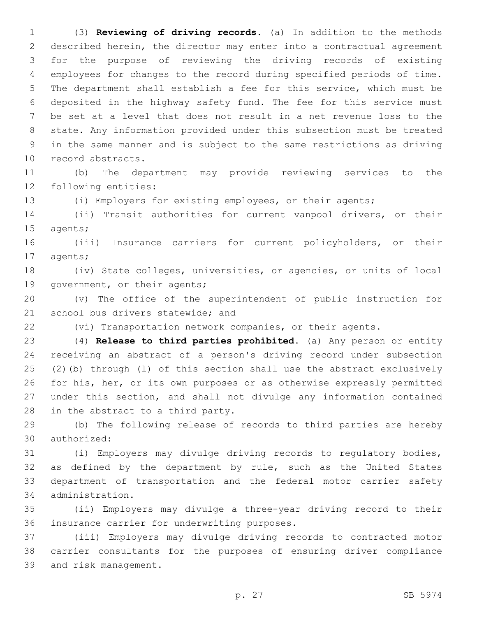(3) **Reviewing of driving records.** (a) In addition to the methods described herein, the director may enter into a contractual agreement for the purpose of reviewing the driving records of existing employees for changes to the record during specified periods of time. The department shall establish a fee for this service, which must be deposited in the highway safety fund. The fee for this service must be set at a level that does not result in a net revenue loss to the state. Any information provided under this subsection must be treated in the same manner and is subject to the same restrictions as driving 10 record abstracts.

 (b) The department may provide reviewing services to the 12 following entities:

(i) Employers for existing employees, or their agents;

 (ii) Transit authorities for current vanpool drivers, or their 15 agents;

 (iii) Insurance carriers for current policyholders, or their 17 agents;

 (iv) State colleges, universities, or agencies, or units of local 19 government, or their agents;

 (v) The office of the superintendent of public instruction for 21 school bus drivers statewide; and

(vi) Transportation network companies, or their agents.

 (4) **Release to third parties prohibited.** (a) Any person or entity receiving an abstract of a person's driving record under subsection (2)(b) through (l) of this section shall use the abstract exclusively for his, her, or its own purposes or as otherwise expressly permitted under this section, and shall not divulge any information contained 28 in the abstract to a third party.

 (b) The following release of records to third parties are hereby 30 authorized:

 (i) Employers may divulge driving records to regulatory bodies, as defined by the department by rule, such as the United States department of transportation and the federal motor carrier safety administration.34

 (ii) Employers may divulge a three-year driving record to their 36 insurance carrier for underwriting purposes.

 (iii) Employers may divulge driving records to contracted motor carrier consultants for the purposes of ensuring driver compliance 39 and risk management.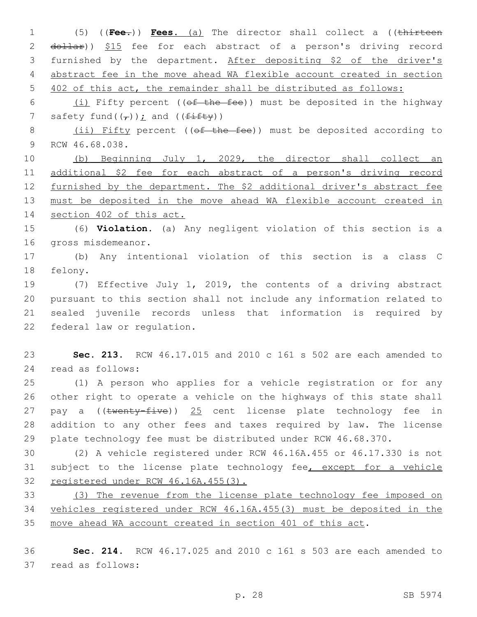(5) ((**Fee.**)) **Fees.** (a) The director shall collect a ((thirteen 2 dollar)) \$15 fee for each abstract of a person's driving record furnished by the department. After depositing \$2 of the driver's abstract fee in the move ahead WA flexible account created in section 402 of this act, the remainder shall be distributed as follows:

6  $(i)$  Fifty percent (( $ef$  the fee)) must be deposited in the highway 7 safety fund( $(\tau)$ ); and ( $(f$ ifty))

8 (ii) Fifty percent ((of the fee)) must be deposited according to 9 RCW 46.68.038.

 (b) Beginning July 1, 2029, the director shall collect an additional \$2 fee for each abstract of a person's driving record 12 furnished by the department. The \$2 additional driver's abstract fee must be deposited in the move ahead WA flexible account created in section 402 of this act.

 (6) **Violation.** (a) Any negligent violation of this section is a 16 gross misdemeanor.

 (b) Any intentional violation of this section is a class C 18 felony.

 (7) Effective July 1, 2019, the contents of a driving abstract pursuant to this section shall not include any information related to sealed juvenile records unless that information is required by 22 federal law or regulation.

 **Sec. 213.** RCW 46.17.015 and 2010 c 161 s 502 are each amended to 24 read as follows:

 (1) A person who applies for a vehicle registration or for any other right to operate a vehicle on the highways of this state shall 27 pay a ((twenty-five)) 25 cent license plate technology fee in addition to any other fees and taxes required by law. The license plate technology fee must be distributed under RCW 46.68.370.

 (2) A vehicle registered under RCW 46.16A.455 or 46.17.330 is not 31 subject to the license plate technology fee, except for a vehicle registered under RCW 46.16A.455(3).

 (3) The revenue from the license plate technology fee imposed on vehicles registered under RCW 46.16A.455(3) must be deposited in the move ahead WA account created in section 401 of this act.

 **Sec. 214.** RCW 46.17.025 and 2010 c 161 s 503 are each amended to 37 read as follows: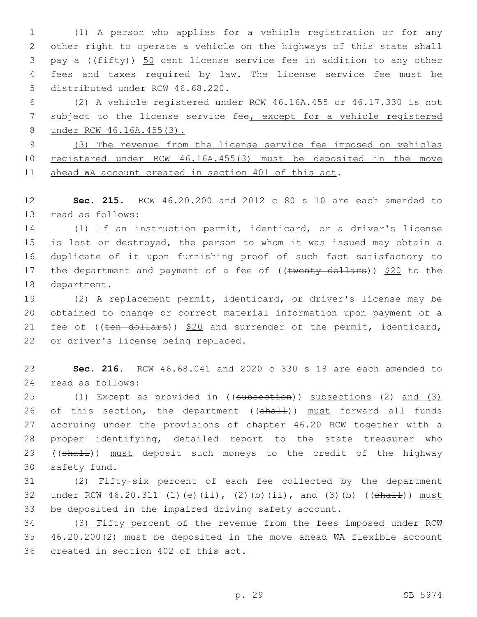(1) A person who applies for a vehicle registration or for any other right to operate a vehicle on the highways of this state shall 3 pay a (( $f$ ifty)) 50 cent license service fee in addition to any other fees and taxes required by law. The license service fee must be 5 distributed under RCW 46.68.220.

 (2) A vehicle registered under RCW 46.16A.455 or 46.17.330 is not subject to the license service fee, except for a vehicle registered under RCW 46.16A.455(3).

 (3) The revenue from the license service fee imposed on vehicles registered under RCW 46.16A.455(3) must be deposited in the move ahead WA account created in section 401 of this act.

 **Sec. 215.** RCW 46.20.200 and 2012 c 80 s 10 are each amended to 13 read as follows:

 (1) If an instruction permit, identicard, or a driver's license is lost or destroyed, the person to whom it was issued may obtain a duplicate of it upon furnishing proof of such fact satisfactory to 17 the department and payment of a fee of  $((\text{twenty-dollars}))$  \$20 to the 18 department.

 (2) A replacement permit, identicard, or driver's license may be obtained to change or correct material information upon payment of a 21 fee of  $((\text{ten}-\text{dollars}))$  \$20 and surrender of the permit, identicard, 22 or driver's license being replaced.

 **Sec. 216.** RCW 46.68.041 and 2020 c 330 s 18 are each amended to read as follows:24

 (1) Except as provided in ((subsection)) subsections (2) and (3) 26 of this section, the department ((shall)) must forward all funds accruing under the provisions of chapter 46.20 RCW together with a proper identifying, detailed report to the state treasurer who 29 ((shall)) must deposit such moneys to the credit of the highway 30 safety fund.

 (2) Fifty-six percent of each fee collected by the department 32 under RCW  $46.20.311$  (1)(e)(ii), (2)(b)(ii), and (3)(b) (( $\frac{4 \text{h} + 1}{2}$ ) must be deposited in the impaired driving safety account.

 (3) Fifty percent of the revenue from the fees imposed under RCW 46.20.200(2) must be deposited in the move ahead WA flexible account created in section 402 of this act.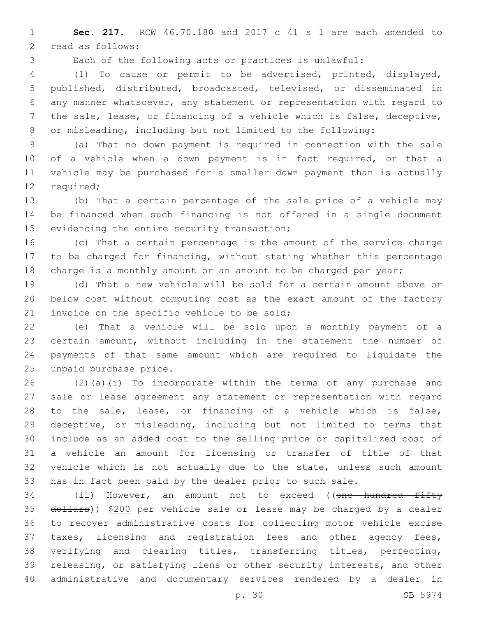**Sec. 217.** RCW 46.70.180 and 2017 c 41 s 1 are each amended to 2 read as follows:

Each of the following acts or practices is unlawful:

 (1) To cause or permit to be advertised, printed, displayed, published, distributed, broadcasted, televised, or disseminated in any manner whatsoever, any statement or representation with regard to the sale, lease, or financing of a vehicle which is false, deceptive, or misleading, including but not limited to the following:

 (a) That no down payment is required in connection with the sale of a vehicle when a down payment is in fact required, or that a vehicle may be purchased for a smaller down payment than is actually 12 required;

 (b) That a certain percentage of the sale price of a vehicle may be financed when such financing is not offered in a single document 15 evidencing the entire security transaction;

 (c) That a certain percentage is the amount of the service charge to be charged for financing, without stating whether this percentage 18 charge is a monthly amount or an amount to be charged per year;

 (d) That a new vehicle will be sold for a certain amount above or below cost without computing cost as the exact amount of the factory 21 invoice on the specific vehicle to be sold;

 (e) That a vehicle will be sold upon a monthly payment of a certain amount, without including in the statement the number of payments of that same amount which are required to liquidate the 25 unpaid purchase price.

 (2)(a)(i) To incorporate within the terms of any purchase and sale or lease agreement any statement or representation with regard to the sale, lease, or financing of a vehicle which is false, deceptive, or misleading, including but not limited to terms that include as an added cost to the selling price or capitalized cost of a vehicle an amount for licensing or transfer of title of that vehicle which is not actually due to the state, unless such amount has in fact been paid by the dealer prior to such sale.

34 (ii) However, an amount not to exceed ((one hundred fifty 35 dollars)) \$200 per vehicle sale or lease may be charged by a dealer to recover administrative costs for collecting motor vehicle excise taxes, licensing and registration fees and other agency fees, verifying and clearing titles, transferring titles, perfecting, releasing, or satisfying liens or other security interests, and other administrative and documentary services rendered by a dealer in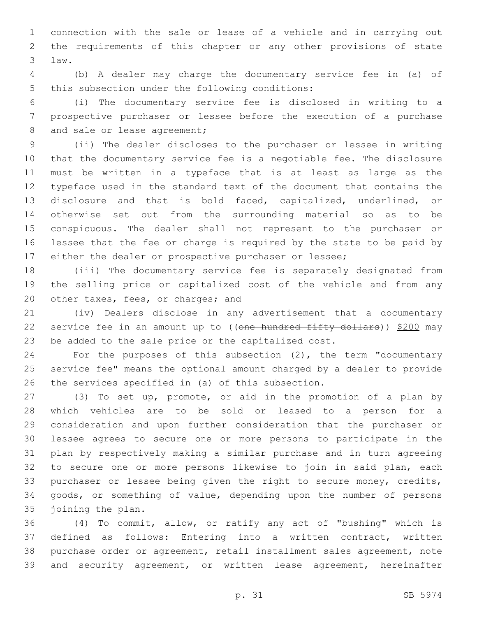connection with the sale or lease of a vehicle and in carrying out the requirements of this chapter or any other provisions of state law.3

 (b) A dealer may charge the documentary service fee in (a) of 5 this subsection under the following conditions:

 (i) The documentary service fee is disclosed in writing to a prospective purchaser or lessee before the execution of a purchase 8 and sale or lease agreement;

 (ii) The dealer discloses to the purchaser or lessee in writing that the documentary service fee is a negotiable fee. The disclosure must be written in a typeface that is at least as large as the typeface used in the standard text of the document that contains the disclosure and that is bold faced, capitalized, underlined, or otherwise set out from the surrounding material so as to be conspicuous. The dealer shall not represent to the purchaser or lessee that the fee or charge is required by the state to be paid by either the dealer or prospective purchaser or lessee;

 (iii) The documentary service fee is separately designated from the selling price or capitalized cost of the vehicle and from any 20 other taxes, fees, or charges; and

 (iv) Dealers disclose in any advertisement that a documentary 22 service fee in an amount up to ((one hundred fifty dollars)) \$200 may be added to the sale price or the capitalized cost.

 For the purposes of this subsection (2), the term "documentary service fee" means the optional amount charged by a dealer to provide 26 the services specified in (a) of this subsection.

 (3) To set up, promote, or aid in the promotion of a plan by which vehicles are to be sold or leased to a person for a consideration and upon further consideration that the purchaser or lessee agrees to secure one or more persons to participate in the plan by respectively making a similar purchase and in turn agreeing to secure one or more persons likewise to join in said plan, each 33 purchaser or lessee being given the right to secure money, credits, goods, or something of value, depending upon the number of persons 35 joining the plan.

 (4) To commit, allow, or ratify any act of "bushing" which is defined as follows: Entering into a written contract, written purchase order or agreement, retail installment sales agreement, note and security agreement, or written lease agreement, hereinafter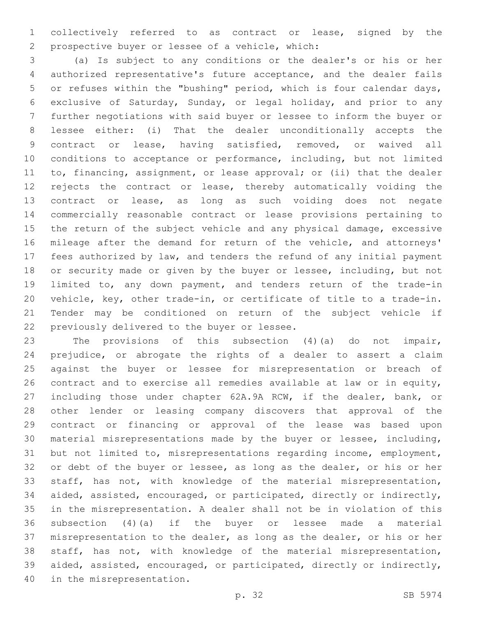collectively referred to as contract or lease, signed by the prospective buyer or lessee of a vehicle, which:2

 (a) Is subject to any conditions or the dealer's or his or her authorized representative's future acceptance, and the dealer fails or refuses within the "bushing" period, which is four calendar days, exclusive of Saturday, Sunday, or legal holiday, and prior to any further negotiations with said buyer or lessee to inform the buyer or lessee either: (i) That the dealer unconditionally accepts the contract or lease, having satisfied, removed, or waived all conditions to acceptance or performance, including, but not limited to, financing, assignment, or lease approval; or (ii) that the dealer rejects the contract or lease, thereby automatically voiding the contract or lease, as long as such voiding does not negate commercially reasonable contract or lease provisions pertaining to the return of the subject vehicle and any physical damage, excessive mileage after the demand for return of the vehicle, and attorneys' fees authorized by law, and tenders the refund of any initial payment or security made or given by the buyer or lessee, including, but not limited to, any down payment, and tenders return of the trade-in vehicle, key, other trade-in, or certificate of title to a trade-in. Tender may be conditioned on return of the subject vehicle if 22 previously delivered to the buyer or lessee.

 The provisions of this subsection (4)(a) do not impair, prejudice, or abrogate the rights of a dealer to assert a claim against the buyer or lessee for misrepresentation or breach of contract and to exercise all remedies available at law or in equity, including those under chapter 62A.9A RCW, if the dealer, bank, or other lender or leasing company discovers that approval of the contract or financing or approval of the lease was based upon material misrepresentations made by the buyer or lessee, including, but not limited to, misrepresentations regarding income, employment, or debt of the buyer or lessee, as long as the dealer, or his or her staff, has not, with knowledge of the material misrepresentation, aided, assisted, encouraged, or participated, directly or indirectly, in the misrepresentation. A dealer shall not be in violation of this subsection (4)(a) if the buyer or lessee made a material misrepresentation to the dealer, as long as the dealer, or his or her staff, has not, with knowledge of the material misrepresentation, aided, assisted, encouraged, or participated, directly or indirectly, 40 in the misrepresentation.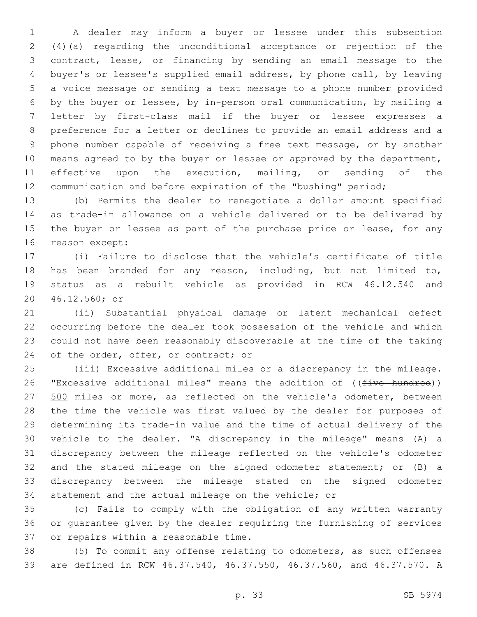A dealer may inform a buyer or lessee under this subsection (4)(a) regarding the unconditional acceptance or rejection of the contract, lease, or financing by sending an email message to the buyer's or lessee's supplied email address, by phone call, by leaving a voice message or sending a text message to a phone number provided by the buyer or lessee, by in-person oral communication, by mailing a letter by first-class mail if the buyer or lessee expresses a preference for a letter or declines to provide an email address and a phone number capable of receiving a free text message, or by another 10 means agreed to by the buyer or lessee or approved by the department, effective upon the execution, mailing, or sending of the communication and before expiration of the "bushing" period;

 (b) Permits the dealer to renegotiate a dollar amount specified as trade-in allowance on a vehicle delivered or to be delivered by 15 the buyer or lessee as part of the purchase price or lease, for any 16 reason except:

 (i) Failure to disclose that the vehicle's certificate of title has been branded for any reason, including, but not limited to, status as a rebuilt vehicle as provided in RCW 46.12.540 and 46.12.560; or20

 (ii) Substantial physical damage or latent mechanical defect occurring before the dealer took possession of the vehicle and which could not have been reasonably discoverable at the time of the taking 24 of the order, offer, or contract; or

 (iii) Excessive additional miles or a discrepancy in the mileage. 26 "Excessive additional miles" means the addition of ((five hundred)) 27 500 miles or more, as reflected on the vehicle's odometer, between the time the vehicle was first valued by the dealer for purposes of determining its trade-in value and the time of actual delivery of the vehicle to the dealer. "A discrepancy in the mileage" means (A) a discrepancy between the mileage reflected on the vehicle's odometer and the stated mileage on the signed odometer statement; or (B) a discrepancy between the mileage stated on the signed odometer statement and the actual mileage on the vehicle; or

 (c) Fails to comply with the obligation of any written warranty or guarantee given by the dealer requiring the furnishing of services 37 or repairs within a reasonable time.

 (5) To commit any offense relating to odometers, as such offenses are defined in RCW 46.37.540, 46.37.550, 46.37.560, and 46.37.570. A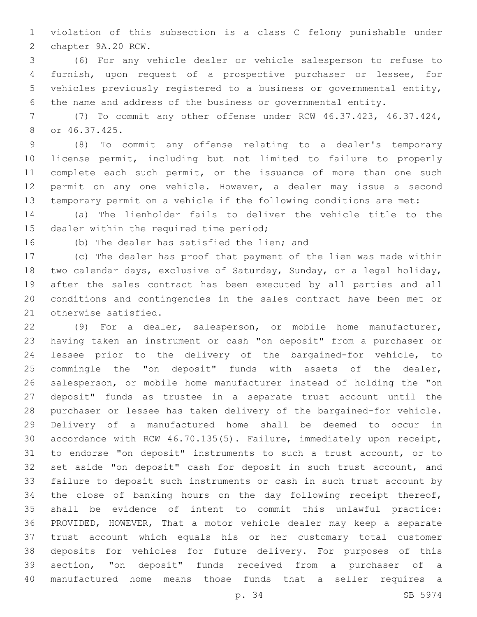violation of this subsection is a class C felony punishable under 2 chapter 9A.20 RCW.

 (6) For any vehicle dealer or vehicle salesperson to refuse to furnish, upon request of a prospective purchaser or lessee, for vehicles previously registered to a business or governmental entity, the name and address of the business or governmental entity.

 (7) To commit any other offense under RCW 46.37.423, 46.37.424, or 46.37.425.8

 (8) To commit any offense relating to a dealer's temporary license permit, including but not limited to failure to properly 11 complete each such permit, or the issuance of more than one such permit on any one vehicle. However, a dealer may issue a second temporary permit on a vehicle if the following conditions are met:

 (a) The lienholder fails to deliver the vehicle title to the 15 dealer within the required time period;

16 (b) The dealer has satisfied the lien; and

 (c) The dealer has proof that payment of the lien was made within two calendar days, exclusive of Saturday, Sunday, or a legal holiday, after the sales contract has been executed by all parties and all conditions and contingencies in the sales contract have been met or 21 otherwise satisfied.

 (9) For a dealer, salesperson, or mobile home manufacturer, having taken an instrument or cash "on deposit" from a purchaser or lessee prior to the delivery of the bargained-for vehicle, to commingle the "on deposit" funds with assets of the dealer, salesperson, or mobile home manufacturer instead of holding the "on deposit" funds as trustee in a separate trust account until the purchaser or lessee has taken delivery of the bargained-for vehicle. Delivery of a manufactured home shall be deemed to occur in accordance with RCW 46.70.135(5). Failure, immediately upon receipt, to endorse "on deposit" instruments to such a trust account, or to set aside "on deposit" cash for deposit in such trust account, and failure to deposit such instruments or cash in such trust account by the close of banking hours on the day following receipt thereof, shall be evidence of intent to commit this unlawful practice: PROVIDED, HOWEVER, That a motor vehicle dealer may keep a separate trust account which equals his or her customary total customer deposits for vehicles for future delivery. For purposes of this section, "on deposit" funds received from a purchaser of a manufactured home means those funds that a seller requires a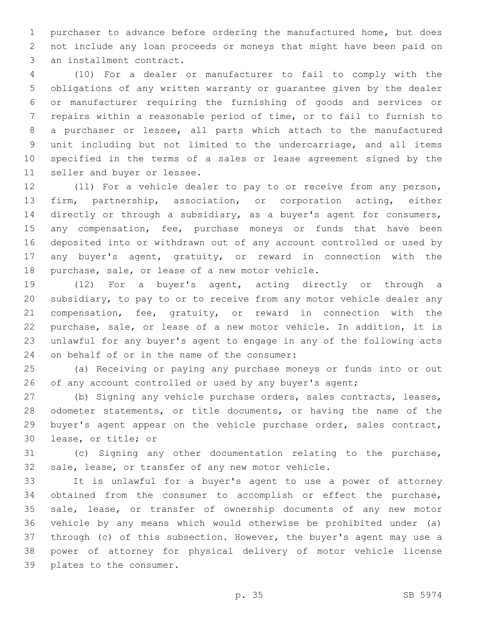purchaser to advance before ordering the manufactured home, but does not include any loan proceeds or moneys that might have been paid on 3 an installment contract.

 (10) For a dealer or manufacturer to fail to comply with the obligations of any written warranty or guarantee given by the dealer or manufacturer requiring the furnishing of goods and services or repairs within a reasonable period of time, or to fail to furnish to a purchaser or lessee, all parts which attach to the manufactured unit including but not limited to the undercarriage, and all items specified in the terms of a sales or lease agreement signed by the 11 seller and buyer or lessee.

 (11) For a vehicle dealer to pay to or receive from any person, firm, partnership, association, or corporation acting, either directly or through a subsidiary, as a buyer's agent for consumers, 15 any compensation, fee, purchase moneys or funds that have been deposited into or withdrawn out of any account controlled or used by any buyer's agent, gratuity, or reward in connection with the 18 purchase, sale, or lease of a new motor vehicle.

 (12) For a buyer's agent, acting directly or through a subsidiary, to pay to or to receive from any motor vehicle dealer any compensation, fee, gratuity, or reward in connection with the purchase, sale, or lease of a new motor vehicle. In addition, it is unlawful for any buyer's agent to engage in any of the following acts 24 on behalf of or in the name of the consumer:

 (a) Receiving or paying any purchase moneys or funds into or out 26 of any account controlled or used by any buyer's agent;

 (b) Signing any vehicle purchase orders, sales contracts, leases, odometer statements, or title documents, or having the name of the buyer's agent appear on the vehicle purchase order, sales contract, 30 lease, or title; or

 (c) Signing any other documentation relating to the purchase, sale, lease, or transfer of any new motor vehicle.

 It is unlawful for a buyer's agent to use a power of attorney obtained from the consumer to accomplish or effect the purchase, sale, lease, or transfer of ownership documents of any new motor vehicle by any means which would otherwise be prohibited under (a) through (c) of this subsection. However, the buyer's agent may use a power of attorney for physical delivery of motor vehicle license 39 plates to the consumer.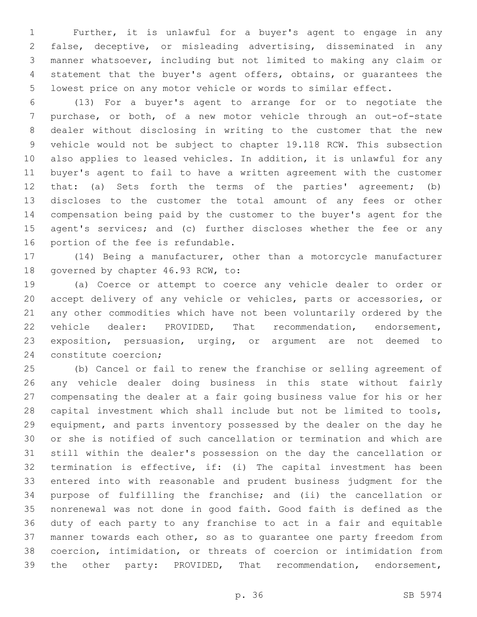Further, it is unlawful for a buyer's agent to engage in any false, deceptive, or misleading advertising, disseminated in any manner whatsoever, including but not limited to making any claim or statement that the buyer's agent offers, obtains, or guarantees the lowest price on any motor vehicle or words to similar effect.

 (13) For a buyer's agent to arrange for or to negotiate the purchase, or both, of a new motor vehicle through an out-of-state dealer without disclosing in writing to the customer that the new vehicle would not be subject to chapter 19.118 RCW. This subsection also applies to leased vehicles. In addition, it is unlawful for any buyer's agent to fail to have a written agreement with the customer that: (a) Sets forth the terms of the parties' agreement; (b) discloses to the customer the total amount of any fees or other compensation being paid by the customer to the buyer's agent for the 15 agent's services; and (c) further discloses whether the fee or any 16 portion of the fee is refundable.

 (14) Being a manufacturer, other than a motorcycle manufacturer 18 governed by chapter 46.93 RCW, to:

 (a) Coerce or attempt to coerce any vehicle dealer to order or accept delivery of any vehicle or vehicles, parts or accessories, or any other commodities which have not been voluntarily ordered by the vehicle dealer: PROVIDED, That recommendation, endorsement, exposition, persuasion, urging, or argument are not deemed to 24 constitute coercion;

 (b) Cancel or fail to renew the franchise or selling agreement of any vehicle dealer doing business in this state without fairly compensating the dealer at a fair going business value for his or her capital investment which shall include but not be limited to tools, equipment, and parts inventory possessed by the dealer on the day he or she is notified of such cancellation or termination and which are still within the dealer's possession on the day the cancellation or termination is effective, if: (i) The capital investment has been entered into with reasonable and prudent business judgment for the purpose of fulfilling the franchise; and (ii) the cancellation or nonrenewal was not done in good faith. Good faith is defined as the duty of each party to any franchise to act in a fair and equitable manner towards each other, so as to guarantee one party freedom from coercion, intimidation, or threats of coercion or intimidation from the other party: PROVIDED, That recommendation, endorsement,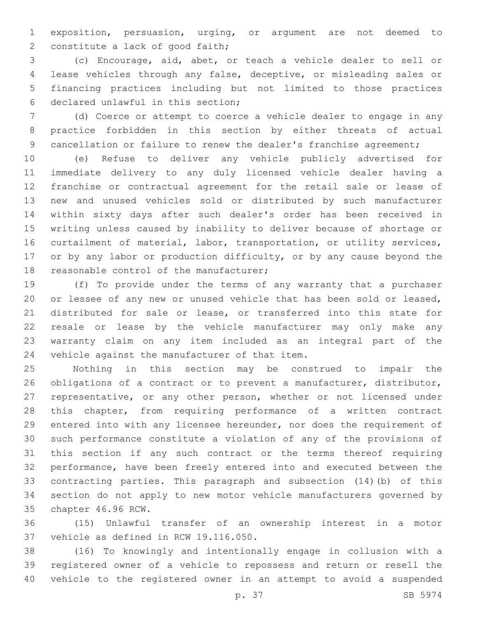exposition, persuasion, urging, or argument are not deemed to 2 constitute a lack of good faith;

 (c) Encourage, aid, abet, or teach a vehicle dealer to sell or lease vehicles through any false, deceptive, or misleading sales or financing practices including but not limited to those practices 6 declared unlawful in this section;

 (d) Coerce or attempt to coerce a vehicle dealer to engage in any practice forbidden in this section by either threats of actual 9 cancellation or failure to renew the dealer's franchise agreement;

 (e) Refuse to deliver any vehicle publicly advertised for immediate delivery to any duly licensed vehicle dealer having a franchise or contractual agreement for the retail sale or lease of new and unused vehicles sold or distributed by such manufacturer within sixty days after such dealer's order has been received in writing unless caused by inability to deliver because of shortage or curtailment of material, labor, transportation, or utility services, 17 or by any labor or production difficulty, or by any cause beyond the 18 reasonable control of the manufacturer;

 (f) To provide under the terms of any warranty that a purchaser or lessee of any new or unused vehicle that has been sold or leased, distributed for sale or lease, or transferred into this state for resale or lease by the vehicle manufacturer may only make any warranty claim on any item included as an integral part of the 24 vehicle against the manufacturer of that item.

 Nothing in this section may be construed to impair the obligations of a contract or to prevent a manufacturer, distributor, representative, or any other person, whether or not licensed under this chapter, from requiring performance of a written contract entered into with any licensee hereunder, nor does the requirement of such performance constitute a violation of any of the provisions of this section if any such contract or the terms thereof requiring performance, have been freely entered into and executed between the contracting parties. This paragraph and subsection (14)(b) of this section do not apply to new motor vehicle manufacturers governed by 35 chapter 46.96 RCW.

 (15) Unlawful transfer of an ownership interest in a motor 37 vehicle as defined in RCW 19.116.050.

 (16) To knowingly and intentionally engage in collusion with a registered owner of a vehicle to repossess and return or resell the vehicle to the registered owner in an attempt to avoid a suspended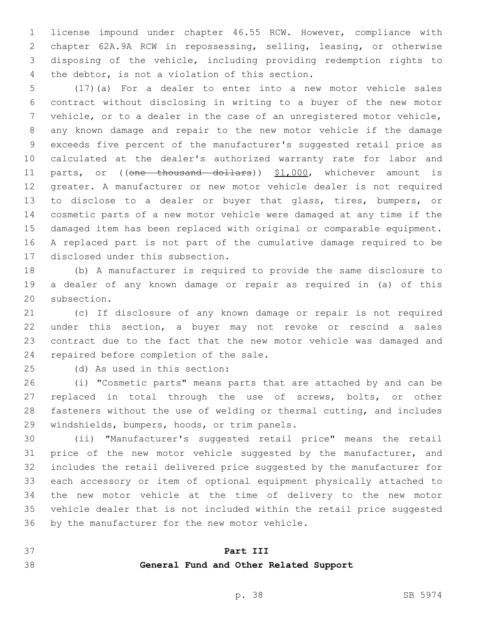license impound under chapter 46.55 RCW. However, compliance with chapter 62A.9A RCW in repossessing, selling, leasing, or otherwise disposing of the vehicle, including providing redemption rights to 4 the debtor, is not a violation of this section.

 (17)(a) For a dealer to enter into a new motor vehicle sales contract without disclosing in writing to a buyer of the new motor vehicle, or to a dealer in the case of an unregistered motor vehicle, any known damage and repair to the new motor vehicle if the damage exceeds five percent of the manufacturer's suggested retail price as calculated at the dealer's authorized warranty rate for labor and 11 parts, or ((one thousand dollars)) \$1,000, whichever amount is greater. A manufacturer or new motor vehicle dealer is not required to disclose to a dealer or buyer that glass, tires, bumpers, or cosmetic parts of a new motor vehicle were damaged at any time if the damaged item has been replaced with original or comparable equipment. A replaced part is not part of the cumulative damage required to be 17 disclosed under this subsection.

 (b) A manufacturer is required to provide the same disclosure to a dealer of any known damage or repair as required in (a) of this 20 subsection.

 (c) If disclosure of any known damage or repair is not required under this section, a buyer may not revoke or rescind a sales contract due to the fact that the new motor vehicle was damaged and 24 repaired before completion of the sale.

(d) As used in this section:25

 (i) "Cosmetic parts" means parts that are attached by and can be replaced in total through the use of screws, bolts, or other fasteners without the use of welding or thermal cutting, and includes 29 windshields, bumpers, hoods, or trim panels.

 (ii) "Manufacturer's suggested retail price" means the retail 31 price of the new motor vehicle suggested by the manufacturer, and includes the retail delivered price suggested by the manufacturer for each accessory or item of optional equipment physically attached to the new motor vehicle at the time of delivery to the new motor vehicle dealer that is not included within the retail price suggested 36 by the manufacturer for the new motor vehicle.

## **Part III**

## **General Fund and Other Related Support**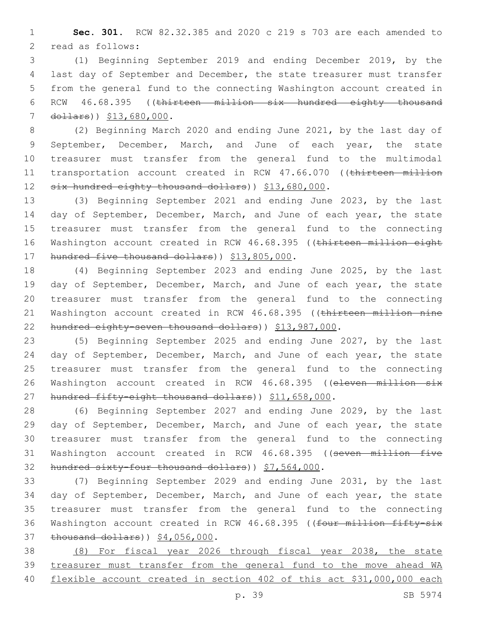1 **Sec. 301.** RCW 82.32.385 and 2020 c 219 s 703 are each amended to 2 read as follows:

 (1) Beginning September 2019 and ending December 2019, by the last day of September and December, the state treasurer must transfer from the general fund to the connecting Washington account created in RCW 46.68.395 ((thirteen million six hundred eighty thousand 7 dollars)) \$13,680,000.

8 (2) Beginning March 2020 and ending June 2021, by the last day of 9 September, December, March, and June of each year, the state 10 treasurer must transfer from the general fund to the multimodal 11 transportation account created in RCW 47.66.070 ((thirteen million 12 six hundred eighty thousand dollars) ) \$13,680,000.

13 (3) Beginning September 2021 and ending June 2023, by the last 14 day of September, December, March, and June of each year, the state 15 treasurer must transfer from the general fund to the connecting 16 Washington account created in RCW 46.68.395 ((thirteen million eight 17 hundred five thousand dollars) ) \$13,805,000.

18 (4) Beginning September 2023 and ending June 2025, by the last 19 day of September, December, March, and June of each year, the state 20 treasurer must transfer from the general fund to the connecting 21 Washington account created in RCW 46.68.395 ((thirteen million nine 22 hundred eighty-seven thousand dollars)) \$13,987,000.

23 (5) Beginning September 2025 and ending June 2027, by the last 24 day of September, December, March, and June of each year, the state 25 treasurer must transfer from the general fund to the connecting 26 Washington account created in RCW 46.68.395 ((eleven million six 27 hundred fifty-eight thousand dollars)) \$11,658,000.

28 (6) Beginning September 2027 and ending June 2029, by the last 29 day of September, December, March, and June of each year, the state 30 treasurer must transfer from the general fund to the connecting 31 Washington account created in RCW 46.68.395 ((seven million five 32 hundred sixty-four thousand dollars) ) \$7,564,000.

33 (7) Beginning September 2029 and ending June 2031, by the last 34 day of September, December, March, and June of each year, the state 35 treasurer must transfer from the general fund to the connecting 36 Washington account created in RCW 46.68.395 ((four million fifty-six 37 thousand dollars) ) \$4,056,000.

38 (8) For fiscal year 2026 through fiscal year 2038, the state 39 treasurer must transfer from the general fund to the move ahead WA 40 flexible account created in section 402 of this act \$31,000,000 each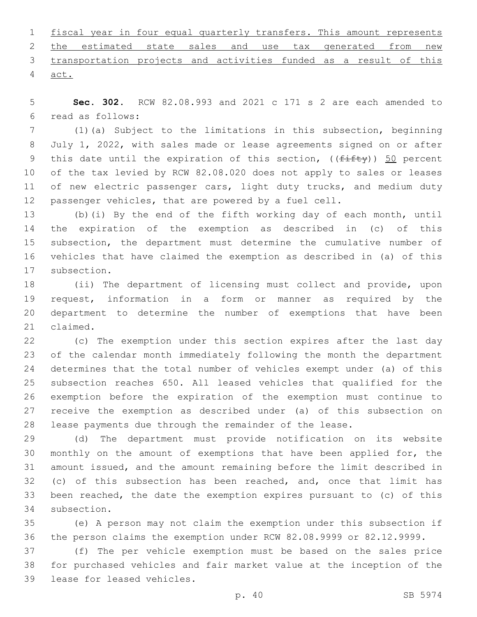|        | 1 fiscal year in four equal quarterly transfers. This amount represents |  |  |  |  |  |
|--------|-------------------------------------------------------------------------|--|--|--|--|--|
|        | 2 the estimated state sales and use tax generated from new              |  |  |  |  |  |
|        | 3 transportation projects and activities funded as a result of this     |  |  |  |  |  |
| 4 act. |                                                                         |  |  |  |  |  |

 **Sec. 302.** RCW 82.08.993 and 2021 c 171 s 2 are each amended to read as follows:6

 (1)(a) Subject to the limitations in this subsection, beginning July 1, 2022, with sales made or lease agreements signed on or after 9 this date until the expiration of this section,  $((f\text{iff}\psi))$  50 percent of the tax levied by RCW 82.08.020 does not apply to sales or leases 11 of new electric passenger cars, light duty trucks, and medium duty passenger vehicles, that are powered by a fuel cell.

 (b)(i) By the end of the fifth working day of each month, until the expiration of the exemption as described in (c) of this subsection, the department must determine the cumulative number of vehicles that have claimed the exemption as described in (a) of this 17 subsection.

 (ii) The department of licensing must collect and provide, upon request, information in a form or manner as required by the department to determine the number of exemptions that have been 21 claimed.

 (c) The exemption under this section expires after the last day of the calendar month immediately following the month the department determines that the total number of vehicles exempt under (a) of this subsection reaches 650. All leased vehicles that qualified for the exemption before the expiration of the exemption must continue to receive the exemption as described under (a) of this subsection on lease payments due through the remainder of the lease.

 (d) The department must provide notification on its website monthly on the amount of exemptions that have been applied for, the amount issued, and the amount remaining before the limit described in (c) of this subsection has been reached, and, once that limit has been reached, the date the exemption expires pursuant to (c) of this 34 subsection.

 (e) A person may not claim the exemption under this subsection if the person claims the exemption under RCW 82.08.9999 or 82.12.9999.

 (f) The per vehicle exemption must be based on the sales price for purchased vehicles and fair market value at the inception of the 39 lease for leased vehicles.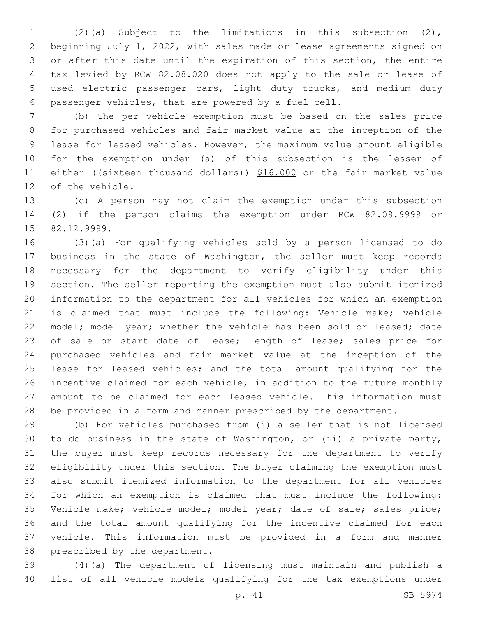(2)(a) Subject to the limitations in this subsection (2), beginning July 1, 2022, with sales made or lease agreements signed on or after this date until the expiration of this section, the entire tax levied by RCW 82.08.020 does not apply to the sale or lease of used electric passenger cars, light duty trucks, and medium duty passenger vehicles, that are powered by a fuel cell.

 (b) The per vehicle exemption must be based on the sales price for purchased vehicles and fair market value at the inception of the lease for leased vehicles. However, the maximum value amount eligible for the exemption under (a) of this subsection is the lesser of 11 either ((sixteen thousand dollars)) \$16,000 or the fair market value 12 of the vehicle.

 (c) A person may not claim the exemption under this subsection (2) if the person claims the exemption under RCW 82.08.9999 or 15 82.12.9999.

 (3)(a) For qualifying vehicles sold by a person licensed to do business in the state of Washington, the seller must keep records necessary for the department to verify eligibility under this section. The seller reporting the exemption must also submit itemized information to the department for all vehicles for which an exemption is claimed that must include the following: Vehicle make; vehicle 22 model; model year; whether the vehicle has been sold or leased; date 23 of sale or start date of lease; length of lease; sales price for purchased vehicles and fair market value at the inception of the 25 lease for leased vehicles; and the total amount qualifying for the incentive claimed for each vehicle, in addition to the future monthly amount to be claimed for each leased vehicle. This information must be provided in a form and manner prescribed by the department.

 (b) For vehicles purchased from (i) a seller that is not licensed to do business in the state of Washington, or (ii) a private party, the buyer must keep records necessary for the department to verify eligibility under this section. The buyer claiming the exemption must also submit itemized information to the department for all vehicles for which an exemption is claimed that must include the following: Vehicle make; vehicle model; model year; date of sale; sales price; and the total amount qualifying for the incentive claimed for each vehicle. This information must be provided in a form and manner 38 prescribed by the department.

 (4)(a) The department of licensing must maintain and publish a list of all vehicle models qualifying for the tax exemptions under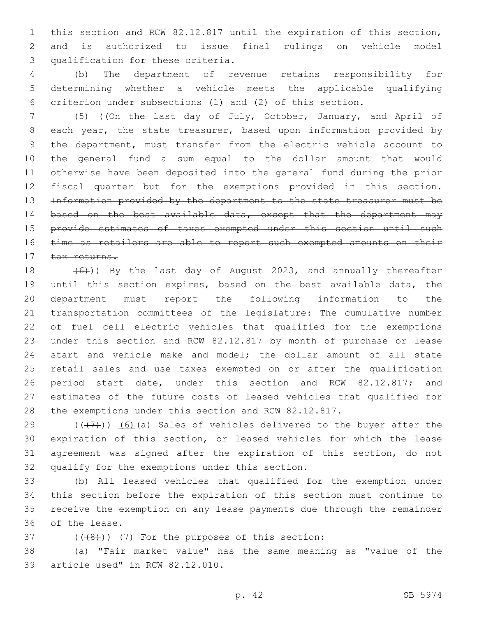this section and RCW 82.12.817 until the expiration of this section, and is authorized to issue final rulings on vehicle model 3 qualification for these criteria.

 (b) The department of revenue retains responsibility for determining whether a vehicle meets the applicable qualifying criterion under subsections (1) and (2) of this section.

 (5) ((On the last day of July, October, January, and April of 8 each year, the state treasurer, based upon information provided by 9 the department, must transfer from the electric vehicle account to the general fund a sum equal to the dollar amount that would otherwise have been deposited into the general fund during the prior fiscal quarter but for the exemptions provided in this section. Information provided by the department to the state treasurer must be 14 based on the best available data, except that the department may 15 provide estimates of taxes exempted under this section until such 16 time as retailers are able to report such exempted amounts on their tax returns.

 $(6)$ )) By the last day of August 2023, and annually thereafter until this section expires, based on the best available data, the department must report the following information to the transportation committees of the legislature: The cumulative number of fuel cell electric vehicles that qualified for the exemptions under this section and RCW 82.12.817 by month of purchase or lease start and vehicle make and model; the dollar amount of all state retail sales and use taxes exempted on or after the qualification period start date, under this section and RCW 82.12.817; and estimates of the future costs of leased vehicles that qualified for the exemptions under this section and RCW 82.12.817.

 $((+7+))$  (6)(a) Sales of vehicles delivered to the buyer after the expiration of this section, or leased vehicles for which the lease agreement was signed after the expiration of this section, do not 32 qualify for the exemptions under this section.

 (b) All leased vehicles that qualified for the exemption under this section before the expiration of this section must continue to receive the exemption on any lease payments due through the remainder 36 of the lease.

 $(1+8)$ )  $(7)$  For the purposes of this section:

 (a) "Fair market value" has the same meaning as "value of the 39 article used" in RCW 82.12.010.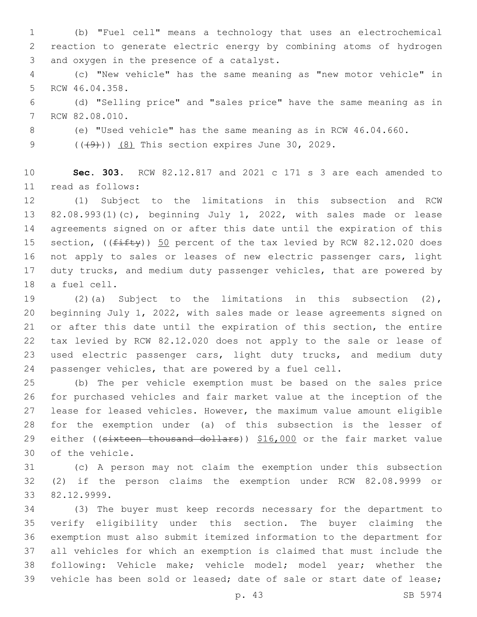(b) "Fuel cell" means a technology that uses an electrochemical reaction to generate electric energy by combining atoms of hydrogen 3 and oxygen in the presence of a catalyst.

 (c) "New vehicle" has the same meaning as "new motor vehicle" in 5 RCW 46.04.358.

 (d) "Selling price" and "sales price" have the same meaning as in 7 RCW 82.08.010.

(e) "Used vehicle" has the same meaning as in RCW 46.04.660.

9 (((49))) (8) This section expires June 30, 2029.

 **Sec. 303.** RCW 82.12.817 and 2021 c 171 s 3 are each amended to read as follows:11

 (1) Subject to the limitations in this subsection and RCW 82.08.993(1)(c), beginning July 1, 2022, with sales made or lease agreements signed on or after this date until the expiration of this 15 section, (( $f$ ifty)) 50 percent of the tax levied by RCW 82.12.020 does not apply to sales or leases of new electric passenger cars, light duty trucks, and medium duty passenger vehicles, that are powered by 18 a fuel cell.

 (2)(a) Subject to the limitations in this subsection (2), beginning July 1, 2022, with sales made or lease agreements signed on or after this date until the expiration of this section, the entire tax levied by RCW 82.12.020 does not apply to the sale or lease of used electric passenger cars, light duty trucks, and medium duty passenger vehicles, that are powered by a fuel cell.

 (b) The per vehicle exemption must be based on the sales price for purchased vehicles and fair market value at the inception of the lease for leased vehicles. However, the maximum value amount eligible for the exemption under (a) of this subsection is the lesser of 29 either ((sixteen thousand dollars)) \$16,000 or the fair market value 30 of the vehicle.

 (c) A person may not claim the exemption under this subsection (2) if the person claims the exemption under RCW 82.08.9999 or 82.12.9999.33

 (3) The buyer must keep records necessary for the department to verify eligibility under this section. The buyer claiming the exemption must also submit itemized information to the department for all vehicles for which an exemption is claimed that must include the following: Vehicle make; vehicle model; model year; whether the vehicle has been sold or leased; date of sale or start date of lease;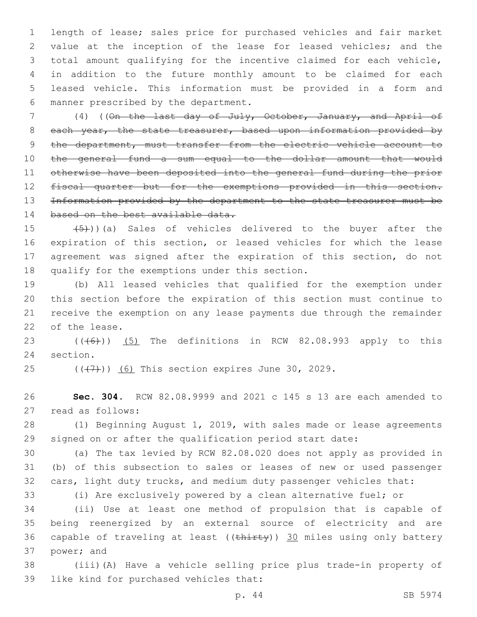length of lease; sales price for purchased vehicles and fair market value at the inception of the lease for leased vehicles; and the total amount qualifying for the incentive claimed for each vehicle, in addition to the future monthly amount to be claimed for each leased vehicle. This information must be provided in a form and 6 manner prescribed by the department.

 (4) ((On the last day of July, October, January, and April of 8 each year, the state treasurer, based upon information provided by 9 the department, must transfer from the electric vehicle account to the general fund a sum equal to the dollar amount that would otherwise have been deposited into the general fund during the prior fiscal quarter but for the exemptions provided in this section. Information provided by the department to the state treasurer must be 14 based on the best available data.

 $(5)$ ))(a) Sales of vehicles delivered to the buyer after the expiration of this section, or leased vehicles for which the lease agreement was signed after the expiration of this section, do not 18 qualify for the exemptions under this section.

 (b) All leased vehicles that qualified for the exemption under this section before the expiration of this section must continue to receive the exemption on any lease payments due through the remainder 22 of the lease.

23  $((\overline{6}))$   $(5)$  The definitions in RCW 82.08.993 apply to this 24 section.

 $(47)$  (( $(47)$ )) (6) This section expires June 30, 2029.

 **Sec. 304.** RCW 82.08.9999 and 2021 c 145 s 13 are each amended to 27 read as follows:

 (1) Beginning August 1, 2019, with sales made or lease agreements signed on or after the qualification period start date:

 (a) The tax levied by RCW 82.08.020 does not apply as provided in (b) of this subsection to sales or leases of new or used passenger cars, light duty trucks, and medium duty passenger vehicles that:

(i) Are exclusively powered by a clean alternative fuel; or

 (ii) Use at least one method of propulsion that is capable of being reenergized by an external source of electricity and are 36 capable of traveling at least ((thirty)) 30 miles using only battery 37 power; and

 (iii)(A) Have a vehicle selling price plus trade-in property of 39 like kind for purchased vehicles that: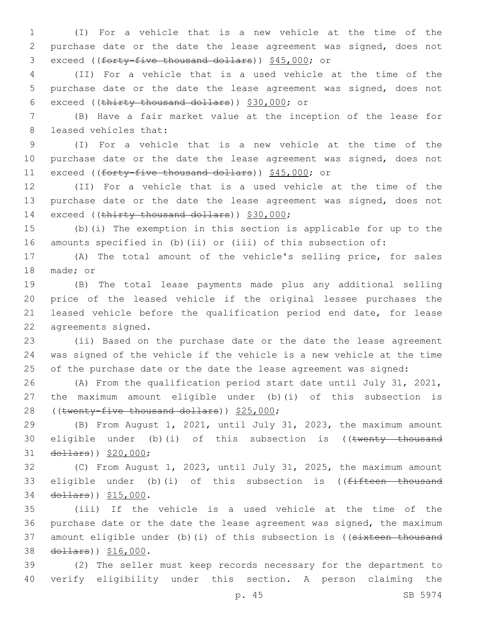1 (I) For a vehicle that is a new vehicle at the time of the 2 purchase date or the date the lease agreement was signed, does not 3 exceed ((forty-five thousand dollars)) \$45,000; or

4 (II) For a vehicle that is a used vehicle at the time of the 5 purchase date or the date the lease agreement was signed, does not 6 exceed ((thirty thousand dollars))  $$30,000$ ; or

7 (B) Have a fair market value at the inception of the lease for 8 leased vehicles that:

9 (I) For a vehicle that is a new vehicle at the time of the 10 purchase date or the date the lease agreement was signed, does not 11 exceed ((forty-five thousand dollars)) \$45,000; or

12 (II) For a vehicle that is a used vehicle at the time of the 13 purchase date or the date the lease agreement was signed, does not 14 exceed ((thirty thousand dollars)) \$30,000;

15 (b)(i) The exemption in this section is applicable for up to the 16 amounts specified in (b)(ii) or (iii) of this subsection of:

17 (A) The total amount of the vehicle's selling price, for sales 18 made; or

 (B) The total lease payments made plus any additional selling price of the leased vehicle if the original lessee purchases the leased vehicle before the qualification period end date, for lease 22 agreements signed.

23 (ii) Based on the purchase date or the date the lease agreement 24 was signed of the vehicle if the vehicle is a new vehicle at the time 25 of the purchase date or the date the lease agreement was signed:

26 (A) From the qualification period start date until July 31, 2021, 27 the maximum amount eligible under (b)(i) of this subsection is 28 ((twenty-five thousand dollars)) \$25,000;

29 (B) From August 1, 2021, until July 31, 2023, the maximum amount 30 eligible under (b)(i) of this subsection is ((twenty thousand 31 dollars)) \$20,000;

32 (C) From August 1, 2023, until July 31, 2025, the maximum amount 33 eligible under (b)(i) of this subsection is ((fifteen thousand 34 dollars)) \$15,000.

35 (iii) If the vehicle is a used vehicle at the time of the 36 purchase date or the date the lease agreement was signed, the maximum 37 amount eligible under (b)(i) of this subsection is ((sixteen thousand 38 dollars)) \$16,000.

39 (2) The seller must keep records necessary for the department to 40 verify eligibility under this section. A person claiming the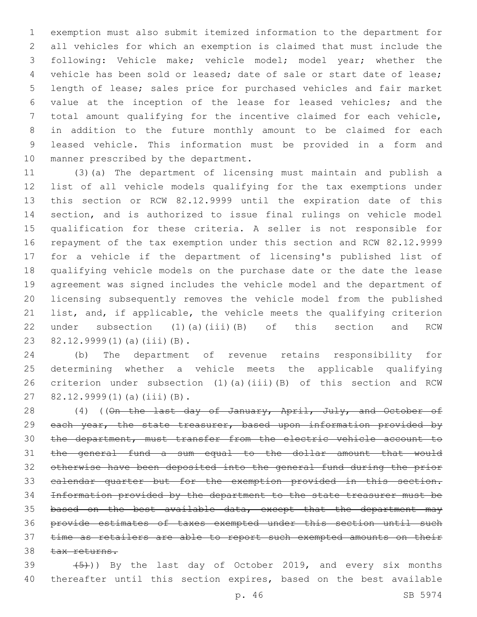exemption must also submit itemized information to the department for all vehicles for which an exemption is claimed that must include the following: Vehicle make; vehicle model; model year; whether the vehicle has been sold or leased; date of sale or start date of lease; length of lease; sales price for purchased vehicles and fair market value at the inception of the lease for leased vehicles; and the total amount qualifying for the incentive claimed for each vehicle, in addition to the future monthly amount to be claimed for each leased vehicle. This information must be provided in a form and 10 manner prescribed by the department.

 (3)(a) The department of licensing must maintain and publish a list of all vehicle models qualifying for the tax exemptions under this section or RCW 82.12.9999 until the expiration date of this section, and is authorized to issue final rulings on vehicle model qualification for these criteria. A seller is not responsible for repayment of the tax exemption under this section and RCW 82.12.9999 for a vehicle if the department of licensing's published list of qualifying vehicle models on the purchase date or the date the lease agreement was signed includes the vehicle model and the department of licensing subsequently removes the vehicle model from the published list, and, if applicable, the vehicle meets the qualifying criterion under subsection (1)(a)(iii)(B) of this section and RCW 23 82.12.9999(1)(a)(iii)(B).

 (b) The department of revenue retains responsibility for determining whether a vehicle meets the applicable qualifying criterion under subsection (1)(a)(iii)(B) of this section and RCW 27 82.12.9999(1)(a)(iii)(B).

28 (4) ((On the last day of January, April, July, and October of 29 each year, the state treasurer, based upon information provided by the department, must transfer from the electric vehicle account to the general fund a sum equal to the dollar amount that would otherwise have been deposited into the general fund during the prior 33 calendar quarter but for the exemption provided in this section. Information provided by the department to the state treasurer must be 35 based on the best available data, except that the department may provide estimates of taxes exempted under this section until such 37 time as retailers are able to report such exempted amounts on their 38 tax returns.

39  $(5)$ )) By the last day of October 2019, and every six months thereafter until this section expires, based on the best available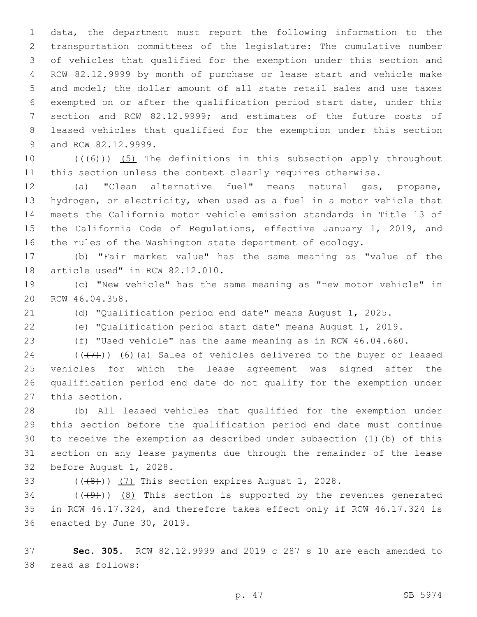data, the department must report the following information to the transportation committees of the legislature: The cumulative number of vehicles that qualified for the exemption under this section and RCW 82.12.9999 by month of purchase or lease start and vehicle make and model; the dollar amount of all state retail sales and use taxes exempted on or after the qualification period start date, under this section and RCW 82.12.9999; and estimates of the future costs of leased vehicles that qualified for the exemption under this section 9 and RCW 82.12.9999.

10  $((+6))$  (5) The definitions in this subsection apply throughout this section unless the context clearly requires otherwise.

 (a) "Clean alternative fuel" means natural gas, propane, hydrogen, or electricity, when used as a fuel in a motor vehicle that meets the California motor vehicle emission standards in Title 13 of the California Code of Regulations, effective January 1, 2019, and the rules of the Washington state department of ecology.

 (b) "Fair market value" has the same meaning as "value of the 18 article used" in RCW 82.12.010.

 (c) "New vehicle" has the same meaning as "new motor vehicle" in 20 RCW 46.04.358.

(d) "Qualification period end date" means August 1, 2025.

(e) "Qualification period start date" means August 1, 2019.

(f) "Used vehicle" has the same meaning as in RCW 46.04.660.

 $((\langle 7\rangle))$  (6)(a) Sales of vehicles delivered to the buyer or leased vehicles for which the lease agreement was signed after the qualification period end date do not qualify for the exemption under 27 this section.

 (b) All leased vehicles that qualified for the exemption under this section before the qualification period end date must continue to receive the exemption as described under subsection (1)(b) of this section on any lease payments due through the remainder of the lease 32 before August 1, 2028.

33  $((+8))$   $(7)$  This section expires August 1, 2028.

34  $((\langle 9 \rangle)(8)$  This section is supported by the revenues generated in RCW 46.17.324, and therefore takes effect only if RCW 46.17.324 is 36 enacted by June 30, 2019.

 **Sec. 305.** RCW 82.12.9999 and 2019 c 287 s 10 are each amended to 38 read as follows: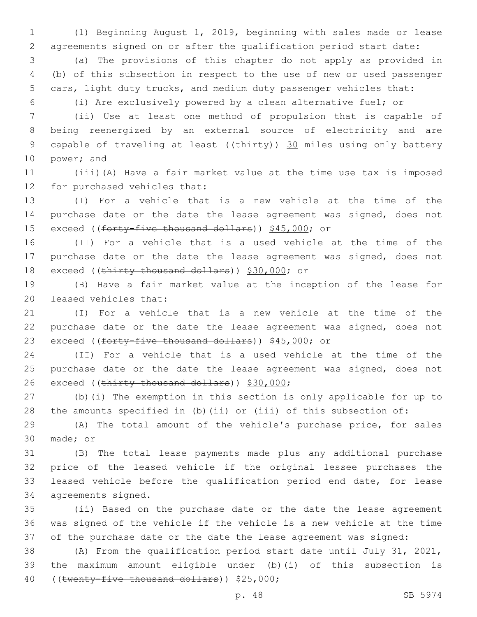(1) Beginning August 1, 2019, beginning with sales made or lease agreements signed on or after the qualification period start date:

 (a) The provisions of this chapter do not apply as provided in (b) of this subsection in respect to the use of new or used passenger cars, light duty trucks, and medium duty passenger vehicles that:

(i) Are exclusively powered by a clean alternative fuel; or

 (ii) Use at least one method of propulsion that is capable of being reenergized by an external source of electricity and are 9 capable of traveling at least ((thirty)) 30 miles using only battery 10 power; and

 (iii)(A) Have a fair market value at the time use tax is imposed 12 for purchased vehicles that:

 (I) For a vehicle that is a new vehicle at the time of the purchase date or the date the lease agreement was signed, does not 15 exceed ((forty-five thousand dollars)) \$45,000; or

 (II) For a vehicle that is a used vehicle at the time of the purchase date or the date the lease agreement was signed, does not 18 exceed ((thirty thousand dollars)) \$30,000; or

 (B) Have a fair market value at the inception of the lease for 20 leased vehicles that:

 (I) For a vehicle that is a new vehicle at the time of the purchase date or the date the lease agreement was signed, does not 23 exceed ((forty-five thousand dollars)) \$45,000; or

 (II) For a vehicle that is a used vehicle at the time of the purchase date or the date the lease agreement was signed, does not 26 exceed ((thirty thousand dollars)) \$30,000;

 (b)(i) The exemption in this section is only applicable for up to the amounts specified in (b)(ii) or (iii) of this subsection of:

 (A) The total amount of the vehicle's purchase price, for sales 30 made; or

 (B) The total lease payments made plus any additional purchase price of the leased vehicle if the original lessee purchases the leased vehicle before the qualification period end date, for lease 34 agreements signed.

 (ii) Based on the purchase date or the date the lease agreement was signed of the vehicle if the vehicle is a new vehicle at the time of the purchase date or the date the lease agreement was signed:

 (A) From the qualification period start date until July 31, 2021, the maximum amount eligible under (b)(i) of this subsection is 40 ((twenty-five thousand dollars)) \$25,000;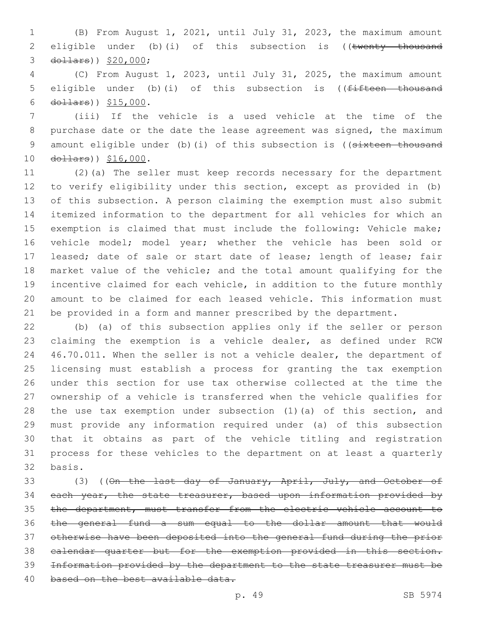(B) From August 1, 2021, until July 31, 2023, the maximum amount 2 eligible under (b)(i) of this subsection is ((twenty thousand 3 dollars)) \$20,000;

 (C) From August 1, 2023, until July 31, 2025, the maximum amount 5 eligible under (b)(i) of this subsection is ((<del>fifteen thousand</del> 6  $d$ ollars))  $$15,000$ .

 (iii) If the vehicle is a used vehicle at the time of the purchase date or the date the lease agreement was signed, the maximum 9 amount eligible under (b)(i) of this subsection is ((sixteen thousand 10 dollars)) \$16,000.

 (2)(a) The seller must keep records necessary for the department to verify eligibility under this section, except as provided in (b) of this subsection. A person claiming the exemption must also submit itemized information to the department for all vehicles for which an exemption is claimed that must include the following: Vehicle make; vehicle model; model year; whether the vehicle has been sold or leased; date of sale or start date of lease; length of lease; fair market value of the vehicle; and the total amount qualifying for the incentive claimed for each vehicle, in addition to the future monthly amount to be claimed for each leased vehicle. This information must be provided in a form and manner prescribed by the department.

 (b) (a) of this subsection applies only if the seller or person claiming the exemption is a vehicle dealer, as defined under RCW 46.70.011. When the seller is not a vehicle dealer, the department of licensing must establish a process for granting the tax exemption under this section for use tax otherwise collected at the time the ownership of a vehicle is transferred when the vehicle qualifies for the use tax exemption under subsection (1)(a) of this section, and must provide any information required under (a) of this subsection that it obtains as part of the vehicle titling and registration process for these vehicles to the department on at least a quarterly 32 basis.

33 (3) ((On the last day of January, April, July, and October of 34 each year, the state treasurer, based upon information provided by the department, must transfer from the electric vehicle account to the general fund a sum equal to the dollar amount that would otherwise have been deposited into the general fund during the prior calendar quarter but for the exemption provided in this section. Information provided by the department to the state treasurer must be 40 based on the best available data.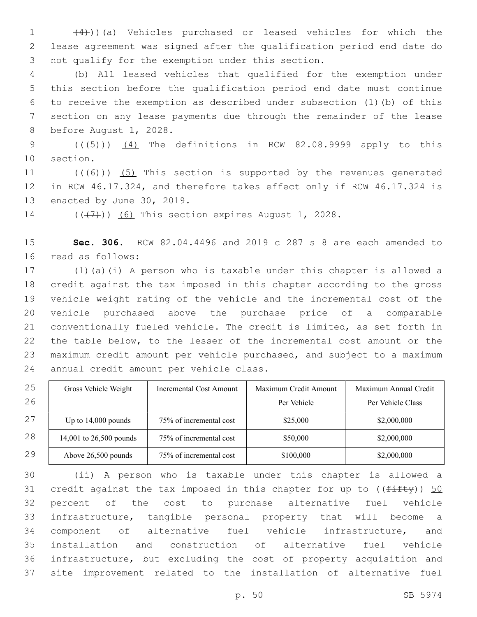(4)))(a) Vehicles purchased or leased vehicles for which the lease agreement was signed after the qualification period end date do 3 not qualify for the exemption under this section.

 (b) All leased vehicles that qualified for the exemption under this section before the qualification period end date must continue to receive the exemption as described under subsection (1)(b) of this section on any lease payments due through the remainder of the lease 8 before August 1, 2028.

9  $((\overline{5}))$   $(4)$  The definitions in RCW 82.08.9999 apply to this 10 section.

11  $((+6))$   $(5)$  This section is supported by the revenues generated in RCW 46.17.324, and therefore takes effect only if RCW 46.17.324 is 13 enacted by June 30, 2019.

14  $((\langle 7 \rangle)(6)$  This section expires August 1, 2028.

 **Sec. 306.** RCW 82.04.4496 and 2019 c 287 s 8 are each amended to 16 read as follows:

 (1)(a)(i) A person who is taxable under this chapter is allowed a credit against the tax imposed in this chapter according to the gross vehicle weight rating of the vehicle and the incremental cost of the vehicle purchased above the purchase price of a comparable conventionally fueled vehicle. The credit is limited, as set forth in the table below, to the lesser of the incremental cost amount or the maximum credit amount per vehicle purchased, and subject to a maximum 24 annual credit amount per vehicle class.

| 25 | Gross Vehicle Weight    | <b>Incremental Cost Amount</b> | Maximum Credit Amount | Maximum Annual Credit |
|----|-------------------------|--------------------------------|-----------------------|-----------------------|
| 26 |                         |                                | Per Vehicle           | Per Vehicle Class     |
| 27 | Up to $14,000$ pounds   | 75% of incremental cost        | \$25,000              | \$2,000,000           |
| 28 | 14,001 to 26,500 pounds | 75% of incremental cost        | \$50,000              | \$2,000,000           |
| 29 | Above 26,500 pounds     | 75% of incremental cost        | \$100,000             | \$2,000,000           |

 (ii) A person who is taxable under this chapter is allowed a 31 credit against the tax imposed in this chapter for up to  $((f\text{iff}\psi))$  50 percent of the cost to purchase alternative fuel vehicle infrastructure, tangible personal property that will become a component of alternative fuel vehicle infrastructure, and installation and construction of alternative fuel vehicle infrastructure, but excluding the cost of property acquisition and site improvement related to the installation of alternative fuel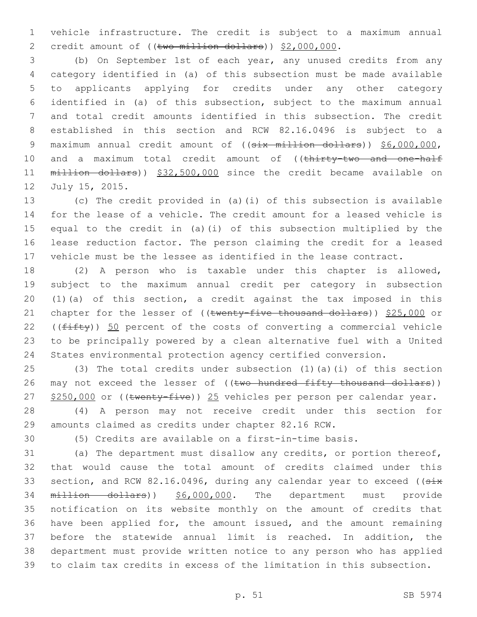vehicle infrastructure. The credit is subject to a maximum annual 2 credit amount of ((two million dollars)) \$2,000,000.

 (b) On September 1st of each year, any unused credits from any category identified in (a) of this subsection must be made available to applicants applying for credits under any other category identified in (a) of this subsection, subject to the maximum annual and total credit amounts identified in this subsection. The credit established in this section and RCW 82.16.0496 is subject to a 9 maximum annual credit amount of ((six million dollars)) \$6,000,000, 10 and a maximum total credit amount of ((thirty-two and one-half million dollars)) \$32,500,000 since the credit became available on 12 July 15, 2015.

 (c) The credit provided in (a)(i) of this subsection is available for the lease of a vehicle. The credit amount for a leased vehicle is equal to the credit in (a)(i) of this subsection multiplied by the lease reduction factor. The person claiming the credit for a leased vehicle must be the lessee as identified in the lease contract.

 (2) A person who is taxable under this chapter is allowed, subject to the maximum annual credit per category in subsection (1)(a) of this section, a credit against the tax imposed in this 21 chapter for the lesser of ((twenty-five thousand dollars)) \$25,000 or 22 ( $(fiff(y))$  50 percent of the costs of converting a commercial vehicle to be principally powered by a clean alternative fuel with a United States environmental protection agency certified conversion.

 (3) The total credits under subsection (1)(a)(i) of this section 26 may not exceed the lesser of ((two hundred fifty thousand dollars)) 27 \$250,000 or ((twenty-five)) 25 vehicles per person per calendar year.

 (4) A person may not receive credit under this section for amounts claimed as credits under chapter 82.16 RCW.

(5) Credits are available on a first-in-time basis.

 (a) The department must disallow any credits, or portion thereof, that would cause the total amount of credits claimed under this 33 section, and RCW 82.16.0496, during any calendar year to exceed ((six million dollars)) \$6,000,000. The department must provide notification on its website monthly on the amount of credits that have been applied for, the amount issued, and the amount remaining before the statewide annual limit is reached. In addition, the department must provide written notice to any person who has applied to claim tax credits in excess of the limitation in this subsection.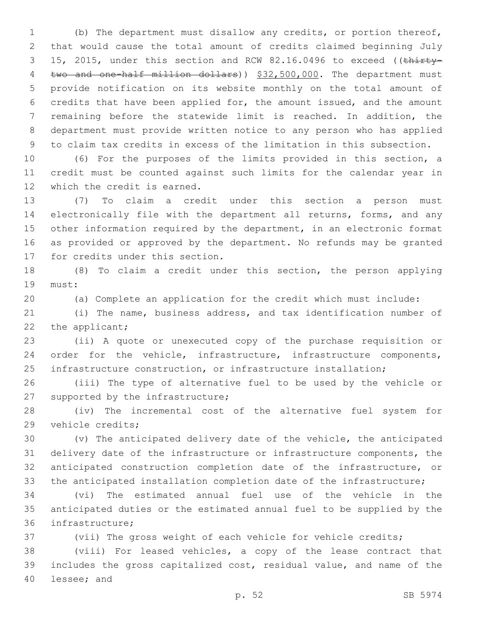(b) The department must disallow any credits, or portion thereof, that would cause the total amount of credits claimed beginning July 3 15, 2015, under this section and RCW 82.16.0496 to exceed ((thirty-4 two and one-half million dollars)) \$32,500,000. The department must provide notification on its website monthly on the total amount of credits that have been applied for, the amount issued, and the amount remaining before the statewide limit is reached. In addition, the department must provide written notice to any person who has applied to claim tax credits in excess of the limitation in this subsection.

 (6) For the purposes of the limits provided in this section, a credit must be counted against such limits for the calendar year in 12 which the credit is earned.

 (7) To claim a credit under this section a person must electronically file with the department all returns, forms, and any other information required by the department, in an electronic format as provided or approved by the department. No refunds may be granted 17 for credits under this section.

 (8) To claim a credit under this section, the person applying 19 must:

(a) Complete an application for the credit which must include:

 (i) The name, business address, and tax identification number of 22 the applicant;

 (ii) A quote or unexecuted copy of the purchase requisition or order for the vehicle, infrastructure, infrastructure components, infrastructure construction, or infrastructure installation;

 (iii) The type of alternative fuel to be used by the vehicle or 27 supported by the infrastructure;

 (iv) The incremental cost of the alternative fuel system for 29 vehicle credits;

 (v) The anticipated delivery date of the vehicle, the anticipated delivery date of the infrastructure or infrastructure components, the anticipated construction completion date of the infrastructure, or the anticipated installation completion date of the infrastructure;

 (vi) The estimated annual fuel use of the vehicle in the anticipated duties or the estimated annual fuel to be supplied by the 36 infrastructure;

(vii) The gross weight of each vehicle for vehicle credits;

 (viii) For leased vehicles, a copy of the lease contract that includes the gross capitalized cost, residual value, and name of the 40 lessee; and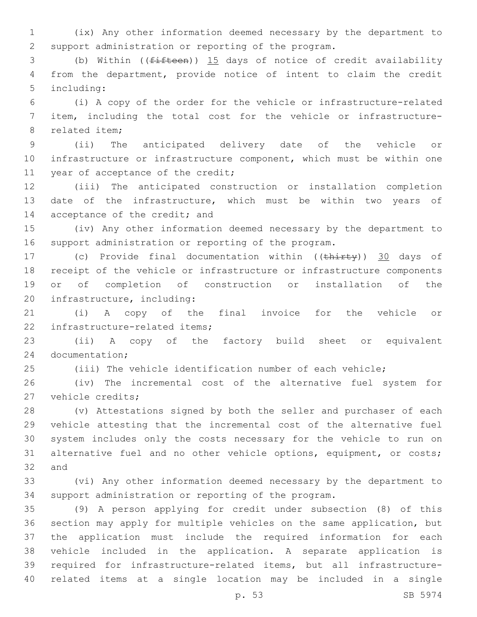(ix) Any other information deemed necessary by the department to support administration or reporting of the program.

 (b) Within ((fifteen)) 15 days of notice of credit availability from the department, provide notice of intent to claim the credit 5 including:

 (i) A copy of the order for the vehicle or infrastructure-related item, including the total cost for the vehicle or infrastructure-8 related item:

 (ii) The anticipated delivery date of the vehicle or infrastructure or infrastructure component, which must be within one 11 year of acceptance of the credit;

 (iii) The anticipated construction or installation completion date of the infrastructure, which must be within two years of 14 acceptance of the credit; and

 (iv) Any other information deemed necessary by the department to support administration or reporting of the program.

17 (c) Provide final documentation within ((thirty)) 30 days of receipt of the vehicle or infrastructure or infrastructure components or of completion of construction or installation of the 20 infrastructure, including:

 (i) A copy of the final invoice for the vehicle or 22 infrastructure-related items;

 (ii) A copy of the factory build sheet or equivalent 24 documentation;

(iii) The vehicle identification number of each vehicle;

 (iv) The incremental cost of the alternative fuel system for 27 vehicle credits;

 (v) Attestations signed by both the seller and purchaser of each vehicle attesting that the incremental cost of the alternative fuel system includes only the costs necessary for the vehicle to run on 31 alternative fuel and no other vehicle options, equipment, or costs; 32 and

 (vi) Any other information deemed necessary by the department to support administration or reporting of the program.

 (9) A person applying for credit under subsection (8) of this section may apply for multiple vehicles on the same application, but the application must include the required information for each vehicle included in the application. A separate application is required for infrastructure-related items, but all infrastructure-related items at a single location may be included in a single

p. 53 SB 5974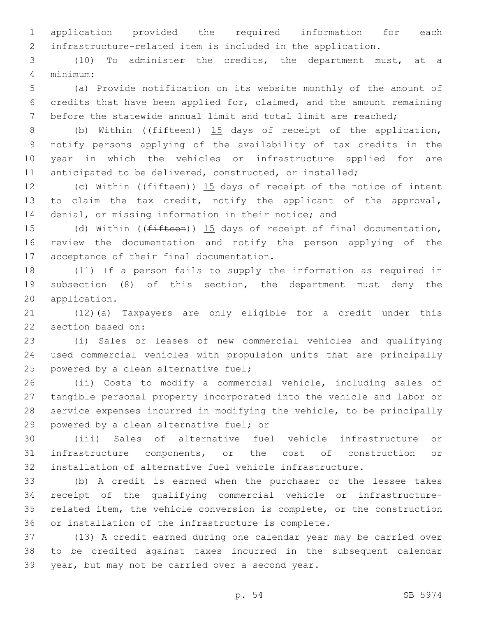application provided the required information for each infrastructure-related item is included in the application.

 (10) To administer the credits, the department must, at a minimum:4

 (a) Provide notification on its website monthly of the amount of credits that have been applied for, claimed, and the amount remaining before the statewide annual limit and total limit are reached;

8 (b) Within ((fifteen)) 15 days of receipt of the application, notify persons applying of the availability of tax credits in the year in which the vehicles or infrastructure applied for are anticipated to be delivered, constructed, or installed;

12 (c) Within ((<del>fifteen</del>)) 15 days of receipt of the notice of intent to claim the tax credit, notify the applicant of the approval, 14 denial, or missing information in their notice; and

15 (d) Within ((<del>fifteen</del>)) 15 days of receipt of final documentation, review the documentation and notify the person applying of the 17 acceptance of their final documentation.

 (11) If a person fails to supply the information as required in subsection (8) of this section, the department must deny the 20 application.

 (12)(a) Taxpayers are only eligible for a credit under this 22 section based on:

 (i) Sales or leases of new commercial vehicles and qualifying used commercial vehicles with propulsion units that are principally 25 powered by a clean alternative fuel;

 (ii) Costs to modify a commercial vehicle, including sales of tangible personal property incorporated into the vehicle and labor or service expenses incurred in modifying the vehicle, to be principally 29 powered by a clean alternative fuel; or

 (iii) Sales of alternative fuel vehicle infrastructure or infrastructure components, or the cost of construction or installation of alternative fuel vehicle infrastructure.

 (b) A credit is earned when the purchaser or the lessee takes receipt of the qualifying commercial vehicle or infrastructure- related item, the vehicle conversion is complete, or the construction or installation of the infrastructure is complete.

 (13) A credit earned during one calendar year may be carried over to be credited against taxes incurred in the subsequent calendar 39 year, but may not be carried over a second year.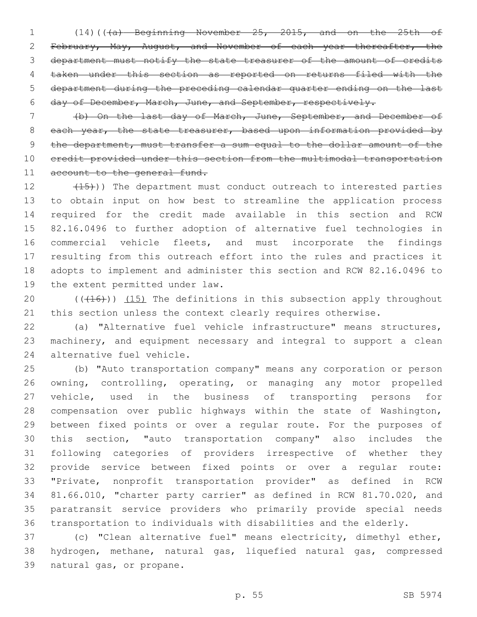(14)(((a) Beginning November 25, 2015, and on the 25th of February, May, August, and November of each year thereafter, the department must notify the state treasurer of the amount of credits taken under this section as reported on returns filed with the department during the preceding calendar quarter ending on the last day of December, March, June, and September, respectively.

 (b) On the last day of March, June, September, and December of 8 each year, the state treasurer, based upon information provided by the department, must transfer a sum equal to the dollar amount of the credit provided under this section from the multimodal transportation 11 account to the general fund.

12 (15)) The department must conduct outreach to interested parties to obtain input on how best to streamline the application process required for the credit made available in this section and RCW 82.16.0496 to further adoption of alternative fuel technologies in commercial vehicle fleets, and must incorporate the findings resulting from this outreach effort into the rules and practices it adopts to implement and administer this section and RCW 82.16.0496 to 19 the extent permitted under law.

20  $((+16))$   $(15)$  The definitions in this subsection apply throughout 21 this section unless the context clearly requires otherwise.

 (a) "Alternative fuel vehicle infrastructure" means structures, machinery, and equipment necessary and integral to support a clean 24 alternative fuel vehicle.

 (b) "Auto transportation company" means any corporation or person owning, controlling, operating, or managing any motor propelled vehicle, used in the business of transporting persons for compensation over public highways within the state of Washington, between fixed points or over a regular route. For the purposes of this section, "auto transportation company" also includes the following categories of providers irrespective of whether they provide service between fixed points or over a regular route: "Private, nonprofit transportation provider" as defined in RCW 81.66.010, "charter party carrier" as defined in RCW 81.70.020, and paratransit service providers who primarily provide special needs transportation to individuals with disabilities and the elderly.

 (c) "Clean alternative fuel" means electricity, dimethyl ether, hydrogen, methane, natural gas, liquefied natural gas, compressed 39 natural gas, or propane.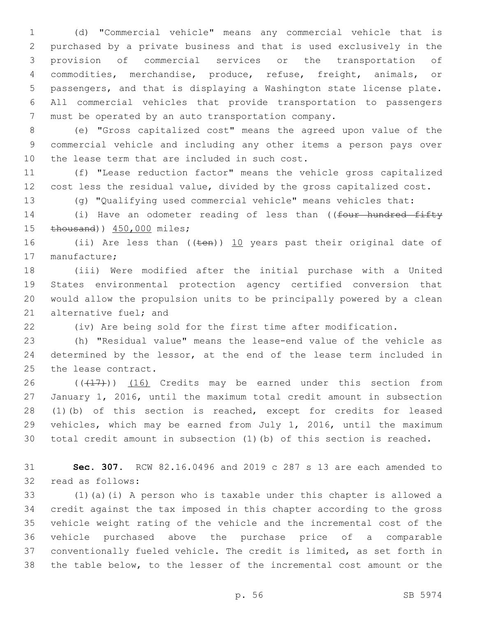(d) "Commercial vehicle" means any commercial vehicle that is purchased by a private business and that is used exclusively in the provision of commercial services or the transportation of commodities, merchandise, produce, refuse, freight, animals, or passengers, and that is displaying a Washington state license plate. All commercial vehicles that provide transportation to passengers must be operated by an auto transportation company.

 (e) "Gross capitalized cost" means the agreed upon value of the commercial vehicle and including any other items a person pays over 10 the lease term that are included in such cost.

 (f) "Lease reduction factor" means the vehicle gross capitalized cost less the residual value, divided by the gross capitalized cost.

(g) "Qualifying used commercial vehicle" means vehicles that:

14 (i) Have an odometer reading of less than ((four hundred fifty 15 thousand)) 450,000 miles;

16 (ii) Are less than (( $t$ en)) 10 years past their original date of 17 manufacture;

 (iii) Were modified after the initial purchase with a United States environmental protection agency certified conversion that would allow the propulsion units to be principally powered by a clean 21 alternative fuel; and

(iv) Are being sold for the first time after modification.

 (h) "Residual value" means the lease-end value of the vehicle as 24 determined by the lessor, at the end of the lease term included in 25 the lease contract.

 $((+17))$   $(16)$  Credits may be earned under this section from January 1, 2016, until the maximum total credit amount in subsection (1)(b) of this section is reached, except for credits for leased vehicles, which may be earned from July 1, 2016, until the maximum total credit amount in subsection (1)(b) of this section is reached.

 **Sec. 307.** RCW 82.16.0496 and 2019 c 287 s 13 are each amended to 32 read as follows:

 (1)(a)(i) A person who is taxable under this chapter is allowed a credit against the tax imposed in this chapter according to the gross vehicle weight rating of the vehicle and the incremental cost of the vehicle purchased above the purchase price of a comparable conventionally fueled vehicle. The credit is limited, as set forth in the table below, to the lesser of the incremental cost amount or the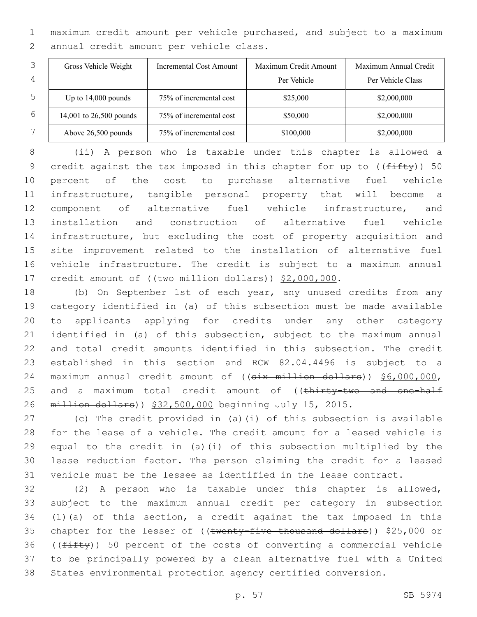maximum credit amount per vehicle purchased, and subject to a maximum 2 annual credit amount per vehicle class.

|   | Gross Vehicle Weight    | Incremental Cost Amount | Maximum Credit Amount | Maximum Annual Credit |
|---|-------------------------|-------------------------|-----------------------|-----------------------|
| 4 |                         |                         | Per Vehicle           | Per Vehicle Class     |
| 5 | Up to $14,000$ pounds   | 75% of incremental cost | \$25,000              | \$2,000,000           |
| 6 | 14,001 to 26,500 pounds | 75% of incremental cost | \$50,000              | \$2,000,000           |
|   | Above 26,500 pounds     | 75% of incremental cost | \$100,000             | \$2,000,000           |

 (ii) A person who is taxable under this chapter is allowed a 9 credit against the tax imposed in this chapter for up to  $((f\text{iff}\psi))$  50 percent of the cost to purchase alternative fuel vehicle infrastructure, tangible personal property that will become a component of alternative fuel vehicle infrastructure, and installation and construction of alternative fuel vehicle infrastructure, but excluding the cost of property acquisition and site improvement related to the installation of alternative fuel vehicle infrastructure. The credit is subject to a maximum annual 17 credit amount of ((two million dollars)) \$2,000,000.

 (b) On September 1st of each year, any unused credits from any category identified in (a) of this subsection must be made available to applicants applying for credits under any other category identified in (a) of this subsection, subject to the maximum annual and total credit amounts identified in this subsection. The credit established in this section and RCW 82.04.4496 is subject to a maximum annual credit amount of ((six million dollars)) \$6,000,000, 25 and a maximum total credit amount of ((thirty-two and one-half million dollars)) \$32,500,000 beginning July 15, 2015.

 (c) The credit provided in (a)(i) of this subsection is available for the lease of a vehicle. The credit amount for a leased vehicle is equal to the credit in (a)(i) of this subsection multiplied by the lease reduction factor. The person claiming the credit for a leased vehicle must be the lessee as identified in the lease contract.

 (2) A person who is taxable under this chapter is allowed, subject to the maximum annual credit per category in subsection (1)(a) of this section, a credit against the tax imposed in this 35 chapter for the lesser of ((twenty-five thousand dollars)) \$25,000 or 36 ( $(fiff(y))$  50 percent of the costs of converting a commercial vehicle to be principally powered by a clean alternative fuel with a United States environmental protection agency certified conversion.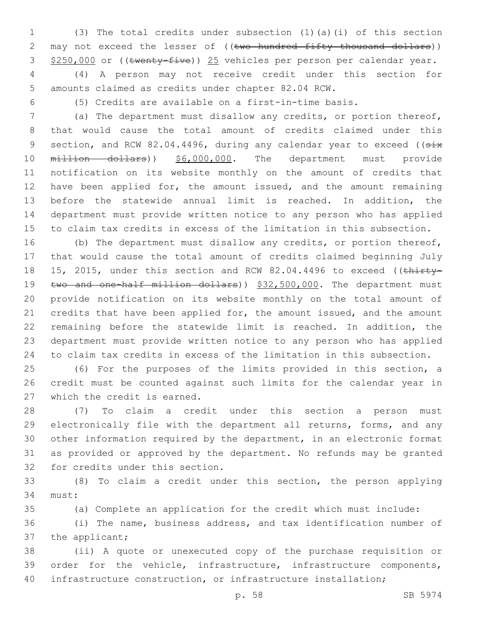(3) The total credits under subsection (1)(a)(i) of this section 2 may not exceed the lesser of ((two hundred fifty thousand dollars)) 3 \$250,000 or ((twenty-five)) 25 vehicles per person per calendar year.

 (4) A person may not receive credit under this section for amounts claimed as credits under chapter 82.04 RCW.

(5) Credits are available on a first-in-time basis.

 (a) The department must disallow any credits, or portion thereof, that would cause the total amount of credits claimed under this 9 section, and RCW 82.04.4496, during any calendar year to exceed ((six 10 million dollars)) \$6,000,000. The department must provide notification on its website monthly on the amount of credits that 12 have been applied for, the amount issued, and the amount remaining before the statewide annual limit is reached. In addition, the department must provide written notice to any person who has applied to claim tax credits in excess of the limitation in this subsection.

 (b) The department must disallow any credits, or portion thereof, that would cause the total amount of credits claimed beginning July 18 15, 2015, under this section and RCW 82.04.4496 to exceed ((thirty-19 two and one-half million dollars)) \$32,500,000. The department must provide notification on its website monthly on the total amount of 21 credits that have been applied for, the amount issued, and the amount remaining before the statewide limit is reached. In addition, the department must provide written notice to any person who has applied to claim tax credits in excess of the limitation in this subsection.

 (6) For the purposes of the limits provided in this section, a credit must be counted against such limits for the calendar year in 27 which the credit is earned.

 (7) To claim a credit under this section a person must electronically file with the department all returns, forms, and any other information required by the department, in an electronic format as provided or approved by the department. No refunds may be granted 32 for credits under this section.

 (8) To claim a credit under this section, the person applying 34 must:

(a) Complete an application for the credit which must include:

 (i) The name, business address, and tax identification number of 37 the applicant;

 (ii) A quote or unexecuted copy of the purchase requisition or order for the vehicle, infrastructure, infrastructure components, infrastructure construction, or infrastructure installation;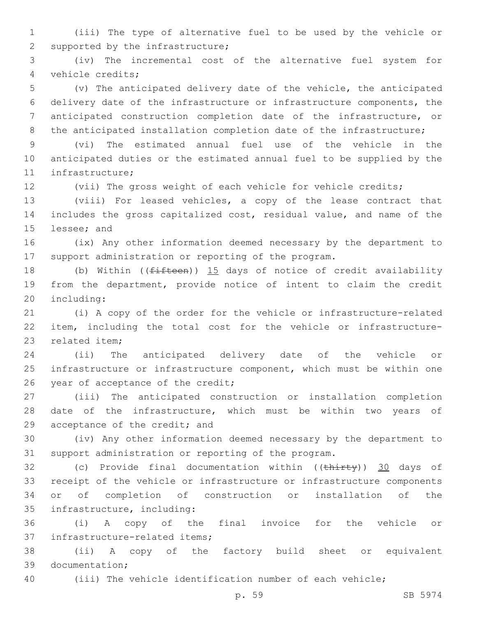(iii) The type of alternative fuel to be used by the vehicle or 2 supported by the infrastructure;

 (iv) The incremental cost of the alternative fuel system for vehicle credits;4

 (v) The anticipated delivery date of the vehicle, the anticipated delivery date of the infrastructure or infrastructure components, the anticipated construction completion date of the infrastructure, or 8 the anticipated installation completion date of the infrastructure;

 (vi) The estimated annual fuel use of the vehicle in the anticipated duties or the estimated annual fuel to be supplied by the 11 infrastructure;

(vii) The gross weight of each vehicle for vehicle credits;

 (viii) For leased vehicles, a copy of the lease contract that includes the gross capitalized cost, residual value, and name of the 15 lessee; and

 (ix) Any other information deemed necessary by the department to support administration or reporting of the program.

18 (b) Within ((fifteen)) 15 days of notice of credit availability from the department, provide notice of intent to claim the credit 20 including:

 (i) A copy of the order for the vehicle or infrastructure-related item, including the total cost for the vehicle or infrastructure-23 related item:

 (ii) The anticipated delivery date of the vehicle or infrastructure or infrastructure component, which must be within one 26 year of acceptance of the credit;

 (iii) The anticipated construction or installation completion date of the infrastructure, which must be within two years of 29 acceptance of the credit; and

 (iv) Any other information deemed necessary by the department to support administration or reporting of the program.

32 (c) Provide final documentation within ((thirty)) 30 days of receipt of the vehicle or infrastructure or infrastructure components or of completion of construction or installation of the 35 infrastructure, including:

 (i) A copy of the final invoice for the vehicle or 37 infrastructure-related items;

 (ii) A copy of the factory build sheet or equivalent 39 documentation;

(iii) The vehicle identification number of each vehicle;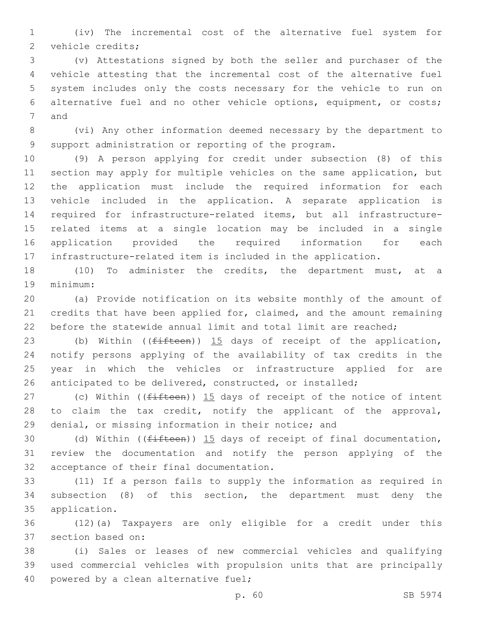(iv) The incremental cost of the alternative fuel system for 2 vehicle credits;

 (v) Attestations signed by both the seller and purchaser of the vehicle attesting that the incremental cost of the alternative fuel system includes only the costs necessary for the vehicle to run on alternative fuel and no other vehicle options, equipment, or costs; 7 and

 (vi) Any other information deemed necessary by the department to support administration or reporting of the program.

 (9) A person applying for credit under subsection (8) of this section may apply for multiple vehicles on the same application, but the application must include the required information for each vehicle included in the application. A separate application is required for infrastructure-related items, but all infrastructure- related items at a single location may be included in a single application provided the required information for each infrastructure-related item is included in the application.

 (10) To administer the credits, the department must, at a 19 minimum:

 (a) Provide notification on its website monthly of the amount of credits that have been applied for, claimed, and the amount remaining before the statewide annual limit and total limit are reached;

23 (b) Within ((fifteen)) 15 days of receipt of the application, notify persons applying of the availability of tax credits in the year in which the vehicles or infrastructure applied for are anticipated to be delivered, constructed, or installed;

27 (c) Within ( $(fifteen)$ )  $15$  days of receipt of the notice of intent 28 to claim the tax credit, notify the applicant of the approval, denial, or missing information in their notice; and

30 (d) Within ((<del>fifteen</del>)) 15 days of receipt of final documentation, review the documentation and notify the person applying of the 32 acceptance of their final documentation.

 (11) If a person fails to supply the information as required in subsection (8) of this section, the department must deny the 35 application.

 (12)(a) Taxpayers are only eligible for a credit under this 37 section based on:

 (i) Sales or leases of new commercial vehicles and qualifying used commercial vehicles with propulsion units that are principally 40 powered by a clean alternative fuel;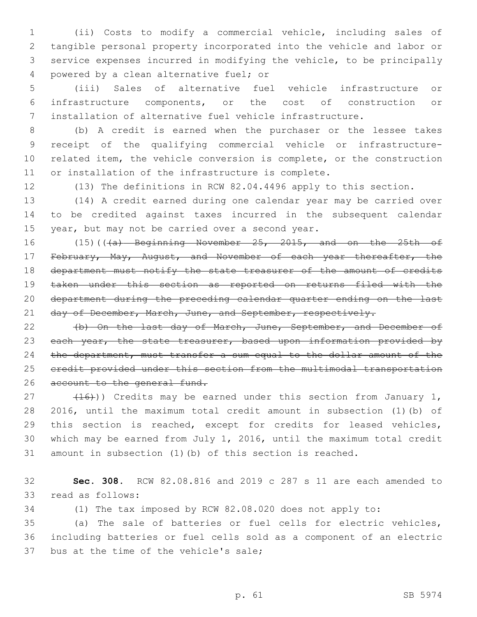(ii) Costs to modify a commercial vehicle, including sales of tangible personal property incorporated into the vehicle and labor or service expenses incurred in modifying the vehicle, to be principally 4 powered by a clean alternative fuel; or

 (iii) Sales of alternative fuel vehicle infrastructure or infrastructure components, or the cost of construction or installation of alternative fuel vehicle infrastructure.

 (b) A credit is earned when the purchaser or the lessee takes receipt of the qualifying commercial vehicle or infrastructure- related item, the vehicle conversion is complete, or the construction or installation of the infrastructure is complete.

(13) The definitions in RCW 82.04.4496 apply to this section.

 (14) A credit earned during one calendar year may be carried over to be credited against taxes incurred in the subsequent calendar 15 year, but may not be carried over a second year.

16 (15)(((a) Beginning November 25, 2015, and on the 25th of 17 February, May, August, and November of each year thereafter, the 18 department must notify the state treasurer of the amount of credits taken under this section as reported on returns filed with the department during the preceding calendar quarter ending on the last 21 day of December, March, June, and September, respectively.

 (b) On the last day of March, June, September, and December of 23 each year, the state treasurer, based upon information provided by the department, must transfer a sum equal to the dollar amount of the credit provided under this section from the multimodal transportation 26 account to the general fund.

 $(16)$ ) Credits may be earned under this section from January 1, 2016, until the maximum total credit amount in subsection (1)(b) of this section is reached, except for credits for leased vehicles, which may be earned from July 1, 2016, until the maximum total credit amount in subsection (1)(b) of this section is reached.

 **Sec. 308.** RCW 82.08.816 and 2019 c 287 s 11 are each amended to 33 read as follows:

(1) The tax imposed by RCW 82.08.020 does not apply to:

 (a) The sale of batteries or fuel cells for electric vehicles, including batteries or fuel cells sold as a component of an electric 37 bus at the time of the vehicle's sale;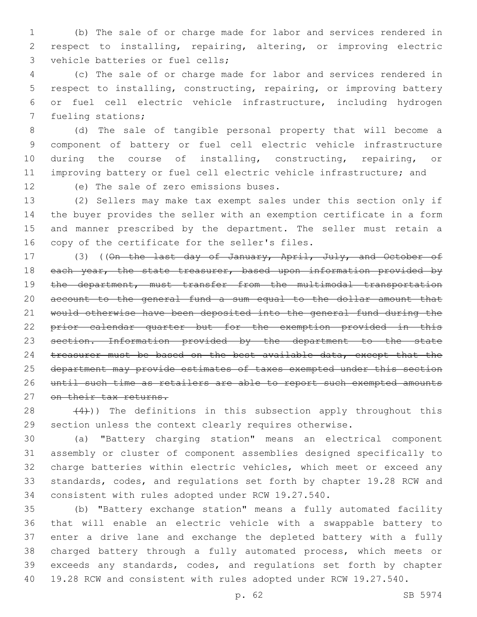(b) The sale of or charge made for labor and services rendered in respect to installing, repairing, altering, or improving electric 3 vehicle batteries or fuel cells;

 (c) The sale of or charge made for labor and services rendered in respect to installing, constructing, repairing, or improving battery or fuel cell electric vehicle infrastructure, including hydrogen 7 fueling stations;

 (d) The sale of tangible personal property that will become a component of battery or fuel cell electric vehicle infrastructure during the course of installing, constructing, repairing, or improving battery or fuel cell electric vehicle infrastructure; and

12 (e) The sale of zero emissions buses.

 (2) Sellers may make tax exempt sales under this section only if the buyer provides the seller with an exemption certificate in a form and manner prescribed by the department. The seller must retain a 16 copy of the certificate for the seller's files.

17 (3) ((On the last day of January, April, July, and October of 18 each year, the state treasurer, based upon information provided by 19 the department, must transfer from the multimodal transportation account to the general fund a sum equal to the dollar amount that would otherwise have been deposited into the general fund during the prior calendar quarter but for the exemption provided in this section. Information provided by the department to the state 24 treasurer must be based on the best available data, except that the department may provide estimates of taxes exempted under this section until such time as retailers are able to report such exempted amounts 27 on their tax returns.

28  $(4)$ )) The definitions in this subsection apply throughout this section unless the context clearly requires otherwise.

 (a) "Battery charging station" means an electrical component assembly or cluster of component assemblies designed specifically to charge batteries within electric vehicles, which meet or exceed any standards, codes, and regulations set forth by chapter 19.28 RCW and consistent with rules adopted under RCW 19.27.540.

 (b) "Battery exchange station" means a fully automated facility that will enable an electric vehicle with a swappable battery to enter a drive lane and exchange the depleted battery with a fully charged battery through a fully automated process, which meets or exceeds any standards, codes, and regulations set forth by chapter 19.28 RCW and consistent with rules adopted under RCW 19.27.540.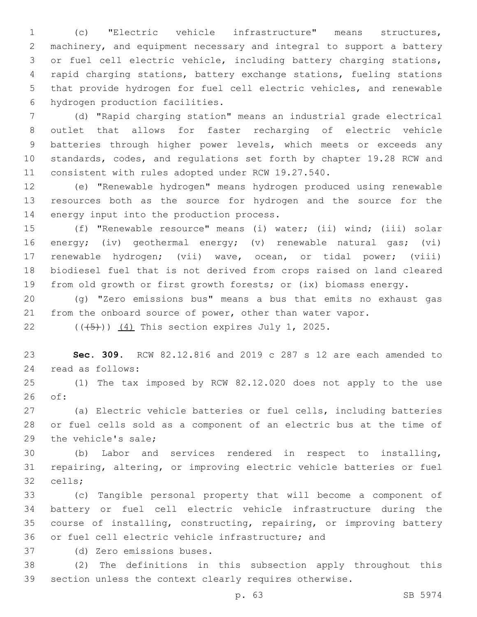(c) "Electric vehicle infrastructure" means structures, machinery, and equipment necessary and integral to support a battery or fuel cell electric vehicle, including battery charging stations, rapid charging stations, battery exchange stations, fueling stations that provide hydrogen for fuel cell electric vehicles, and renewable 6 hydrogen production facilities.

 (d) "Rapid charging station" means an industrial grade electrical outlet that allows for faster recharging of electric vehicle batteries through higher power levels, which meets or exceeds any standards, codes, and regulations set forth by chapter 19.28 RCW and consistent with rules adopted under RCW 19.27.540.

 (e) "Renewable hydrogen" means hydrogen produced using renewable resources both as the source for hydrogen and the source for the 14 energy input into the production process.

 (f) "Renewable resource" means (i) water; (ii) wind; (iii) solar energy; (iv) geothermal energy; (v) renewable natural gas; (vi) renewable hydrogen; (vii) wave, ocean, or tidal power; (viii) biodiesel fuel that is not derived from crops raised on land cleared from old growth or first growth forests; or (ix) biomass energy.

 (g) "Zero emissions bus" means a bus that emits no exhaust gas from the onboard source of power, other than water vapor.

22  $((\overline{5}))(\overline{4})$  This section expires July 1, 2025.

 **Sec. 309.** RCW 82.12.816 and 2019 c 287 s 12 are each amended to 24 read as follows:

 (1) The tax imposed by RCW 82.12.020 does not apply to the use of:26

 (a) Electric vehicle batteries or fuel cells, including batteries or fuel cells sold as a component of an electric bus at the time of 29 the vehicle's sale;

 (b) Labor and services rendered in respect to installing, repairing, altering, or improving electric vehicle batteries or fuel 32 cells;

 (c) Tangible personal property that will become a component of battery or fuel cell electric vehicle infrastructure during the course of installing, constructing, repairing, or improving battery 36 or fuel cell electric vehicle infrastructure; and

(d) Zero emissions buses.37

 (2) The definitions in this subsection apply throughout this section unless the context clearly requires otherwise.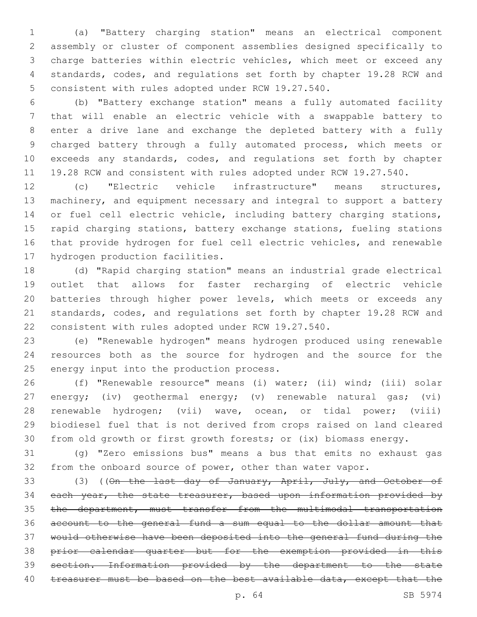(a) "Battery charging station" means an electrical component assembly or cluster of component assemblies designed specifically to charge batteries within electric vehicles, which meet or exceed any standards, codes, and regulations set forth by chapter 19.28 RCW and 5 consistent with rules adopted under RCW 19.27.540.

 (b) "Battery exchange station" means a fully automated facility that will enable an electric vehicle with a swappable battery to enter a drive lane and exchange the depleted battery with a fully charged battery through a fully automated process, which meets or exceeds any standards, codes, and regulations set forth by chapter 19.28 RCW and consistent with rules adopted under RCW 19.27.540.

 (c) "Electric vehicle infrastructure" means structures, machinery, and equipment necessary and integral to support a battery 14 or fuel cell electric vehicle, including battery charging stations, rapid charging stations, battery exchange stations, fueling stations that provide hydrogen for fuel cell electric vehicles, and renewable 17 hydrogen production facilities.

 (d) "Rapid charging station" means an industrial grade electrical outlet that allows for faster recharging of electric vehicle batteries through higher power levels, which meets or exceeds any standards, codes, and regulations set forth by chapter 19.28 RCW and consistent with rules adopted under RCW 19.27.540.

 (e) "Renewable hydrogen" means hydrogen produced using renewable resources both as the source for hydrogen and the source for the 25 energy input into the production process.

 (f) "Renewable resource" means (i) water; (ii) wind; (iii) solar energy; (iv) geothermal energy; (v) renewable natural gas; (vi) renewable hydrogen; (vii) wave, ocean, or tidal power; (viii) biodiesel fuel that is not derived from crops raised on land cleared from old growth or first growth forests; or (ix) biomass energy.

 (g) "Zero emissions bus" means a bus that emits no exhaust gas from the onboard source of power, other than water vapor.

33 (3) ((On the last day of January, April, July, and October of 34 each year, the state treasurer, based upon information provided by the department, must transfer from the multimodal transportation account to the general fund a sum equal to the dollar amount that would otherwise have been deposited into the general fund during the prior calendar quarter but for the exemption provided in this section. Information provided by the department to the state 40 treasurer must be based on the best available data, except that the

p. 64 SB 5974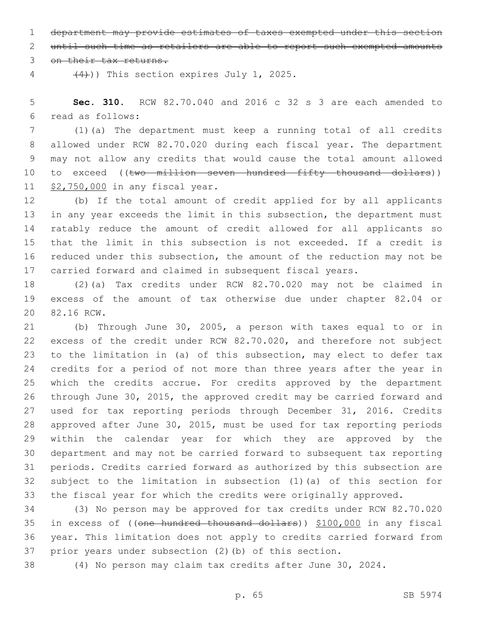department may provide estimates of taxes exempted under this section

until such time as retailers are able to report such exempted amounts

3 on their tax returns.

 $(4)$ )) This section expires July 1, 2025.

 **Sec. 310.** RCW 82.70.040 and 2016 c 32 s 3 are each amended to read as follows:6

 (1)(a) The department must keep a running total of all credits allowed under RCW 82.70.020 during each fiscal year. The department may not allow any credits that would cause the total amount allowed 10 to exceed ((two million seven hundred fifty thousand dollars)) 11 \$2,750,000 in any fiscal year.

 (b) If the total amount of credit applied for by all applicants in any year exceeds the limit in this subsection, the department must ratably reduce the amount of credit allowed for all applicants so that the limit in this subsection is not exceeded. If a credit is reduced under this subsection, the amount of the reduction may not be carried forward and claimed in subsequent fiscal years.

 (2)(a) Tax credits under RCW 82.70.020 may not be claimed in excess of the amount of tax otherwise due under chapter 82.04 or 20 82.16 RCW.

 (b) Through June 30, 2005, a person with taxes equal to or in excess of the credit under RCW 82.70.020, and therefore not subject to the limitation in (a) of this subsection, may elect to defer tax credits for a period of not more than three years after the year in which the credits accrue. For credits approved by the department through June 30, 2015, the approved credit may be carried forward and used for tax reporting periods through December 31, 2016. Credits approved after June 30, 2015, must be used for tax reporting periods within the calendar year for which they are approved by the department and may not be carried forward to subsequent tax reporting periods. Credits carried forward as authorized by this subsection are subject to the limitation in subsection (1)(a) of this section for the fiscal year for which the credits were originally approved.

 (3) No person may be approved for tax credits under RCW 82.70.020 in excess of ((one hundred thousand dollars)) \$100,000 in any fiscal year. This limitation does not apply to credits carried forward from prior years under subsection (2)(b) of this section.

(4) No person may claim tax credits after June 30, 2024.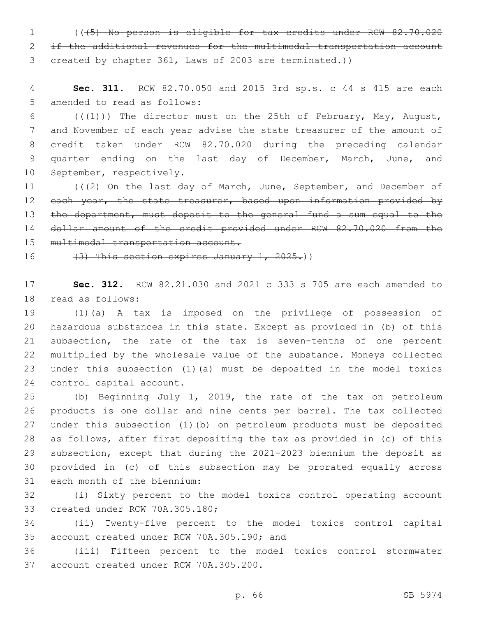1 (((5) No person is eligible for tax credits under RCW 82.70.020 2 if the additional revenues for the multimodal transportation account 3 created by chapter 361, Laws of 2003 are terminated.))

4 **Sec. 311.** RCW 82.70.050 and 2015 3rd sp.s. c 44 s 415 are each 5 amended to read as follows:

6 ( $(\frac{1}{1})$ ) The director must on the 25th of February, May, August, 7 and November of each year advise the state treasurer of the amount of 8 credit taken under RCW 82.70.020 during the preceding calendar 9 quarter ending on the last day of December, March, June, and 10 September, respectively.

11 (((2) On the last day of March, June, September, and December of 12 each year, the state treasurer, based upon information provided by 13 the department, must deposit to the general fund a sum equal to the 14 dollar amount of the credit provided under RCW 82.70.020 from the 15 multimodal transportation account.

16  $(3)$  This section expires January 1, 2025.)

17 **Sec. 312.** RCW 82.21.030 and 2021 c 333 s 705 are each amended to 18 read as follows:

 (1)(a) A tax is imposed on the privilege of possession of hazardous substances in this state. Except as provided in (b) of this subsection, the rate of the tax is seven-tenths of one percent multiplied by the wholesale value of the substance. Moneys collected under this subsection (1)(a) must be deposited in the model toxics 24 control capital account.

 (b) Beginning July 1, 2019, the rate of the tax on petroleum products is one dollar and nine cents per barrel. The tax collected under this subsection (1)(b) on petroleum products must be deposited as follows, after first depositing the tax as provided in (c) of this subsection, except that during the 2021-2023 biennium the deposit as provided in (c) of this subsection may be prorated equally across 31 each month of the biennium:

32 (i) Sixty percent to the model toxics control operating account 33 created under RCW 70A.305.180;

34 (ii) Twenty-five percent to the model toxics control capital 35 account created under RCW 70A.305.190; and

36 (iii) Fifteen percent to the model toxics control stormwater 37 account created under RCW 70A.305.200.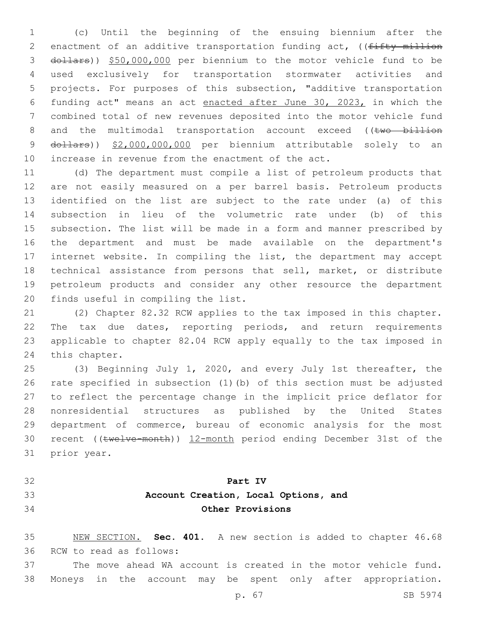(c) Until the beginning of the ensuing biennium after the 2 enactment of an additive transportation funding act, ((fifty million dollars)) \$50,000,000 per biennium to the motor vehicle fund to be used exclusively for transportation stormwater activities and projects. For purposes of this subsection, "additive transportation funding act" means an act enacted after June 30, 2023, in which the combined total of new revenues deposited into the motor vehicle fund 8 and the multimodal transportation account exceed ((two billion 9 dollars)) \$2,000,000,000 per biennium attributable solely to an increase in revenue from the enactment of the act.

 (d) The department must compile a list of petroleum products that are not easily measured on a per barrel basis. Petroleum products identified on the list are subject to the rate under (a) of this subsection in lieu of the volumetric rate under (b) of this subsection. The list will be made in a form and manner prescribed by the department and must be made available on the department's internet website. In compiling the list, the department may accept technical assistance from persons that sell, market, or distribute petroleum products and consider any other resource the department 20 finds useful in compiling the list.

 (2) Chapter 82.32 RCW applies to the tax imposed in this chapter. The tax due dates, reporting periods, and return requirements applicable to chapter 82.04 RCW apply equally to the tax imposed in 24 this chapter.

 (3) Beginning July 1, 2020, and every July 1st thereafter, the rate specified in subsection (1)(b) of this section must be adjusted to reflect the percentage change in the implicit price deflator for nonresidential structures as published by the United States department of commerce, bureau of economic analysis for the most recent ((twelve-month)) 12-month period ending December 31st of the 31 prior year.

- 
- 

## **Part IV**

## **Account Creation, Local Options, and Other Provisions**

 NEW SECTION. **Sec. 401.** A new section is added to chapter 46.68 36 RCW to read as follows:

 The move ahead WA account is created in the motor vehicle fund. Moneys in the account may be spent only after appropriation.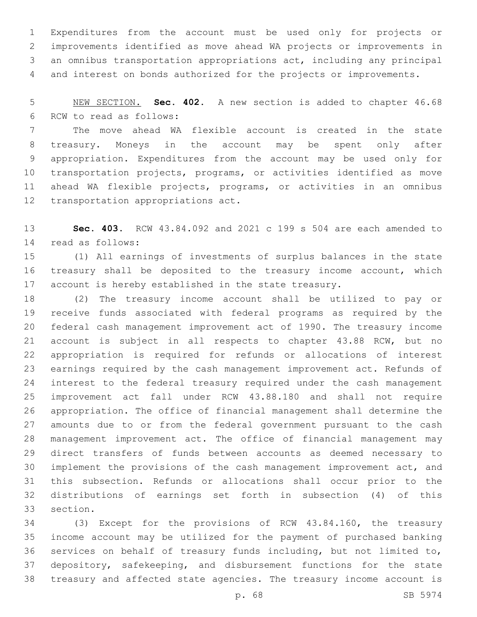Expenditures from the account must be used only for projects or improvements identified as move ahead WA projects or improvements in an omnibus transportation appropriations act, including any principal and interest on bonds authorized for the projects or improvements.

 NEW SECTION. **Sec. 402.** A new section is added to chapter 46.68 6 RCW to read as follows:

 The move ahead WA flexible account is created in the state treasury. Moneys in the account may be spent only after appropriation. Expenditures from the account may be used only for transportation projects, programs, or activities identified as move ahead WA flexible projects, programs, or activities in an omnibus 12 transportation appropriations act.

 **Sec. 403.** RCW 43.84.092 and 2021 c 199 s 504 are each amended to 14 read as follows:

 (1) All earnings of investments of surplus balances in the state treasury shall be deposited to the treasury income account, which account is hereby established in the state treasury.

 (2) The treasury income account shall be utilized to pay or receive funds associated with federal programs as required by the federal cash management improvement act of 1990. The treasury income account is subject in all respects to chapter 43.88 RCW, but no appropriation is required for refunds or allocations of interest earnings required by the cash management improvement act. Refunds of interest to the federal treasury required under the cash management improvement act fall under RCW 43.88.180 and shall not require appropriation. The office of financial management shall determine the amounts due to or from the federal government pursuant to the cash management improvement act. The office of financial management may direct transfers of funds between accounts as deemed necessary to implement the provisions of the cash management improvement act, and this subsection. Refunds or allocations shall occur prior to the distributions of earnings set forth in subsection (4) of this 33 section.

 (3) Except for the provisions of RCW 43.84.160, the treasury income account may be utilized for the payment of purchased banking services on behalf of treasury funds including, but not limited to, depository, safekeeping, and disbursement functions for the state treasury and affected state agencies. The treasury income account is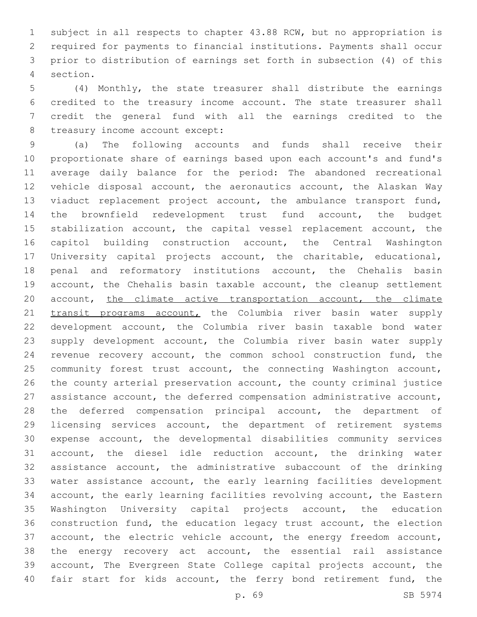subject in all respects to chapter 43.88 RCW, but no appropriation is required for payments to financial institutions. Payments shall occur prior to distribution of earnings set forth in subsection (4) of this section.4

 (4) Monthly, the state treasurer shall distribute the earnings credited to the treasury income account. The state treasurer shall credit the general fund with all the earnings credited to the 8 treasury income account except:

 (a) The following accounts and funds shall receive their proportionate share of earnings based upon each account's and fund's average daily balance for the period: The abandoned recreational vehicle disposal account, the aeronautics account, the Alaskan Way viaduct replacement project account, the ambulance transport fund, the brownfield redevelopment trust fund account, the budget stabilization account, the capital vessel replacement account, the capitol building construction account, the Central Washington University capital projects account, the charitable, educational, penal and reformatory institutions account, the Chehalis basin account, the Chehalis basin taxable account, the cleanup settlement 20 account, the climate active transportation account, the climate 21 transit programs account, the Columbia river basin water supply development account, the Columbia river basin taxable bond water supply development account, the Columbia river basin water supply revenue recovery account, the common school construction fund, the community forest trust account, the connecting Washington account, the county arterial preservation account, the county criminal justice assistance account, the deferred compensation administrative account, the deferred compensation principal account, the department of licensing services account, the department of retirement systems expense account, the developmental disabilities community services account, the diesel idle reduction account, the drinking water assistance account, the administrative subaccount of the drinking water assistance account, the early learning facilities development account, the early learning facilities revolving account, the Eastern Washington University capital projects account, the education construction fund, the education legacy trust account, the election account, the electric vehicle account, the energy freedom account, the energy recovery act account, the essential rail assistance account, The Evergreen State College capital projects account, the 40 fair start for kids account, the ferry bond retirement fund, the

p. 69 SB 5974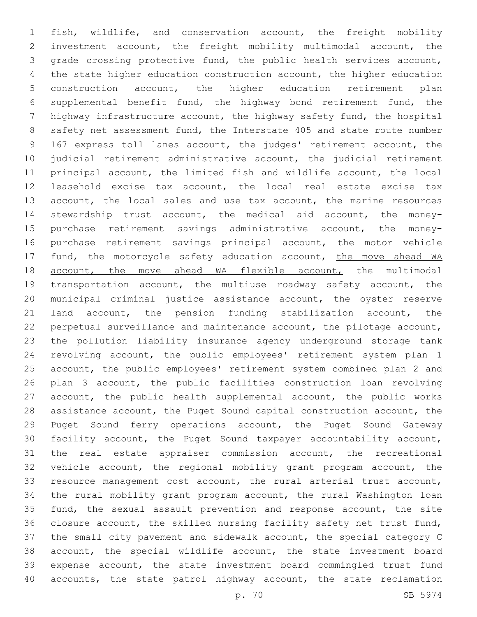fish, wildlife, and conservation account, the freight mobility investment account, the freight mobility multimodal account, the grade crossing protective fund, the public health services account, the state higher education construction account, the higher education construction account, the higher education retirement plan supplemental benefit fund, the highway bond retirement fund, the highway infrastructure account, the highway safety fund, the hospital safety net assessment fund, the Interstate 405 and state route number 167 express toll lanes account, the judges' retirement account, the judicial retirement administrative account, the judicial retirement principal account, the limited fish and wildlife account, the local leasehold excise tax account, the local real estate excise tax 13 account, the local sales and use tax account, the marine resources stewardship trust account, the medical aid account, the money- purchase retirement savings administrative account, the money- purchase retirement savings principal account, the motor vehicle 17 fund, the motorcycle safety education account, the move ahead WA 18 account, the move ahead WA flexible account, the multimodal transportation account, the multiuse roadway safety account, the municipal criminal justice assistance account, the oyster reserve land account, the pension funding stabilization account, the perpetual surveillance and maintenance account, the pilotage account, the pollution liability insurance agency underground storage tank revolving account, the public employees' retirement system plan 1 account, the public employees' retirement system combined plan 2 and plan 3 account, the public facilities construction loan revolving account, the public health supplemental account, the public works assistance account, the Puget Sound capital construction account, the Puget Sound ferry operations account, the Puget Sound Gateway facility account, the Puget Sound taxpayer accountability account, the real estate appraiser commission account, the recreational vehicle account, the regional mobility grant program account, the resource management cost account, the rural arterial trust account, the rural mobility grant program account, the rural Washington loan fund, the sexual assault prevention and response account, the site closure account, the skilled nursing facility safety net trust fund, the small city pavement and sidewalk account, the special category C account, the special wildlife account, the state investment board expense account, the state investment board commingled trust fund 40 accounts, the state patrol highway account, the state reclamation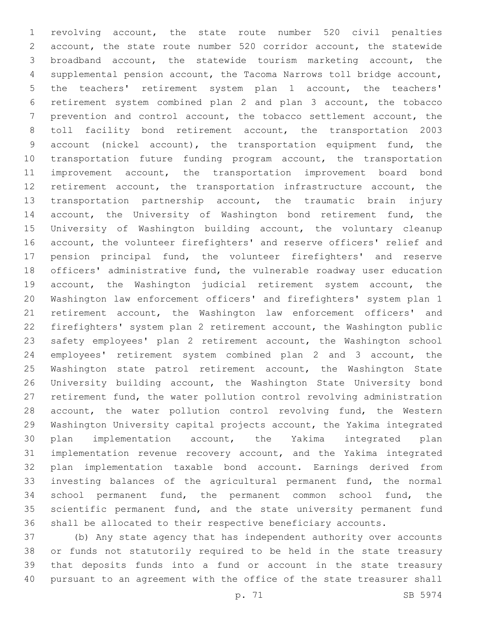revolving account, the state route number 520 civil penalties account, the state route number 520 corridor account, the statewide broadband account, the statewide tourism marketing account, the supplemental pension account, the Tacoma Narrows toll bridge account, the teachers' retirement system plan 1 account, the teachers' retirement system combined plan 2 and plan 3 account, the tobacco prevention and control account, the tobacco settlement account, the toll facility bond retirement account, the transportation 2003 account (nickel account), the transportation equipment fund, the transportation future funding program account, the transportation improvement account, the transportation improvement board bond retirement account, the transportation infrastructure account, the transportation partnership account, the traumatic brain injury 14 account, the University of Washington bond retirement fund, the University of Washington building account, the voluntary cleanup account, the volunteer firefighters' and reserve officers' relief and pension principal fund, the volunteer firefighters' and reserve officers' administrative fund, the vulnerable roadway user education account, the Washington judicial retirement system account, the Washington law enforcement officers' and firefighters' system plan 1 retirement account, the Washington law enforcement officers' and firefighters' system plan 2 retirement account, the Washington public safety employees' plan 2 retirement account, the Washington school employees' retirement system combined plan 2 and 3 account, the 25 Washington state patrol retirement account, the Washington State University building account, the Washington State University bond retirement fund, the water pollution control revolving administration 28 account, the water pollution control revolving fund, the Western Washington University capital projects account, the Yakima integrated plan implementation account, the Yakima integrated plan implementation revenue recovery account, and the Yakima integrated plan implementation taxable bond account. Earnings derived from investing balances of the agricultural permanent fund, the normal school permanent fund, the permanent common school fund, the scientific permanent fund, and the state university permanent fund shall be allocated to their respective beneficiary accounts.

 (b) Any state agency that has independent authority over accounts or funds not statutorily required to be held in the state treasury that deposits funds into a fund or account in the state treasury pursuant to an agreement with the office of the state treasurer shall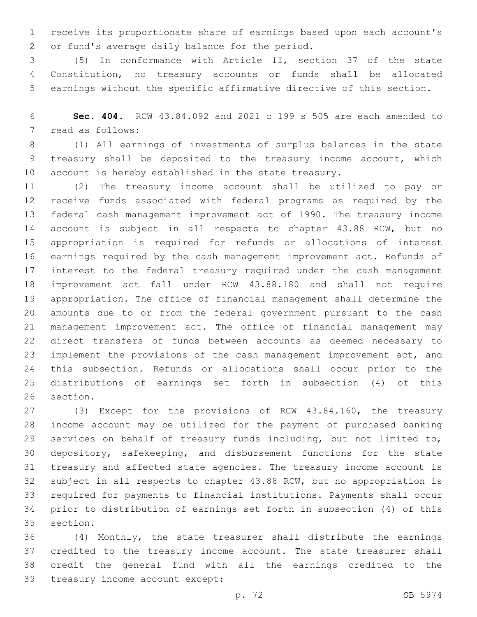receive its proportionate share of earnings based upon each account's 2 or fund's average daily balance for the period.

 (5) In conformance with Article II, section 37 of the state Constitution, no treasury accounts or funds shall be allocated earnings without the specific affirmative directive of this section.

 **Sec. 404.** RCW 43.84.092 and 2021 c 199 s 505 are each amended to 7 read as follows:

 (1) All earnings of investments of surplus balances in the state treasury shall be deposited to the treasury income account, which account is hereby established in the state treasury.

 (2) The treasury income account shall be utilized to pay or receive funds associated with federal programs as required by the federal cash management improvement act of 1990. The treasury income account is subject in all respects to chapter 43.88 RCW, but no appropriation is required for refunds or allocations of interest earnings required by the cash management improvement act. Refunds of interest to the federal treasury required under the cash management improvement act fall under RCW 43.88.180 and shall not require appropriation. The office of financial management shall determine the amounts due to or from the federal government pursuant to the cash management improvement act. The office of financial management may direct transfers of funds between accounts as deemed necessary to implement the provisions of the cash management improvement act, and this subsection. Refunds or allocations shall occur prior to the distributions of earnings set forth in subsection (4) of this 26 section.

 (3) Except for the provisions of RCW 43.84.160, the treasury income account may be utilized for the payment of purchased banking services on behalf of treasury funds including, but not limited to, depository, safekeeping, and disbursement functions for the state treasury and affected state agencies. The treasury income account is subject in all respects to chapter 43.88 RCW, but no appropriation is required for payments to financial institutions. Payments shall occur prior to distribution of earnings set forth in subsection (4) of this 35 section.

 (4) Monthly, the state treasurer shall distribute the earnings credited to the treasury income account. The state treasurer shall credit the general fund with all the earnings credited to the 39 treasury income account except: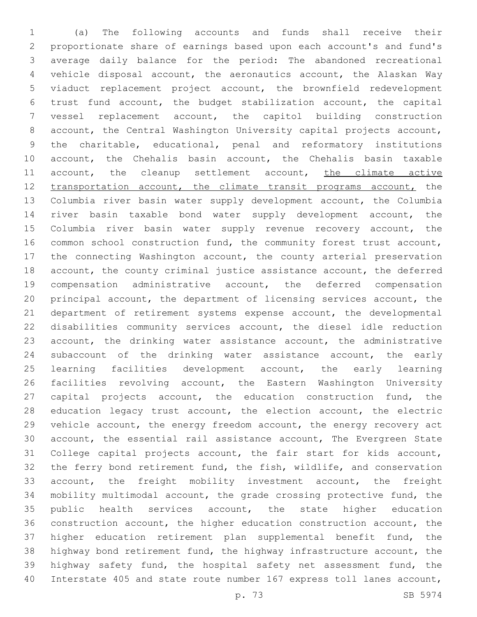(a) The following accounts and funds shall receive their proportionate share of earnings based upon each account's and fund's average daily balance for the period: The abandoned recreational vehicle disposal account, the aeronautics account, the Alaskan Way viaduct replacement project account, the brownfield redevelopment trust fund account, the budget stabilization account, the capital vessel replacement account, the capitol building construction account, the Central Washington University capital projects account, the charitable, educational, penal and reformatory institutions account, the Chehalis basin account, the Chehalis basin taxable 11 account, the cleanup settlement account, the climate active 12 transportation account, the climate transit programs account, the Columbia river basin water supply development account, the Columbia river basin taxable bond water supply development account, the 15 Columbia river basin water supply revenue recovery account, the common school construction fund, the community forest trust account, the connecting Washington account, the county arterial preservation account, the county criminal justice assistance account, the deferred compensation administrative account, the deferred compensation principal account, the department of licensing services account, the department of retirement systems expense account, the developmental disabilities community services account, the diesel idle reduction account, the drinking water assistance account, the administrative subaccount of the drinking water assistance account, the early learning facilities development account, the early learning facilities revolving account, the Eastern Washington University 27 capital projects account, the education construction fund, the education legacy trust account, the election account, the electric vehicle account, the energy freedom account, the energy recovery act account, the essential rail assistance account, The Evergreen State College capital projects account, the fair start for kids account, the ferry bond retirement fund, the fish, wildlife, and conservation account, the freight mobility investment account, the freight mobility multimodal account, the grade crossing protective fund, the 35 public health services account, the state higher education construction account, the higher education construction account, the higher education retirement plan supplemental benefit fund, the highway bond retirement fund, the highway infrastructure account, the highway safety fund, the hospital safety net assessment fund, the Interstate 405 and state route number 167 express toll lanes account,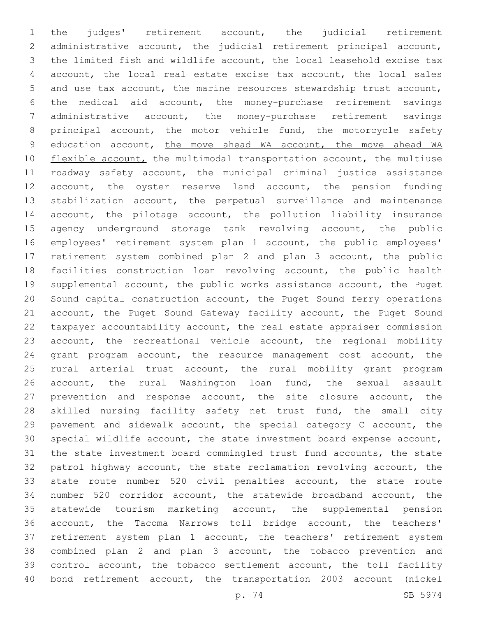the judges' retirement account, the judicial retirement administrative account, the judicial retirement principal account, the limited fish and wildlife account, the local leasehold excise tax account, the local real estate excise tax account, the local sales and use tax account, the marine resources stewardship trust account, the medical aid account, the money-purchase retirement savings administrative account, the money-purchase retirement savings principal account, the motor vehicle fund, the motorcycle safety 9 education account, the move ahead WA account, the move ahead WA 10 flexible account, the multimodal transportation account, the multiuse roadway safety account, the municipal criminal justice assistance account, the oyster reserve land account, the pension funding stabilization account, the perpetual surveillance and maintenance account, the pilotage account, the pollution liability insurance agency underground storage tank revolving account, the public employees' retirement system plan 1 account, the public employees' retirement system combined plan 2 and plan 3 account, the public facilities construction loan revolving account, the public health supplemental account, the public works assistance account, the Puget Sound capital construction account, the Puget Sound ferry operations account, the Puget Sound Gateway facility account, the Puget Sound taxpayer accountability account, the real estate appraiser commission account, the recreational vehicle account, the regional mobility grant program account, the resource management cost account, the rural arterial trust account, the rural mobility grant program account, the rural Washington loan fund, the sexual assault prevention and response account, the site closure account, the skilled nursing facility safety net trust fund, the small city pavement and sidewalk account, the special category C account, the special wildlife account, the state investment board expense account, the state investment board commingled trust fund accounts, the state patrol highway account, the state reclamation revolving account, the state route number 520 civil penalties account, the state route number 520 corridor account, the statewide broadband account, the statewide tourism marketing account, the supplemental pension account, the Tacoma Narrows toll bridge account, the teachers' retirement system plan 1 account, the teachers' retirement system combined plan 2 and plan 3 account, the tobacco prevention and control account, the tobacco settlement account, the toll facility bond retirement account, the transportation 2003 account (nickel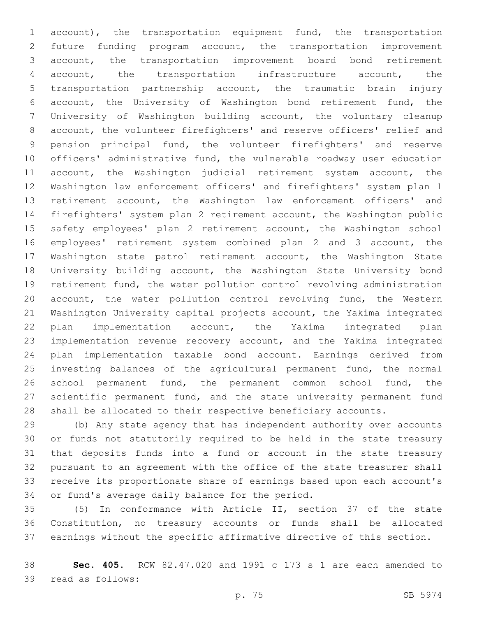account), the transportation equipment fund, the transportation future funding program account, the transportation improvement account, the transportation improvement board bond retirement account, the transportation infrastructure account, the transportation partnership account, the traumatic brain injury account, the University of Washington bond retirement fund, the University of Washington building account, the voluntary cleanup account, the volunteer firefighters' and reserve officers' relief and pension principal fund, the volunteer firefighters' and reserve officers' administrative fund, the vulnerable roadway user education 11 account, the Washington judicial retirement system account, the Washington law enforcement officers' and firefighters' system plan 1 retirement account, the Washington law enforcement officers' and firefighters' system plan 2 retirement account, the Washington public safety employees' plan 2 retirement account, the Washington school employees' retirement system combined plan 2 and 3 account, the Washington state patrol retirement account, the Washington State University building account, the Washington State University bond retirement fund, the water pollution control revolving administration account, the water pollution control revolving fund, the Western Washington University capital projects account, the Yakima integrated plan implementation account, the Yakima integrated plan implementation revenue recovery account, and the Yakima integrated plan implementation taxable bond account. Earnings derived from investing balances of the agricultural permanent fund, the normal school permanent fund, the permanent common school fund, the scientific permanent fund, and the state university permanent fund shall be allocated to their respective beneficiary accounts.

 (b) Any state agency that has independent authority over accounts or funds not statutorily required to be held in the state treasury that deposits funds into a fund or account in the state treasury pursuant to an agreement with the office of the state treasurer shall receive its proportionate share of earnings based upon each account's 34 or fund's average daily balance for the period.

 (5) In conformance with Article II, section 37 of the state Constitution, no treasury accounts or funds shall be allocated earnings without the specific affirmative directive of this section.

 **Sec. 405.** RCW 82.47.020 and 1991 c 173 s 1 are each amended to 39 read as follows: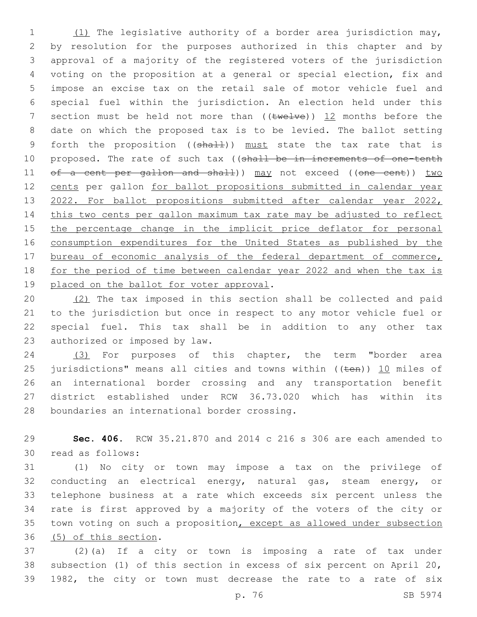(1) The legislative authority of a border area jurisdiction may, by resolution for the purposes authorized in this chapter and by approval of a majority of the registered voters of the jurisdiction voting on the proposition at a general or special election, fix and impose an excise tax on the retail sale of motor vehicle fuel and special fuel within the jurisdiction. An election held under this 7 section must be held not more than  $((\text{true+ve}))$  12 months before the date on which the proposed tax is to be levied. The ballot setting 9 forth the proposition ((shall)) must state the tax rate that is 10 proposed. The rate of such tax ((shall be in increments of one-tenth 11 of a cent per gallon and shall)) may not exceed ((one cent)) two cents per gallon for ballot propositions submitted in calendar year 13 2022. For ballot propositions submitted after calendar year 2022, this two cents per gallon maximum tax rate may be adjusted to reflect 15 the percentage change in the implicit price deflator for personal consumption expenditures for the United States as published by the 17 bureau of economic analysis of the federal department of commerce, for the period of time between calendar year 2022 and when the tax is 19 placed on the ballot for voter approval.

 (2) The tax imposed in this section shall be collected and paid to the jurisdiction but once in respect to any motor vehicle fuel or special fuel. This tax shall be in addition to any other tax 23 authorized or imposed by law.

 (3) For purposes of this chapter, the term "border area 25 jurisdictions" means all cities and towns within  $($ ( $t$ en))  $\underline{10}$  miles of an international border crossing and any transportation benefit district established under RCW 36.73.020 which has within its 28 boundaries an international border crossing.

 **Sec. 406.** RCW 35.21.870 and 2014 c 216 s 306 are each amended to 30 read as follows:

 (1) No city or town may impose a tax on the privilege of conducting an electrical energy, natural gas, steam energy, or telephone business at a rate which exceeds six percent unless the rate is first approved by a majority of the voters of the city or town voting on such a proposition, except as allowed under subsection 36 (5) of this section.

 (2)(a) If a city or town is imposing a rate of tax under subsection (1) of this section in excess of six percent on April 20, 1982, the city or town must decrease the rate to a rate of six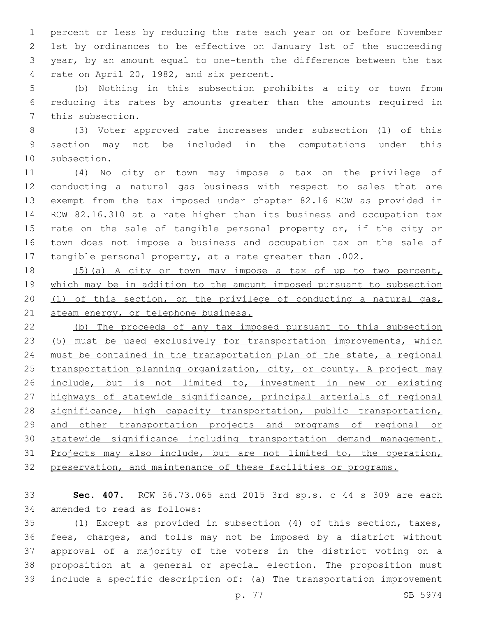percent or less by reducing the rate each year on or before November 1st by ordinances to be effective on January 1st of the succeeding year, by an amount equal to one-tenth the difference between the tax 4 rate on April 20, 1982, and six percent.

 (b) Nothing in this subsection prohibits a city or town from reducing its rates by amounts greater than the amounts required in 7 this subsection.

 (3) Voter approved rate increases under subsection (1) of this section may not be included in the computations under this 10 subsection.

 (4) No city or town may impose a tax on the privilege of conducting a natural gas business with respect to sales that are exempt from the tax imposed under chapter 82.16 RCW as provided in RCW 82.16.310 at a rate higher than its business and occupation tax 15 rate on the sale of tangible personal property or, if the city or town does not impose a business and occupation tax on the sale of tangible personal property, at a rate greater than .002.

 (5)(a) A city or town may impose a tax of up to two percent, which may be in addition to the amount imposed pursuant to subsection (1) of this section, on the privilege of conducting a natural gas, 21 steam energy, or telephone business.

 (b) The proceeds of any tax imposed pursuant to this subsection (5) must be used exclusively for transportation improvements, which must be contained in the transportation plan of the state, a regional 25 transportation planning organization, city, or county. A project may include, but is not limited to, investment in new or existing highways of statewide significance, principal arterials of regional 28 significance, high capacity transportation, public transportation, and other transportation projects and programs of regional or statewide significance including transportation demand management. 31 Projects may also include, but are not limited to, the operation, preservation, and maintenance of these facilities or programs.

 **Sec. 407.** RCW 36.73.065 and 2015 3rd sp.s. c 44 s 309 are each 34 amended to read as follows:

 (1) Except as provided in subsection (4) of this section, taxes, fees, charges, and tolls may not be imposed by a district without approval of a majority of the voters in the district voting on a proposition at a general or special election. The proposition must include a specific description of: (a) The transportation improvement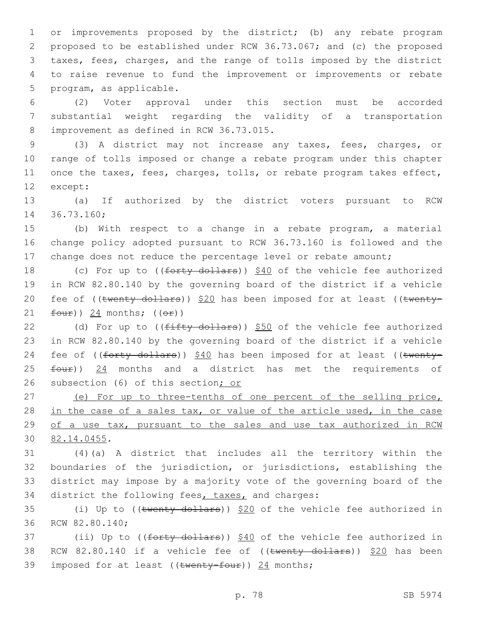or improvements proposed by the district; (b) any rebate program proposed to be established under RCW 36.73.067; and (c) the proposed taxes, fees, charges, and the range of tolls imposed by the district to raise revenue to fund the improvement or improvements or rebate 5 program, as applicable.

6 (2) Voter approval under this section must be accorded 7 substantial weight regarding the validity of a transportation 8 improvement as defined in RCW 36.73.015.

 (3) A district may not increase any taxes, fees, charges, or range of tolls imposed or change a rebate program under this chapter once the taxes, fees, charges, tolls, or rebate program takes effect, 12 except:

13 (a) If authorized by the district voters pursuant to RCW 14 36.73.160;

15 (b) With respect to a change in a rebate program, a material 16 change policy adopted pursuant to RCW 36.73.160 is followed and the 17 change does not reduce the percentage level or rebate amount;

18 (c) For up to ((forty dollars)) \$40 of the vehicle fee authorized 19 in RCW 82.80.140 by the governing board of the district if a vehicle 20 fee of  $((\text{twenty dollars}))$  \$20 has been imposed for at least  $((\text{twenty-})$ 21  $four)$ ) 24 months;  $((or)$ 

22 (d) For up to ((fifty dollars)) \$50 of the vehicle fee authorized 23 in RCW 82.80.140 by the governing board of the district if a vehicle 24 fee of ((forty dollars)) \$40 has been imposed for at least ((twenty-25 four)) 24 months and a district has met the requirements of 26 subsection (6) of this section; or

27 (e) For up to three-tenths of one percent of the selling price, 28 in the case of a sales tax, or value of the article used, in the case 29 of a use tax, pursuant to the sales and use tax authorized in RCW 82.14.0455.30

 (4)(a) A district that includes all the territory within the boundaries of the jurisdiction, or jurisdictions, establishing the district may impose by a majority vote of the governing board of the 34 district the following fees, taxes, and charges:

35 (i) Up to ((twenty dollars)) \$20 of the vehicle fee authorized in 36 RCW 82.80.140;

37 (ii) Up to ((forty dollars)) \$40 of the vehicle fee authorized in 38 RCW 82.80.140 if a vehicle fee of  $((\text{twenty dollars}))$  \$20 has been 39 imposed for at least (( $t$ wenty-four)) 24 months;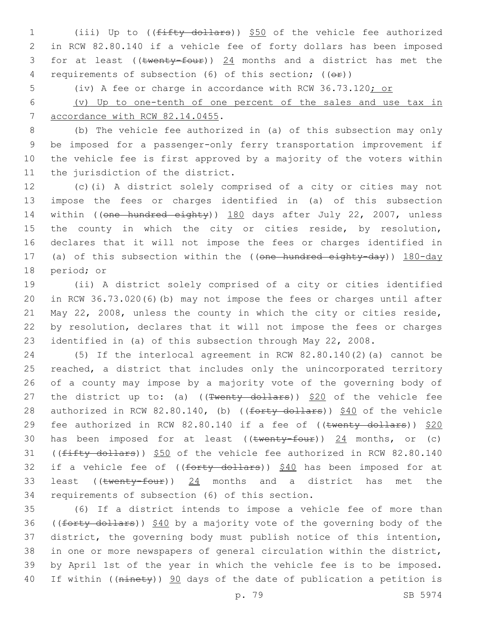1 (iii) Up to ((fifty dollars)) \$50 of the vehicle fee authorized 2 in RCW 82.80.140 if a vehicle fee of forty dollars has been imposed 3 for at least (( $t$ wenty-four))  $24$  months and a district has met the 4 requirements of subsection (6) of this section; (( $\Theta$ ))

5 (iv) A fee or charge in accordance with RCW 36.73.120; or

6 (v) Up to one-tenth of one percent of the sales and use tax in 7 accordance with RCW 82.14.0455.

 (b) The vehicle fee authorized in (a) of this subsection may only be imposed for a passenger-only ferry transportation improvement if the vehicle fee is first approved by a majority of the voters within 11 the jurisdiction of the district.

12 (c)(i) A district solely comprised of a city or cities may not 13 impose the fees or charges identified in (a) of this subsection 14 within ((one hundred eighty)) 180 days after July 22, 2007, unless 15 the county in which the city or cities reside, by resolution, 16 declares that it will not impose the fees or charges identified in 17 (a) of this subsection within the ((one hundred eighty-day)) 180-day 18 period; or

 (ii) A district solely comprised of a city or cities identified in RCW 36.73.020(6)(b) may not impose the fees or charges until after May 22, 2008, unless the county in which the city or cities reside, by resolution, declares that it will not impose the fees or charges identified in (a) of this subsection through May 22, 2008.

24 (5) If the interlocal agreement in RCW 82.80.140(2)(a) cannot be 25 reached, a district that includes only the unincorporated territory 26 of a county may impose by a majority vote of the governing body of 27 the district up to: (a) ( $(\text{Twenty dollars})$ )  $$20$  of the vehicle fee 28 authorized in RCW 82.80.140, (b) ((forty dollars)) \$40 of the vehicle 29 fee authorized in RCW 82.80.140 if a fee of ((twenty dollars)) \$20 30 has been imposed for at least  $((\text{twenty-four}))$  24 months, or (c) 31 ((fifty dollars)) \$50 of the vehicle fee authorized in RCW 82.80.140 32 if a vehicle fee of  $((forty - dollars))$  \$40 has been imposed for at 33 least ((twenty-four)) 24 months and a district has met the 34 requirements of subsection (6) of this section.

 (6) If a district intends to impose a vehicle fee of more than 36 ((forty dollars)) \$40 by a majority vote of the governing body of the district, the governing body must publish notice of this intention, in one or more newspapers of general circulation within the district, by April 1st of the year in which the vehicle fee is to be imposed. 40 If within ((ninety)) 90 days of the date of publication a petition is

p. 79 SB 5974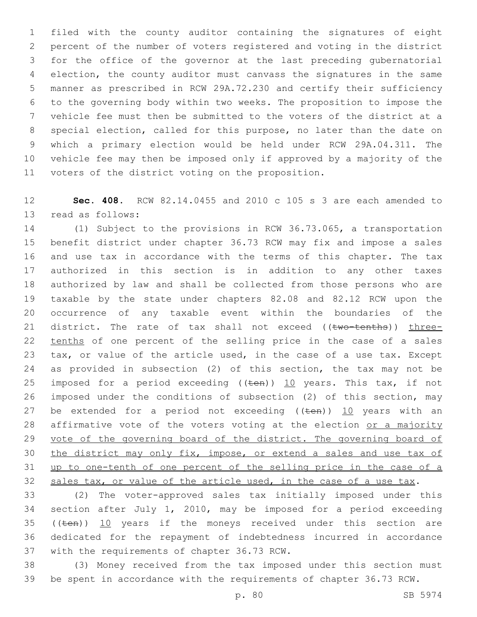filed with the county auditor containing the signatures of eight percent of the number of voters registered and voting in the district for the office of the governor at the last preceding gubernatorial election, the county auditor must canvass the signatures in the same manner as prescribed in RCW 29A.72.230 and certify their sufficiency to the governing body within two weeks. The proposition to impose the vehicle fee must then be submitted to the voters of the district at a special election, called for this purpose, no later than the date on which a primary election would be held under RCW 29A.04.311. The vehicle fee may then be imposed only if approved by a majority of the 11 voters of the district voting on the proposition.

 **Sec. 408.** RCW 82.14.0455 and 2010 c 105 s 3 are each amended to 13 read as follows:

 (1) Subject to the provisions in RCW 36.73.065, a transportation benefit district under chapter 36.73 RCW may fix and impose a sales and use tax in accordance with the terms of this chapter. The tax authorized in this section is in addition to any other taxes authorized by law and shall be collected from those persons who are taxable by the state under chapters 82.08 and 82.12 RCW upon the occurrence of any taxable event within the boundaries of the 21 district. The rate of tax shall not exceed ((two-tenths)) three-22 tenths of one percent of the selling price in the case of a sales tax, or value of the article used, in the case of a use tax. Except as provided in subsection (2) of this section, the tax may not be 25 imposed for a period exceeding  $((\text{ten}))$  10 years. This tax, if not imposed under the conditions of subsection (2) of this section, may 27 be extended for a period not exceeding  $((\text{ten}))$  10 years with an 28 affirmative vote of the voters voting at the election or a majority 29 vote of the governing board of the district. The governing board of the district may only fix, impose, or extend a sales and use tax of up to one-tenth of one percent of the selling price in the case of a 32 sales tax, or value of the article used, in the case of a use tax.

 (2) The voter-approved sales tax initially imposed under this section after July 1, 2010, may be imposed for a period exceeding 35 (( $t_{en}$ )) 10 years if the moneys received under this section are dedicated for the repayment of indebtedness incurred in accordance 37 with the requirements of chapter 36.73 RCW.

 (3) Money received from the tax imposed under this section must be spent in accordance with the requirements of chapter 36.73 RCW.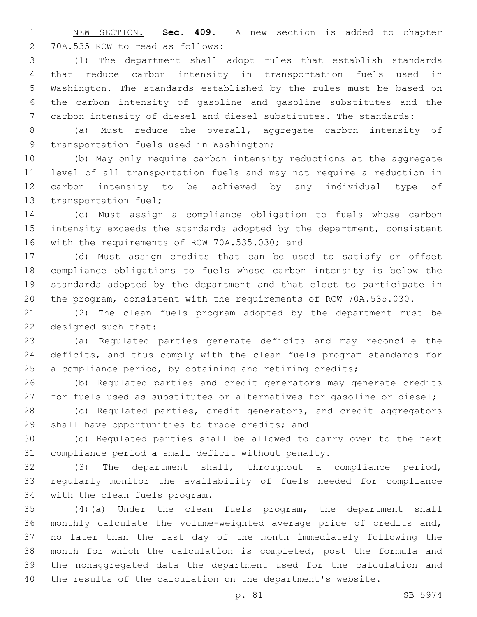NEW SECTION. **Sec. 409.** A new section is added to chapter 2 70A.535 RCW to read as follows:

 (1) The department shall adopt rules that establish standards that reduce carbon intensity in transportation fuels used in Washington. The standards established by the rules must be based on the carbon intensity of gasoline and gasoline substitutes and the carbon intensity of diesel and diesel substitutes. The standards:

 (a) Must reduce the overall, aggregate carbon intensity of 9 transportation fuels used in Washington;

 (b) May only require carbon intensity reductions at the aggregate level of all transportation fuels and may not require a reduction in carbon intensity to be achieved by any individual type of 13 transportation fuel;

 (c) Must assign a compliance obligation to fuels whose carbon intensity exceeds the standards adopted by the department, consistent 16 with the requirements of RCW 70A.535.030; and

 (d) Must assign credits that can be used to satisfy or offset compliance obligations to fuels whose carbon intensity is below the standards adopted by the department and that elect to participate in the program, consistent with the requirements of RCW 70A.535.030.

 (2) The clean fuels program adopted by the department must be 22 designed such that:

 (a) Regulated parties generate deficits and may reconcile the deficits, and thus comply with the clean fuels program standards for 25 a compliance period, by obtaining and retiring credits;

 (b) Regulated parties and credit generators may generate credits 27 for fuels used as substitutes or alternatives for gasoline or diesel;

 (c) Regulated parties, credit generators, and credit aggregators 29 shall have opportunities to trade credits; and

 (d) Regulated parties shall be allowed to carry over to the next compliance period a small deficit without penalty.

 (3) The department shall, throughout a compliance period, regularly monitor the availability of fuels needed for compliance 34 with the clean fuels program.

 (4)(a) Under the clean fuels program, the department shall monthly calculate the volume-weighted average price of credits and, no later than the last day of the month immediately following the month for which the calculation is completed, post the formula and the nonaggregated data the department used for the calculation and the results of the calculation on the department's website.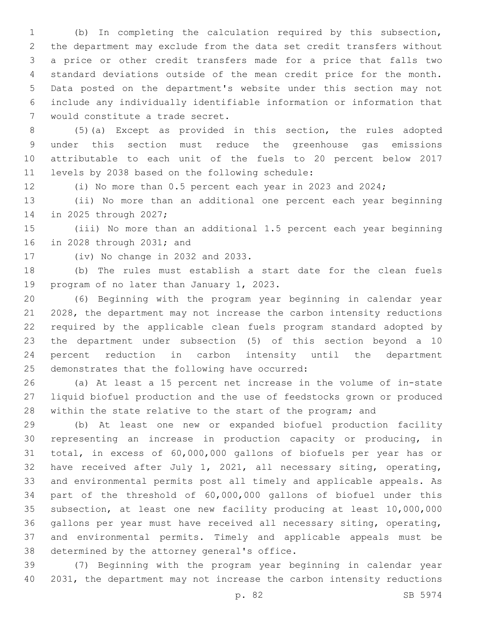(b) In completing the calculation required by this subsection, the department may exclude from the data set credit transfers without a price or other credit transfers made for a price that falls two standard deviations outside of the mean credit price for the month. Data posted on the department's website under this section may not include any individually identifiable information or information that 7 would constitute a trade secret.

 (5)(a) Except as provided in this section, the rules adopted under this section must reduce the greenhouse gas emissions attributable to each unit of the fuels to 20 percent below 2017 11 levels by 2038 based on the following schedule:

(i) No more than 0.5 percent each year in 2023 and 2024;

 (ii) No more than an additional one percent each year beginning 14 in 2025 through 2027;

 (iii) No more than an additional 1.5 percent each year beginning 16 in 2028 through 2031; and

17 (iv) No change in 2032 and 2033.

 (b) The rules must establish a start date for the clean fuels 19 program of no later than January 1, 2023.

 (6) Beginning with the program year beginning in calendar year 2028, the department may not increase the carbon intensity reductions required by the applicable clean fuels program standard adopted by the department under subsection (5) of this section beyond a 10 percent reduction in carbon intensity until the department 25 demonstrates that the following have occurred:

 (a) At least a 15 percent net increase in the volume of in-state liquid biofuel production and the use of feedstocks grown or produced 28 within the state relative to the start of the program; and

 (b) At least one new or expanded biofuel production facility representing an increase in production capacity or producing, in total, in excess of 60,000,000 gallons of biofuels per year has or have received after July 1, 2021, all necessary siting, operating, and environmental permits post all timely and applicable appeals. As part of the threshold of 60,000,000 gallons of biofuel under this subsection, at least one new facility producing at least 10,000,000 gallons per year must have received all necessary siting, operating, and environmental permits. Timely and applicable appeals must be 38 determined by the attorney general's office.

 (7) Beginning with the program year beginning in calendar year 2031, the department may not increase the carbon intensity reductions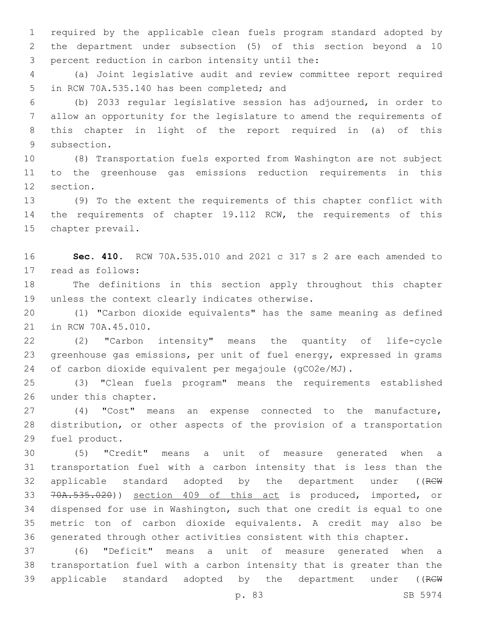required by the applicable clean fuels program standard adopted by the department under subsection (5) of this section beyond a 10 3 percent reduction in carbon intensity until the:

 (a) Joint legislative audit and review committee report required 5 in RCW 70A.535.140 has been completed; and

 (b) 2033 regular legislative session has adjourned, in order to allow an opportunity for the legislature to amend the requirements of this chapter in light of the report required in (a) of this 9 subsection.

 (8) Transportation fuels exported from Washington are not subject to the greenhouse gas emissions reduction requirements in this 12 section.

 (9) To the extent the requirements of this chapter conflict with the requirements of chapter 19.112 RCW, the requirements of this 15 chapter prevail.

 **Sec. 410.** RCW 70A.535.010 and 2021 c 317 s 2 are each amended to 17 read as follows:

 The definitions in this section apply throughout this chapter 19 unless the context clearly indicates otherwise.

 (1) "Carbon dioxide equivalents" has the same meaning as defined 21 in RCW 70A.45.010.

 (2) "Carbon intensity" means the quantity of life-cycle greenhouse gas emissions, per unit of fuel energy, expressed in grams of carbon dioxide equivalent per megajoule (gCO2e/MJ).

 (3) "Clean fuels program" means the requirements established 26 under this chapter.

 (4) "Cost" means an expense connected to the manufacture, distribution, or other aspects of the provision of a transportation 29 fuel product.

 (5) "Credit" means a unit of measure generated when a transportation fuel with a carbon intensity that is less than the 32 applicable standard adopted by the department under ((RCW 70A.535.020)) section 409 of this act is produced, imported, or dispensed for use in Washington, such that one credit is equal to one metric ton of carbon dioxide equivalents. A credit may also be generated through other activities consistent with this chapter.

 (6) "Deficit" means a unit of measure generated when a transportation fuel with a carbon intensity that is greater than the 39 applicable standard adopted by the department under ((RCW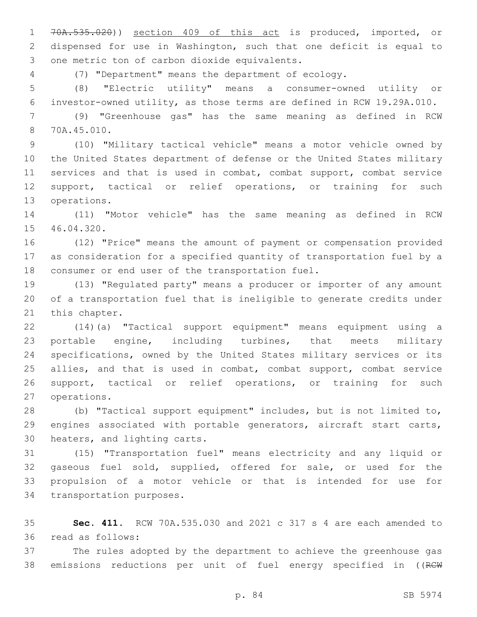70A.535.020)) section 409 of this act is produced, imported, or dispensed for use in Washington, such that one deficit is equal to 3 one metric ton of carbon dioxide equivalents.

(7) "Department" means the department of ecology.

 (8) "Electric utility" means a consumer-owned utility or investor-owned utility, as those terms are defined in RCW 19.29A.010.

 (9) "Greenhouse gas" has the same meaning as defined in RCW 70A.45.010.8

 (10) "Military tactical vehicle" means a motor vehicle owned by the United States department of defense or the United States military services and that is used in combat, combat support, combat service support, tactical or relief operations, or training for such 13 operations.

 (11) "Motor vehicle" has the same meaning as defined in RCW 15 46.04.320.

 (12) "Price" means the amount of payment or compensation provided as consideration for a specified quantity of transportation fuel by a 18 consumer or end user of the transportation fuel.

 (13) "Regulated party" means a producer or importer of any amount of a transportation fuel that is ineligible to generate credits under 21 this chapter.

 (14)(a) "Tactical support equipment" means equipment using a portable engine, including turbines, that meets military specifications, owned by the United States military services or its 25 allies, and that is used in combat, combat support, combat service support, tactical or relief operations, or training for such 27 operations.

 (b) "Tactical support equipment" includes, but is not limited to, engines associated with portable generators, aircraft start carts, 30 heaters, and lighting carts.

 (15) "Transportation fuel" means electricity and any liquid or gaseous fuel sold, supplied, offered for sale, or used for the propulsion of a motor vehicle or that is intended for use for 34 transportation purposes.

 **Sec. 411.** RCW 70A.535.030 and 2021 c 317 s 4 are each amended to read as follows:36

 The rules adopted by the department to achieve the greenhouse gas 38 emissions reductions per unit of fuel energy specified in ((RCW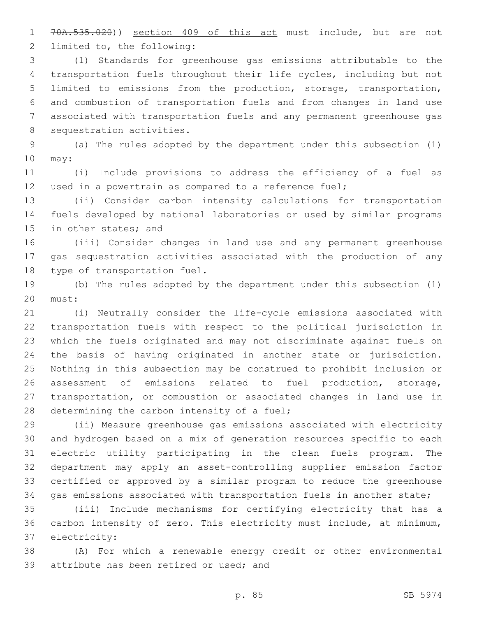70A.535.020)) section 409 of this act must include, but are not 2 limited to, the following:

 (1) Standards for greenhouse gas emissions attributable to the transportation fuels throughout their life cycles, including but not limited to emissions from the production, storage, transportation, and combustion of transportation fuels and from changes in land use associated with transportation fuels and any permanent greenhouse gas 8 sequestration activities.

 (a) The rules adopted by the department under this subsection (1) 10 may:

 (i) Include provisions to address the efficiency of a fuel as used in a powertrain as compared to a reference fuel;

 (ii) Consider carbon intensity calculations for transportation fuels developed by national laboratories or used by similar programs 15 in other states; and

 (iii) Consider changes in land use and any permanent greenhouse gas sequestration activities associated with the production of any 18 type of transportation fuel.

 (b) The rules adopted by the department under this subsection (1) 20 must:

 (i) Neutrally consider the life-cycle emissions associated with transportation fuels with respect to the political jurisdiction in which the fuels originated and may not discriminate against fuels on the basis of having originated in another state or jurisdiction. Nothing in this subsection may be construed to prohibit inclusion or assessment of emissions related to fuel production, storage, transportation, or combustion or associated changes in land use in 28 determining the carbon intensity of a fuel;

 (ii) Measure greenhouse gas emissions associated with electricity and hydrogen based on a mix of generation resources specific to each electric utility participating in the clean fuels program. The department may apply an asset-controlling supplier emission factor certified or approved by a similar program to reduce the greenhouse gas emissions associated with transportation fuels in another state;

 (iii) Include mechanisms for certifying electricity that has a carbon intensity of zero. This electricity must include, at minimum, 37 electricity:

 (A) For which a renewable energy credit or other environmental 39 attribute has been retired or used; and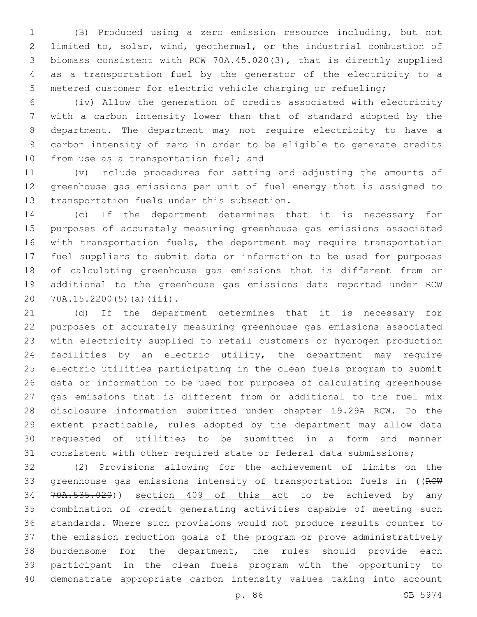(B) Produced using a zero emission resource including, but not limited to, solar, wind, geothermal, or the industrial combustion of biomass consistent with RCW 70A.45.020(3), that is directly supplied as a transportation fuel by the generator of the electricity to a metered customer for electric vehicle charging or refueling;

 (iv) Allow the generation of credits associated with electricity with a carbon intensity lower than that of standard adopted by the department. The department may not require electricity to have a carbon intensity of zero in order to be eligible to generate credits 10 from use as a transportation fuel; and

 (v) Include procedures for setting and adjusting the amounts of greenhouse gas emissions per unit of fuel energy that is assigned to 13 transportation fuels under this subsection.

 (c) If the department determines that it is necessary for purposes of accurately measuring greenhouse gas emissions associated with transportation fuels, the department may require transportation fuel suppliers to submit data or information to be used for purposes of calculating greenhouse gas emissions that is different from or additional to the greenhouse gas emissions data reported under RCW 20 70A.15.2200(5)(a)(iii).

 (d) If the department determines that it is necessary for purposes of accurately measuring greenhouse gas emissions associated with electricity supplied to retail customers or hydrogen production facilities by an electric utility, the department may require electric utilities participating in the clean fuels program to submit data or information to be used for purposes of calculating greenhouse gas emissions that is different from or additional to the fuel mix disclosure information submitted under chapter 19.29A RCW. To the extent practicable, rules adopted by the department may allow data requested of utilities to be submitted in a form and manner consistent with other required state or federal data submissions;

 (2) Provisions allowing for the achievement of limits on the 33 greenhouse gas emissions intensity of transportation fuels in ((RCW 34 70A.535.020)) section 409 of this act to be achieved by any combination of credit generating activities capable of meeting such standards. Where such provisions would not produce results counter to the emission reduction goals of the program or prove administratively burdensome for the department, the rules should provide each participant in the clean fuels program with the opportunity to demonstrate appropriate carbon intensity values taking into account

p. 86 SB 5974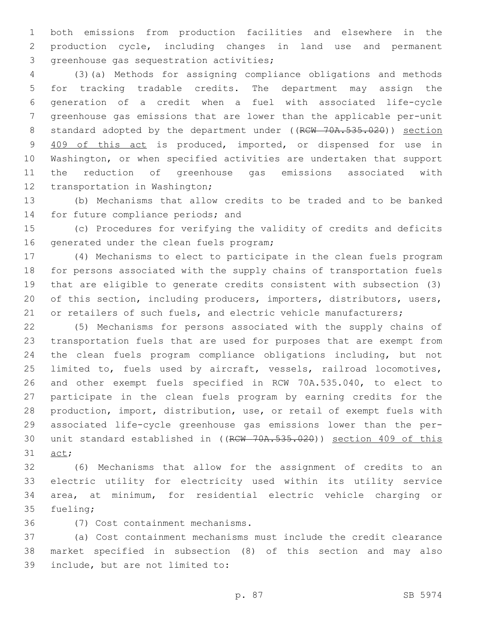both emissions from production facilities and elsewhere in the production cycle, including changes in land use and permanent 3 greenhouse gas sequestration activities;

 (3)(a) Methods for assigning compliance obligations and methods for tracking tradable credits. The department may assign the generation of a credit when a fuel with associated life-cycle greenhouse gas emissions that are lower than the applicable per-unit 8 standard adopted by the department under ((RCW 70A.535.020)) section 409 of this act is produced, imported, or dispensed for use in Washington, or when specified activities are undertaken that support the reduction of greenhouse gas emissions associated with 12 transportation in Washington;

 (b) Mechanisms that allow credits to be traded and to be banked 14 for future compliance periods; and

 (c) Procedures for verifying the validity of credits and deficits 16 generated under the clean fuels program;

 (4) Mechanisms to elect to participate in the clean fuels program for persons associated with the supply chains of transportation fuels that are eligible to generate credits consistent with subsection (3) of this section, including producers, importers, distributors, users, 21 or retailers of such fuels, and electric vehicle manufacturers;

 (5) Mechanisms for persons associated with the supply chains of transportation fuels that are used for purposes that are exempt from the clean fuels program compliance obligations including, but not limited to, fuels used by aircraft, vessels, railroad locomotives, and other exempt fuels specified in RCW 70A.535.040, to elect to participate in the clean fuels program by earning credits for the production, import, distribution, use, or retail of exempt fuels with associated life-cycle greenhouse gas emissions lower than the per- unit standard established in ((RCW 70A.535.020)) section 409 of this 31 act;

 (6) Mechanisms that allow for the assignment of credits to an electric utility for electricity used within its utility service area, at minimum, for residential electric vehicle charging or 35 fueling;

(7) Cost containment mechanisms.36

 (a) Cost containment mechanisms must include the credit clearance market specified in subsection (8) of this section and may also 39 include, but are not limited to: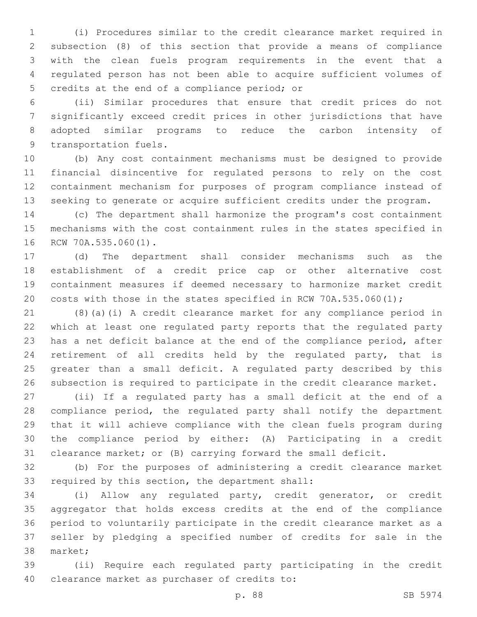(i) Procedures similar to the credit clearance market required in subsection (8) of this section that provide a means of compliance with the clean fuels program requirements in the event that a regulated person has not been able to acquire sufficient volumes of 5 credits at the end of a compliance period; or

 (ii) Similar procedures that ensure that credit prices do not significantly exceed credit prices in other jurisdictions that have adopted similar programs to reduce the carbon intensity of 9 transportation fuels.

 (b) Any cost containment mechanisms must be designed to provide financial disincentive for regulated persons to rely on the cost containment mechanism for purposes of program compliance instead of seeking to generate or acquire sufficient credits under the program.

 (c) The department shall harmonize the program's cost containment mechanisms with the cost containment rules in the states specified in 16 RCW 70A.535.060(1).

 (d) The department shall consider mechanisms such as the establishment of a credit price cap or other alternative cost containment measures if deemed necessary to harmonize market credit costs with those in the states specified in RCW 70A.535.060(1);

 (8)(a)(i) A credit clearance market for any compliance period in which at least one regulated party reports that the regulated party has a net deficit balance at the end of the compliance period, after retirement of all credits held by the regulated party, that is greater than a small deficit. A regulated party described by this subsection is required to participate in the credit clearance market.

 (ii) If a regulated party has a small deficit at the end of a compliance period, the regulated party shall notify the department that it will achieve compliance with the clean fuels program during the compliance period by either: (A) Participating in a credit clearance market; or (B) carrying forward the small deficit.

 (b) For the purposes of administering a credit clearance market 33 required by this section, the department shall:

 (i) Allow any regulated party, credit generator, or credit aggregator that holds excess credits at the end of the compliance period to voluntarily participate in the credit clearance market as a seller by pledging a specified number of credits for sale in the 38 market;

 (ii) Require each regulated party participating in the credit 40 clearance market as purchaser of credits to: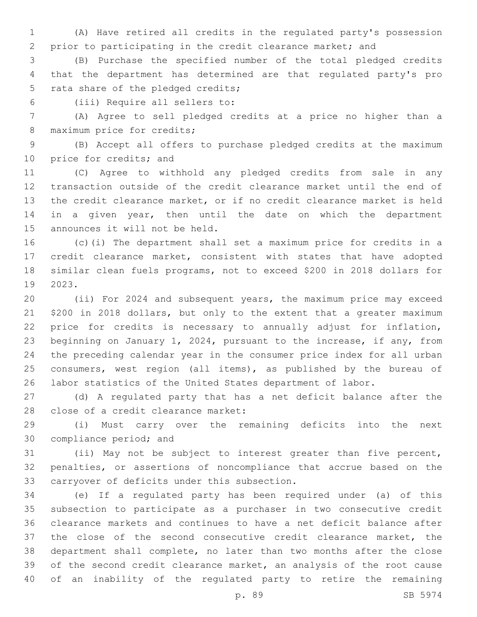(A) Have retired all credits in the regulated party's possession prior to participating in the credit clearance market; and

 (B) Purchase the specified number of the total pledged credits that the department has determined are that regulated party's pro 5 rata share of the pledged credits;

(iii) Require all sellers to:6

 (A) Agree to sell pledged credits at a price no higher than a 8 maximum price for credits;

 (B) Accept all offers to purchase pledged credits at the maximum 10 price for credits; and

 (C) Agree to withhold any pledged credits from sale in any transaction outside of the credit clearance market until the end of the credit clearance market, or if no credit clearance market is held 14 in a given year, then until the date on which the department 15 announces it will not be held.

 (c)(i) The department shall set a maximum price for credits in a credit clearance market, consistent with states that have adopted similar clean fuels programs, not to exceed \$200 in 2018 dollars for 2023.19

 (ii) For 2024 and subsequent years, the maximum price may exceed \$200 in 2018 dollars, but only to the extent that a greater maximum price for credits is necessary to annually adjust for inflation, beginning on January 1, 2024, pursuant to the increase, if any, from the preceding calendar year in the consumer price index for all urban 25 consumers, west region (all items), as published by the bureau of labor statistics of the United States department of labor.

 (d) A regulated party that has a net deficit balance after the 28 close of a credit clearance market:

 (i) Must carry over the remaining deficits into the next 30 compliance period; and

 (ii) May not be subject to interest greater than five percent, penalties, or assertions of noncompliance that accrue based on the 33 carryover of deficits under this subsection.

 (e) If a regulated party has been required under (a) of this subsection to participate as a purchaser in two consecutive credit clearance markets and continues to have a net deficit balance after the close of the second consecutive credit clearance market, the department shall complete, no later than two months after the close of the second credit clearance market, an analysis of the root cause of an inability of the regulated party to retire the remaining

p. 89 SB 5974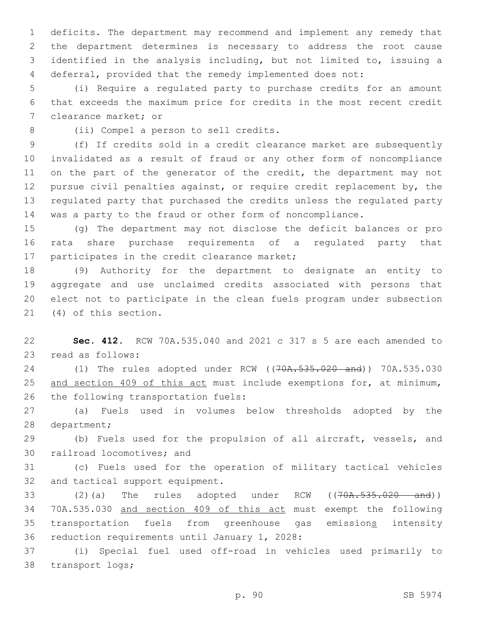deficits. The department may recommend and implement any remedy that the department determines is necessary to address the root cause identified in the analysis including, but not limited to, issuing a deferral, provided that the remedy implemented does not:

5 (i) Require a regulated party to purchase credits for an amount 6 that exceeds the maximum price for credits in the most recent credit 7 clearance market; or

8 (ii) Compel a person to sell credits.

 (f) If credits sold in a credit clearance market are subsequently invalidated as a result of fraud or any other form of noncompliance 11 on the part of the generator of the credit, the department may not pursue civil penalties against, or require credit replacement by, the regulated party that purchased the credits unless the regulated party was a party to the fraud or other form of noncompliance.

15 (g) The department may not disclose the deficit balances or pro 16 rata share purchase requirements of a regulated party that 17 participates in the credit clearance market;

 (9) Authority for the department to designate an entity to aggregate and use unclaimed credits associated with persons that elect not to participate in the clean fuels program under subsection 21 (4) of this section.

22 **Sec. 412.** RCW 70A.535.040 and 2021 c 317 s 5 are each amended to 23 read as follows:

24 (1) The rules adopted under RCW ((70A.535.020 and)) 70A.535.030 25 and section 409 of this act must include exemptions for, at minimum, 26 the following transportation fuels:

27 (a) Fuels used in volumes below thresholds adopted by the 28 department;

29 (b) Fuels used for the propulsion of all aircraft, vessels, and 30 railroad locomotives; and

31 (c) Fuels used for the operation of military tactical vehicles 32 and tactical support equipment.

33 (2)(a) The rules adopted under RCW ((70A.535.020 and)) 34 70A.535.030 and section 409 of this act must exempt the following 35 transportation fuels from greenhouse gas emissions intensity 36 reduction requirements until January 1, 2028:

37 (i) Special fuel used off-road in vehicles used primarily to 38 transport logs;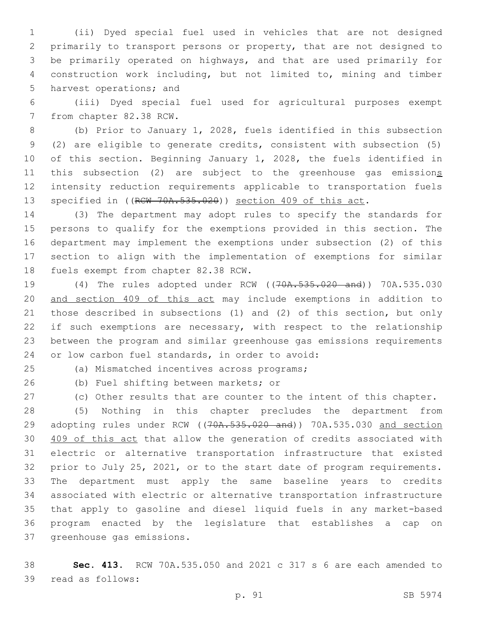(ii) Dyed special fuel used in vehicles that are not designed primarily to transport persons or property, that are not designed to be primarily operated on highways, and that are used primarily for construction work including, but not limited to, mining and timber 5 harvest operations; and

 (iii) Dyed special fuel used for agricultural purposes exempt 7 from chapter 82.38 RCW.

 (b) Prior to January 1, 2028, fuels identified in this subsection (2) are eligible to generate credits, consistent with subsection (5) of this section. Beginning January 1, 2028, the fuels identified in 11 this subsection (2) are subject to the greenhouse gas emissions intensity reduction requirements applicable to transportation fuels 13 specified in ((RCW 70A.535.020)) section 409 of this act.

 (3) The department may adopt rules to specify the standards for persons to qualify for the exemptions provided in this section. The department may implement the exemptions under subsection (2) of this section to align with the implementation of exemptions for similar 18 fuels exempt from chapter 82.38 RCW.

 (4) The rules adopted under RCW ((70A.535.020 and)) 70A.535.030 and section 409 of this act may include exemptions in addition to those described in subsections (1) and (2) of this section, but only 22 if such exemptions are necessary, with respect to the relationship between the program and similar greenhouse gas emissions requirements 24 or low carbon fuel standards, in order to avoid:

(a) Mismatched incentives across programs;25

26 (b) Fuel shifting between markets; or

(c) Other results that are counter to the intent of this chapter.

 (5) Nothing in this chapter precludes the department from 29 adopting rules under RCW ((70A.535.020 and)) 70A.535.030 and section 409 of this act that allow the generation of credits associated with electric or alternative transportation infrastructure that existed prior to July 25, 2021, or to the start date of program requirements. The department must apply the same baseline years to credits associated with electric or alternative transportation infrastructure that apply to gasoline and diesel liquid fuels in any market-based program enacted by the legislature that establishes a cap on 37 greenhouse gas emissions.

 **Sec. 413.** RCW 70A.535.050 and 2021 c 317 s 6 are each amended to 39 read as follows: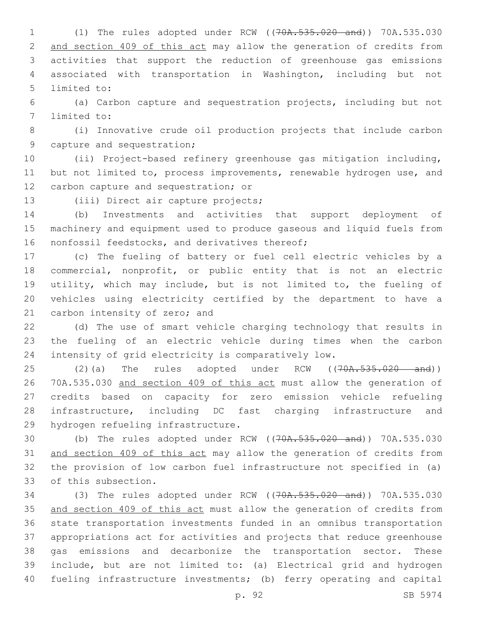(1) The rules adopted under RCW ((70A.535.020 and)) 70A.535.030 and section 409 of this act may allow the generation of credits from activities that support the reduction of greenhouse gas emissions associated with transportation in Washington, including but not 5 limited to:

 (a) Carbon capture and sequestration projects, including but not 7 limited to:

 (i) Innovative crude oil production projects that include carbon 9 capture and sequestration;

 (ii) Project-based refinery greenhouse gas mitigation including, but not limited to, process improvements, renewable hydrogen use, and 12 carbon capture and sequestration; or

13 (iii) Direct air capture projects;

 (b) Investments and activities that support deployment of machinery and equipment used to produce gaseous and liquid fuels from 16 nonfossil feedstocks, and derivatives thereof;

 (c) The fueling of battery or fuel cell electric vehicles by a commercial, nonprofit, or public entity that is not an electric utility, which may include, but is not limited to, the fueling of vehicles using electricity certified by the department to have a 21 carbon intensity of zero; and

 (d) The use of smart vehicle charging technology that results in the fueling of an electric vehicle during times when the carbon intensity of grid electricity is comparatively low.

25 (2)(a) The rules adopted under RCW ((70A.535.020 and)) 70A.535.030 and section 409 of this act must allow the generation of credits based on capacity for zero emission vehicle refueling infrastructure, including DC fast charging infrastructure and 29 hydrogen refueling infrastructure.

 (b) The rules adopted under RCW ((70A.535.020 and)) 70A.535.030 and section 409 of this act may allow the generation of credits from the provision of low carbon fuel infrastructure not specified in (a) 33 of this subsection.

 (3) The rules adopted under RCW ((70A.535.020 and)) 70A.535.030 35 and section 409 of this act must allow the generation of credits from state transportation investments funded in an omnibus transportation appropriations act for activities and projects that reduce greenhouse gas emissions and decarbonize the transportation sector. These include, but are not limited to: (a) Electrical grid and hydrogen fueling infrastructure investments; (b) ferry operating and capital

p. 92 SB 5974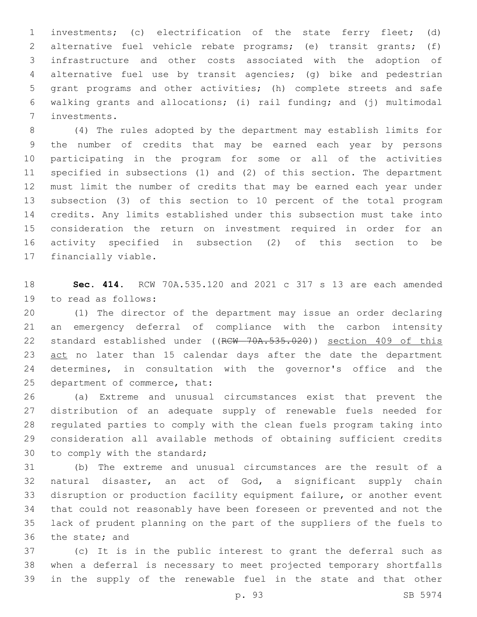investments; (c) electrification of the state ferry fleet; (d) alternative fuel vehicle rebate programs; (e) transit grants; (f) infrastructure and other costs associated with the adoption of alternative fuel use by transit agencies; (g) bike and pedestrian grant programs and other activities; (h) complete streets and safe walking grants and allocations; (i) rail funding; and (j) multimodal investments.7

 (4) The rules adopted by the department may establish limits for the number of credits that may be earned each year by persons participating in the program for some or all of the activities specified in subsections (1) and (2) of this section. The department must limit the number of credits that may be earned each year under subsection (3) of this section to 10 percent of the total program credits. Any limits established under this subsection must take into consideration the return on investment required in order for an activity specified in subsection (2) of this section to be 17 financially viable.

 **Sec. 414.** RCW 70A.535.120 and 2021 c 317 s 13 are each amended 19 to read as follows:

 (1) The director of the department may issue an order declaring an emergency deferral of compliance with the carbon intensity 22 standard established under ((RCW 70A.535.020)) section 409 of this 23 act no later than 15 calendar days after the date the department determines, in consultation with the governor's office and the 25 department of commerce, that:

 (a) Extreme and unusual circumstances exist that prevent the distribution of an adequate supply of renewable fuels needed for regulated parties to comply with the clean fuels program taking into consideration all available methods of obtaining sufficient credits 30 to comply with the standard;

 (b) The extreme and unusual circumstances are the result of a natural disaster, an act of God, a significant supply chain disruption or production facility equipment failure, or another event that could not reasonably have been foreseen or prevented and not the lack of prudent planning on the part of the suppliers of the fuels to 36 the state; and

 (c) It is in the public interest to grant the deferral such as when a deferral is necessary to meet projected temporary shortfalls in the supply of the renewable fuel in the state and that other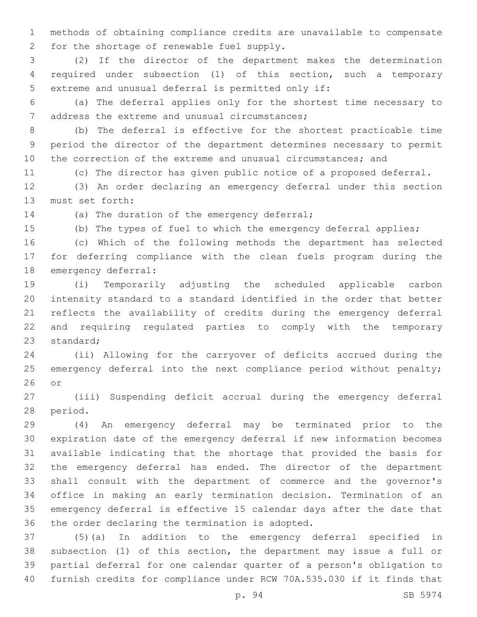methods of obtaining compliance credits are unavailable to compensate 2 for the shortage of renewable fuel supply.

 (2) If the director of the department makes the determination required under subsection (1) of this section, such a temporary 5 extreme and unusual deferral is permitted only if:

 (a) The deferral applies only for the shortest time necessary to 7 address the extreme and unusual circumstances;

 (b) The deferral is effective for the shortest practicable time period the director of the department determines necessary to permit the correction of the extreme and unusual circumstances; and

(c) The director has given public notice of a proposed deferral.

 (3) An order declaring an emergency deferral under this section 13 must set forth:

14 (a) The duration of the emergency deferral;

(b) The types of fuel to which the emergency deferral applies;

 (c) Which of the following methods the department has selected for deferring compliance with the clean fuels program during the 18 emergency deferral:

 (i) Temporarily adjusting the scheduled applicable carbon intensity standard to a standard identified in the order that better reflects the availability of credits during the emergency deferral and requiring regulated parties to comply with the temporary 23 standard:

 (ii) Allowing for the carryover of deficits accrued during the 25 emergency deferral into the next compliance period without penalty; or

 (iii) Suspending deficit accrual during the emergency deferral 28 period.

 (4) An emergency deferral may be terminated prior to the expiration date of the emergency deferral if new information becomes available indicating that the shortage that provided the basis for the emergency deferral has ended. The director of the department shall consult with the department of commerce and the governor's office in making an early termination decision. Termination of an emergency deferral is effective 15 calendar days after the date that 36 the order declaring the termination is adopted.

 (5)(a) In addition to the emergency deferral specified in subsection (1) of this section, the department may issue a full or partial deferral for one calendar quarter of a person's obligation to furnish credits for compliance under RCW 70A.535.030 if it finds that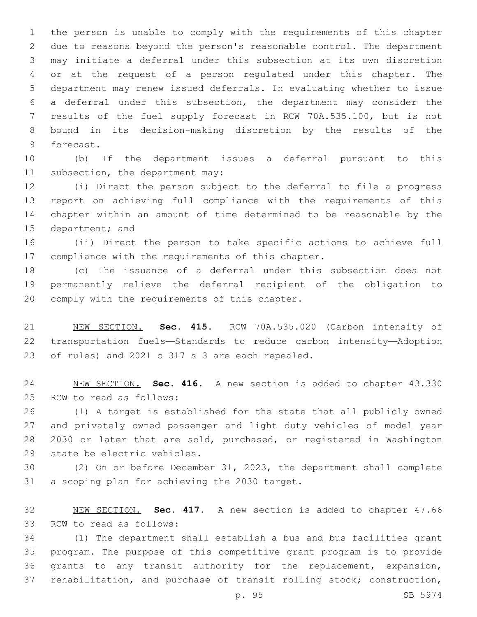the person is unable to comply with the requirements of this chapter due to reasons beyond the person's reasonable control. The department may initiate a deferral under this subsection at its own discretion or at the request of a person regulated under this chapter. The department may renew issued deferrals. In evaluating whether to issue a deferral under this subsection, the department may consider the results of the fuel supply forecast in RCW 70A.535.100, but is not bound in its decision-making discretion by the results of the 9 forecast.

 (b) If the department issues a deferral pursuant to this 11 subsection, the department may:

 (i) Direct the person subject to the deferral to file a progress report on achieving full compliance with the requirements of this chapter within an amount of time determined to be reasonable by the 15 department; and

 (ii) Direct the person to take specific actions to achieve full 17 compliance with the requirements of this chapter.

 (c) The issuance of a deferral under this subsection does not permanently relieve the deferral recipient of the obligation to 20 comply with the requirements of this chapter.

 NEW SECTION. **Sec. 415.** RCW 70A.535.020 (Carbon intensity of transportation fuels—Standards to reduce carbon intensity—Adoption of rules) and 2021 c 317 s 3 are each repealed.

 NEW SECTION. **Sec. 416.** A new section is added to chapter 43.330 25 RCW to read as follows:

 (1) A target is established for the state that all publicly owned and privately owned passenger and light duty vehicles of model year 2030 or later that are sold, purchased, or registered in Washington 29 state be electric vehicles.

 (2) On or before December 31, 2023, the department shall complete 31 a scoping plan for achieving the 2030 target.

 NEW SECTION. **Sec. 417.** A new section is added to chapter 47.66 33 RCW to read as follows:

 (1) The department shall establish a bus and bus facilities grant program. The purpose of this competitive grant program is to provide grants to any transit authority for the replacement, expansion, rehabilitation, and purchase of transit rolling stock; construction,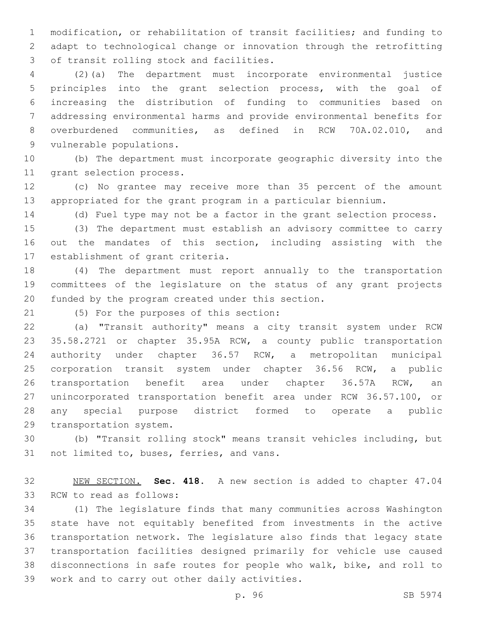modification, or rehabilitation of transit facilities; and funding to adapt to technological change or innovation through the retrofitting 3 of transit rolling stock and facilities.

 (2)(a) The department must incorporate environmental justice principles into the grant selection process, with the goal of increasing the distribution of funding to communities based on addressing environmental harms and provide environmental benefits for overburdened communities, as defined in RCW 70A.02.010, and 9 vulnerable populations.

 (b) The department must incorporate geographic diversity into the 11 grant selection process.

 (c) No grantee may receive more than 35 percent of the amount appropriated for the grant program in a particular biennium.

(d) Fuel type may not be a factor in the grant selection process.

 (3) The department must establish an advisory committee to carry out the mandates of this section, including assisting with the 17 establishment of grant criteria.

 (4) The department must report annually to the transportation committees of the legislature on the status of any grant projects 20 funded by the program created under this section.

(5) For the purposes of this section:21

 (a) "Transit authority" means a city transit system under RCW 35.58.2721 or chapter 35.95A RCW, a county public transportation authority under chapter 36.57 RCW, a metropolitan municipal corporation transit system under chapter 36.56 RCW, a public transportation benefit area under chapter 36.57A RCW, an unincorporated transportation benefit area under RCW 36.57.100, or any special purpose district formed to operate a public 29 transportation system.

 (b) "Transit rolling stock" means transit vehicles including, but 31 not limited to, buses, ferries, and vans.

 NEW SECTION. **Sec. 418.** A new section is added to chapter 47.04 33 RCW to read as follows:

 (1) The legislature finds that many communities across Washington state have not equitably benefited from investments in the active transportation network. The legislature also finds that legacy state transportation facilities designed primarily for vehicle use caused disconnections in safe routes for people who walk, bike, and roll to 39 work and to carry out other daily activities.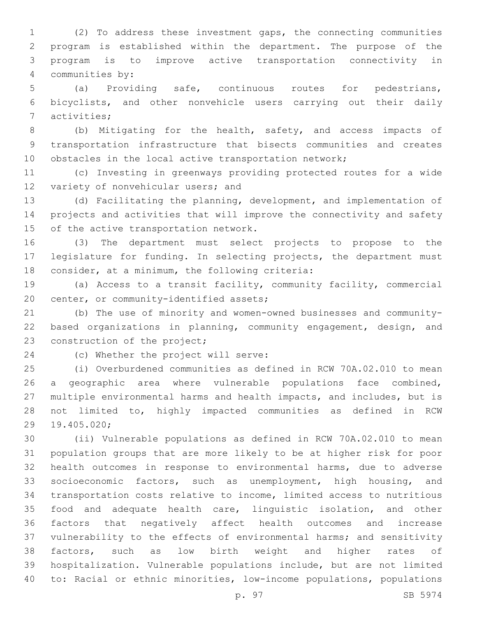(2) To address these investment gaps, the connecting communities program is established within the department. The purpose of the program is to improve active transportation connectivity in 4 communities by:

 (a) Providing safe, continuous routes for pedestrians, bicyclists, and other nonvehicle users carrying out their daily 7 activities;

 (b) Mitigating for the health, safety, and access impacts of transportation infrastructure that bisects communities and creates 10 obstacles in the local active transportation network;

 (c) Investing in greenways providing protected routes for a wide 12 variety of nonvehicular users; and

 (d) Facilitating the planning, development, and implementation of projects and activities that will improve the connectivity and safety 15 of the active transportation network.

 (3) The department must select projects to propose to the legislature for funding. In selecting projects, the department must 18 consider, at a minimum, the following criteria:

 (a) Access to a transit facility, community facility, commercial 20 center, or community-identified assets;

 (b) The use of minority and women-owned businesses and community- based organizations in planning, community engagement, design, and 23 construction of the project;

24 (c) Whether the project will serve:

 (i) Overburdened communities as defined in RCW 70A.02.010 to mean a geographic area where vulnerable populations face combined, multiple environmental harms and health impacts, and includes, but is not limited to, highly impacted communities as defined in RCW 19.405.020;29

 (ii) Vulnerable populations as defined in RCW 70A.02.010 to mean population groups that are more likely to be at higher risk for poor health outcomes in response to environmental harms, due to adverse socioeconomic factors, such as unemployment, high housing, and transportation costs relative to income, limited access to nutritious food and adequate health care, linguistic isolation, and other factors that negatively affect health outcomes and increase vulnerability to the effects of environmental harms; and sensitivity factors, such as low birth weight and higher rates of hospitalization. Vulnerable populations include, but are not limited to: Racial or ethnic minorities, low-income populations, populations

p. 97 SB 5974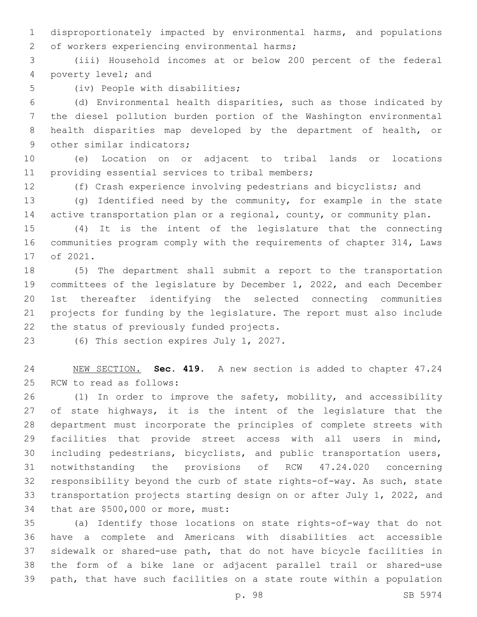disproportionately impacted by environmental harms, and populations 2 of workers experiencing environmental harms;

 (iii) Household incomes at or below 200 percent of the federal 4 poverty level; and

5 (iv) People with disabilities;

 (d) Environmental health disparities, such as those indicated by the diesel pollution burden portion of the Washington environmental health disparities map developed by the department of health, or 9 other similar indicators;

 (e) Location on or adjacent to tribal lands or locations 11 providing essential services to tribal members;

(f) Crash experience involving pedestrians and bicyclists; and

 (g) Identified need by the community, for example in the state 14 active transportation plan or a regional, county, or community plan.

 (4) It is the intent of the legislature that the connecting communities program comply with the requirements of chapter 314, Laws 17 of 2021.

 (5) The department shall submit a report to the transportation committees of the legislature by December 1, 2022, and each December 1st thereafter identifying the selected connecting communities projects for funding by the legislature. The report must also include 22 the status of previously funded projects.

23 (6) This section expires July 1, 2027.

 NEW SECTION. **Sec. 419.** A new section is added to chapter 47.24 25 RCW to read as follows:

 (1) In order to improve the safety, mobility, and accessibility 27 of state highways, it is the intent of the legislature that the department must incorporate the principles of complete streets with facilities that provide street access with all users in mind, including pedestrians, bicyclists, and public transportation users, notwithstanding the provisions of RCW 47.24.020 concerning responsibility beyond the curb of state rights-of-way. As such, state transportation projects starting design on or after July 1, 2022, and 34 that are \$500,000 or more, must:

 (a) Identify those locations on state rights-of-way that do not have a complete and Americans with disabilities act accessible sidewalk or shared-use path, that do not have bicycle facilities in the form of a bike lane or adjacent parallel trail or shared-use path, that have such facilities on a state route within a population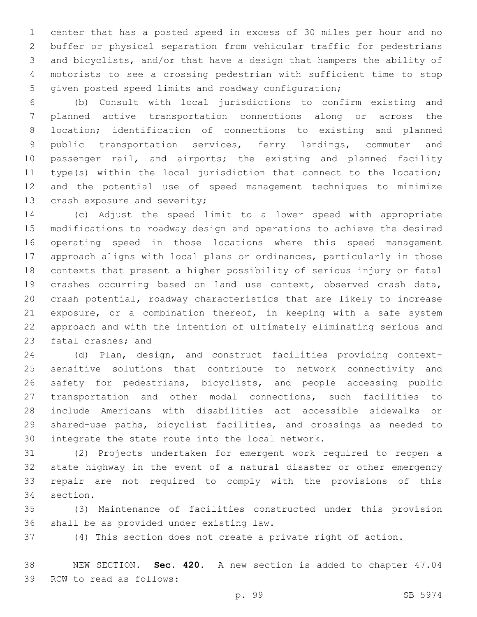center that has a posted speed in excess of 30 miles per hour and no buffer or physical separation from vehicular traffic for pedestrians and bicyclists, and/or that have a design that hampers the ability of motorists to see a crossing pedestrian with sufficient time to stop given posted speed limits and roadway configuration;

 (b) Consult with local jurisdictions to confirm existing and planned active transportation connections along or across the location; identification of connections to existing and planned public transportation services, ferry landings, commuter and passenger rail, and airports; the existing and planned facility type(s) within the local jurisdiction that connect to the location; and the potential use of speed management techniques to minimize 13 crash exposure and severity;

 (c) Adjust the speed limit to a lower speed with appropriate modifications to roadway design and operations to achieve the desired operating speed in those locations where this speed management approach aligns with local plans or ordinances, particularly in those contexts that present a higher possibility of serious injury or fatal crashes occurring based on land use context, observed crash data, crash potential, roadway characteristics that are likely to increase 21 exposure, or a combination thereof, in keeping with a safe system approach and with the intention of ultimately eliminating serious and 23 fatal crashes; and

 (d) Plan, design, and construct facilities providing context- sensitive solutions that contribute to network connectivity and safety for pedestrians, bicyclists, and people accessing public transportation and other modal connections, such facilities to include Americans with disabilities act accessible sidewalks or shared-use paths, bicyclist facilities, and crossings as needed to 30 integrate the state route into the local network.

 (2) Projects undertaken for emergent work required to reopen a state highway in the event of a natural disaster or other emergency repair are not required to comply with the provisions of this 34 section.

 (3) Maintenance of facilities constructed under this provision 36 shall be as provided under existing law.

(4) This section does not create a private right of action.

 NEW SECTION. **Sec. 420.** A new section is added to chapter 47.04 39 RCW to read as follows: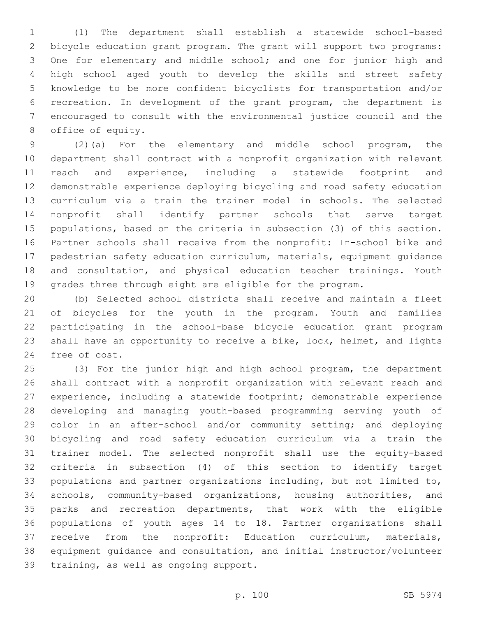(1) The department shall establish a statewide school-based bicycle education grant program. The grant will support two programs: One for elementary and middle school; and one for junior high and high school aged youth to develop the skills and street safety knowledge to be more confident bicyclists for transportation and/or recreation. In development of the grant program, the department is encouraged to consult with the environmental justice council and the 8 office of equity.

 (2)(a) For the elementary and middle school program, the department shall contract with a nonprofit organization with relevant reach and experience, including a statewide footprint and demonstrable experience deploying bicycling and road safety education curriculum via a train the trainer model in schools. The selected nonprofit shall identify partner schools that serve target populations, based on the criteria in subsection (3) of this section. Partner schools shall receive from the nonprofit: In-school bike and pedestrian safety education curriculum, materials, equipment guidance and consultation, and physical education teacher trainings. Youth grades three through eight are eligible for the program.

 (b) Selected school districts shall receive and maintain a fleet of bicycles for the youth in the program. Youth and families participating in the school-base bicycle education grant program shall have an opportunity to receive a bike, lock, helmet, and lights 24 free of cost.

 (3) For the junior high and high school program, the department shall contract with a nonprofit organization with relevant reach and experience, including a statewide footprint; demonstrable experience developing and managing youth-based programming serving youth of color in an after-school and/or community setting; and deploying bicycling and road safety education curriculum via a train the trainer model. The selected nonprofit shall use the equity-based criteria in subsection (4) of this section to identify target populations and partner organizations including, but not limited to, schools, community-based organizations, housing authorities, and parks and recreation departments, that work with the eligible populations of youth ages 14 to 18. Partner organizations shall receive from the nonprofit: Education curriculum, materials, equipment guidance and consultation, and initial instructor/volunteer 39 training, as well as ongoing support.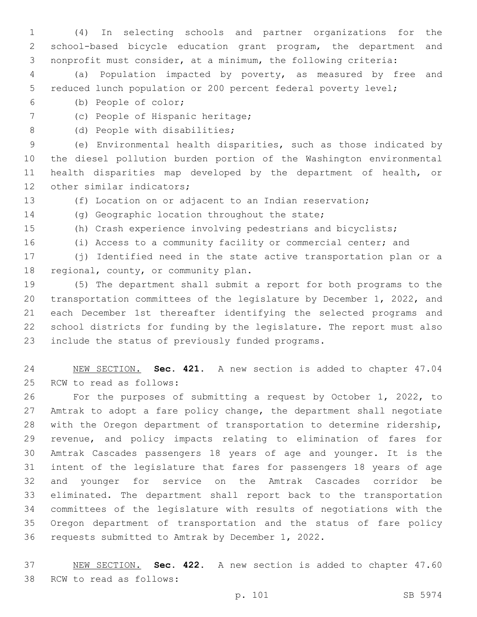(4) In selecting schools and partner organizations for the school-based bicycle education grant program, the department and nonprofit must consider, at a minimum, the following criteria:

 (a) Population impacted by poverty, as measured by free and reduced lunch population or 200 percent federal poverty level;

- (b) People of color;6
- 7 (c) People of Hispanic heritage;
- 8 (d) People with disabilities;

 (e) Environmental health disparities, such as those indicated by the diesel pollution burden portion of the Washington environmental health disparities map developed by the department of health, or 12 other similar indicators;

(f) Location on or adjacent to an Indian reservation;

14 (g) Geographic location throughout the state;

- (h) Crash experience involving pedestrians and bicyclists;
- (i) Access to a community facility or commercial center; and

 (j) Identified need in the state active transportation plan or a 18 regional, county, or community plan.

 (5) The department shall submit a report for both programs to the transportation committees of the legislature by December 1, 2022, and each December 1st thereafter identifying the selected programs and school districts for funding by the legislature. The report must also 23 include the status of previously funded programs.

 NEW SECTION. **Sec. 421.** A new section is added to chapter 47.04 25 RCW to read as follows:

 For the purposes of submitting a request by October 1, 2022, to Amtrak to adopt a fare policy change, the department shall negotiate with the Oregon department of transportation to determine ridership, revenue, and policy impacts relating to elimination of fares for Amtrak Cascades passengers 18 years of age and younger. It is the intent of the legislature that fares for passengers 18 years of age and younger for service on the Amtrak Cascades corridor be eliminated. The department shall report back to the transportation committees of the legislature with results of negotiations with the Oregon department of transportation and the status of fare policy 36 requests submitted to Amtrak by December 1, 2022.

 NEW SECTION. **Sec. 422.** A new section is added to chapter 47.60 38 RCW to read as follows: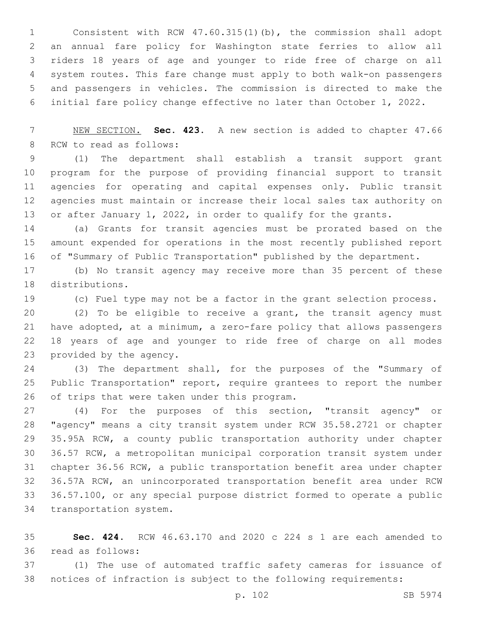Consistent with RCW 47.60.315(1)(b), the commission shall adopt an annual fare policy for Washington state ferries to allow all riders 18 years of age and younger to ride free of charge on all system routes. This fare change must apply to both walk-on passengers and passengers in vehicles. The commission is directed to make the initial fare policy change effective no later than October 1, 2022.

 NEW SECTION. **Sec. 423.** A new section is added to chapter 47.66 8 RCW to read as follows:

 (1) The department shall establish a transit support grant program for the purpose of providing financial support to transit agencies for operating and capital expenses only. Public transit agencies must maintain or increase their local sales tax authority on 13 or after January 1, 2022, in order to qualify for the grants.

 (a) Grants for transit agencies must be prorated based on the amount expended for operations in the most recently published report of "Summary of Public Transportation" published by the department.

 (b) No transit agency may receive more than 35 percent of these 18 distributions.

(c) Fuel type may not be a factor in the grant selection process.

 (2) To be eligible to receive a grant, the transit agency must have adopted, at a minimum, a zero-fare policy that allows passengers 18 years of age and younger to ride free of charge on all modes 23 provided by the agency.

 (3) The department shall, for the purposes of the "Summary of 25 Public Transportation" report, require grantees to report the number 26 of trips that were taken under this program.

 (4) For the purposes of this section, "transit agency" or "agency" means a city transit system under RCW 35.58.2721 or chapter 35.95A RCW, a county public transportation authority under chapter 36.57 RCW, a metropolitan municipal corporation transit system under chapter 36.56 RCW, a public transportation benefit area under chapter 36.57A RCW, an unincorporated transportation benefit area under RCW 36.57.100, or any special purpose district formed to operate a public 34 transportation system.

 **Sec. 424.** RCW 46.63.170 and 2020 c 224 s 1 are each amended to 36 read as follows:

 (1) The use of automated traffic safety cameras for issuance of notices of infraction is subject to the following requirements: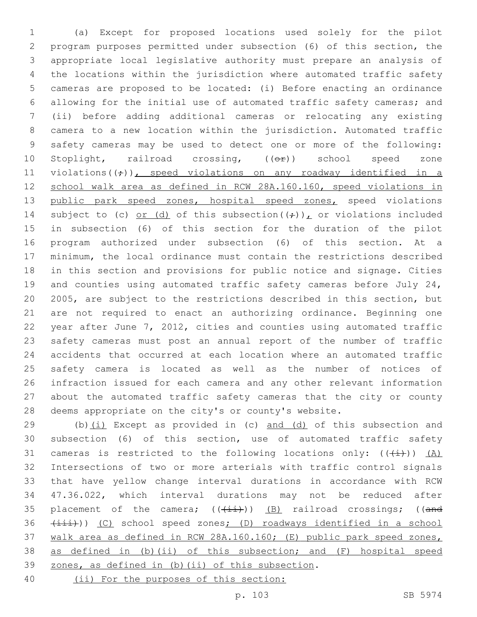(a) Except for proposed locations used solely for the pilot program purposes permitted under subsection (6) of this section, the appropriate local legislative authority must prepare an analysis of the locations within the jurisdiction where automated traffic safety cameras are proposed to be located: (i) Before enacting an ordinance allowing for the initial use of automated traffic safety cameras; and (ii) before adding additional cameras or relocating any existing camera to a new location within the jurisdiction. Automated traffic safety cameras may be used to detect one or more of the following: 10 Stoplight, railroad crossing, ((OP)) school speed zone 11 violations( $(\div)$ ), speed violations on any roadway identified in a school walk area as defined in RCW 28A.160.160, speed violations in 13 public park speed zones, hospital speed zones, speed violations 14 subject to (c) or (d) of this subsection( $(\frac{1}{r})$ ), or violations included in subsection (6) of this section for the duration of the pilot program authorized under subsection (6) of this section. At a minimum, the local ordinance must contain the restrictions described in this section and provisions for public notice and signage. Cities 19 and counties using automated traffic safety cameras before July 24, 2005, are subject to the restrictions described in this section, but are not required to enact an authorizing ordinance. Beginning one year after June 7, 2012, cities and counties using automated traffic safety cameras must post an annual report of the number of traffic accidents that occurred at each location where an automated traffic safety camera is located as well as the number of notices of infraction issued for each camera and any other relevant information about the automated traffic safety cameras that the city or county deems appropriate on the city's or county's website.

 (b)(i) Except as provided in (c) and (d) of this subsection and subsection (6) of this section, use of automated traffic safety 31 cameras is restricted to the following locations only:  $((+i))$   $(A)$  Intersections of two or more arterials with traffic control signals that have yellow change interval durations in accordance with RCW 47.36.022, which interval durations may not be reduced after 35 placement of the camera;  $((+i+1)(n-1)(n+1))$  (B) railroad crossings; ((and 36 (iii))) (C) school speed zones; (D) roadways identified in a school walk area as defined in RCW 28A.160.160; (E) public park speed zones, as defined in (b)(ii) of this subsection; and (F) hospital speed 39 zones, as defined in (b)(ii) of this subsection. (ii) For the purposes of this section: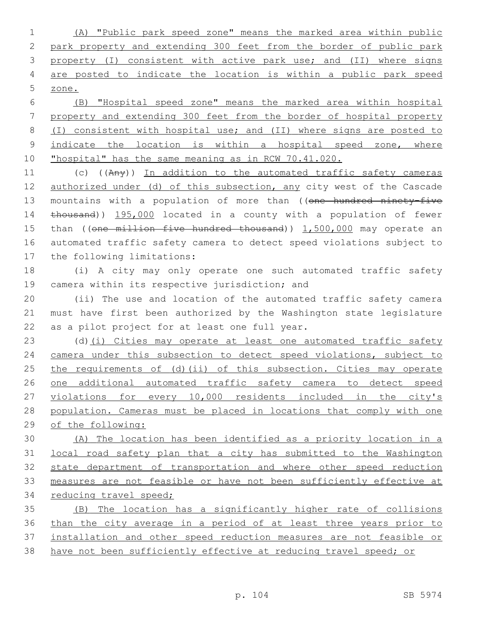(A) "Public park speed zone" means the marked area within public park property and extending 300 feet from the border of public park property (I) consistent with active park use; and (II) where signs are posted to indicate the location is within a public park speed zone.

 (B) "Hospital speed zone" means the marked area within hospital property and extending 300 feet from the border of hospital property (I) consistent with hospital use; and (II) where signs are posted to 9 indicate the location is within a hospital speed zone, where "hospital" has the same meaning as in RCW 70.41.020.

11 (c) ((Any)) In addition to the automated traffic safety cameras 12 authorized under (d) of this subsection, any city west of the Cascade 13 mountains with a population of more than ((one hundred ninety-five thousand)) 195,000 located in a county with a population of fewer 15 than ((one million five hundred thousand)) 1,500,000 may operate an automated traffic safety camera to detect speed violations subject to 17 the following limitations:

 (i) A city may only operate one such automated traffic safety 19 camera within its respective jurisdiction; and

 (ii) The use and location of the automated traffic safety camera must have first been authorized by the Washington state legislature 22 as a pilot project for at least one full year.

23 (d)(i) Cities may operate at least one automated traffic safety camera under this subsection to detect speed violations, subject to the requirements of (d)(ii) of this subsection. Cities may operate one additional automated traffic safety camera to detect speed violations for every 10,000 residents included in the city's population. Cameras must be placed in locations that comply with one of the following:

 (A) The location has been identified as a priority location in a local road safety plan that a city has submitted to the Washington state department of transportation and where other speed reduction measures are not feasible or have not been sufficiently effective at reducing travel speed;

 (B) The location has a significantly higher rate of collisions than the city average in a period of at least three years prior to installation and other speed reduction measures are not feasible or have not been sufficiently effective at reducing travel speed; or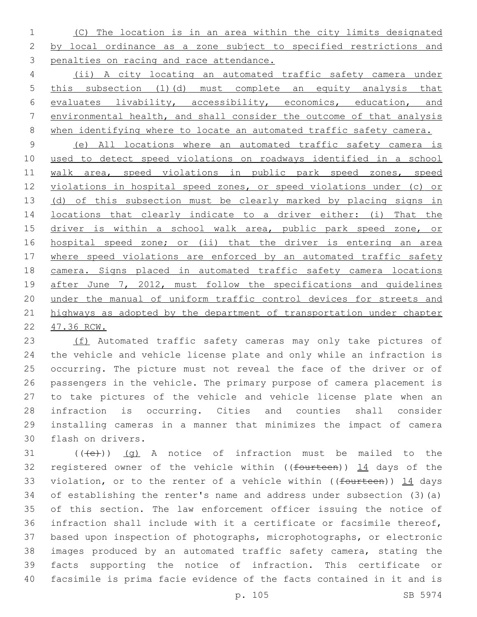(C) The location is in an area within the city limits designated by local ordinance as a zone subject to specified restrictions and penalties on racing and race attendance.

 (ii) A city locating an automated traffic safety camera under this subsection (1)(d) must complete an equity analysis that evaluates livability, accessibility, economics, education, and environmental health, and shall consider the outcome of that analysis when identifying where to locate an automated traffic safety camera.

 (e) All locations where an automated traffic safety camera is used to detect speed violations on roadways identified in a school 11 walk area, speed violations in public park speed zones, speed violations in hospital speed zones, or speed violations under (c) or 13 (d) of this subsection must be clearly marked by placing signs in locations that clearly indicate to a driver either: (i) That the 15 driver is within a school walk area, public park speed zone, or hospital speed zone; or (ii) that the driver is entering an area 17 where speed violations are enforced by an automated traffic safety camera. Signs placed in automated traffic safety camera locations 19 after June 7, 2012, must follow the specifications and quidelines under the manual of uniform traffic control devices for streets and 21 highways as adopted by the department of transportation under chapter 47.36 RCW.

23 (f) Automated traffic safety cameras may only take pictures of the vehicle and vehicle license plate and only while an infraction is occurring. The picture must not reveal the face of the driver or of passengers in the vehicle. The primary purpose of camera placement is to take pictures of the vehicle and vehicle license plate when an infraction is occurring. Cities and counties shall consider installing cameras in a manner that minimizes the impact of camera 30 flash on drivers.

 (( $\left(\frac{1}{10}\right)$ ) (q) A notice of infraction must be mailed to the 32 registered owner of the vehicle within ((fourteen)) 14 days of the 33 violation, or to the renter of a vehicle within ((fourteen)) 14 days of establishing the renter's name and address under subsection (3)(a) of this section. The law enforcement officer issuing the notice of infraction shall include with it a certificate or facsimile thereof, based upon inspection of photographs, microphotographs, or electronic images produced by an automated traffic safety camera, stating the facts supporting the notice of infraction. This certificate or facsimile is prima facie evidence of the facts contained in it and is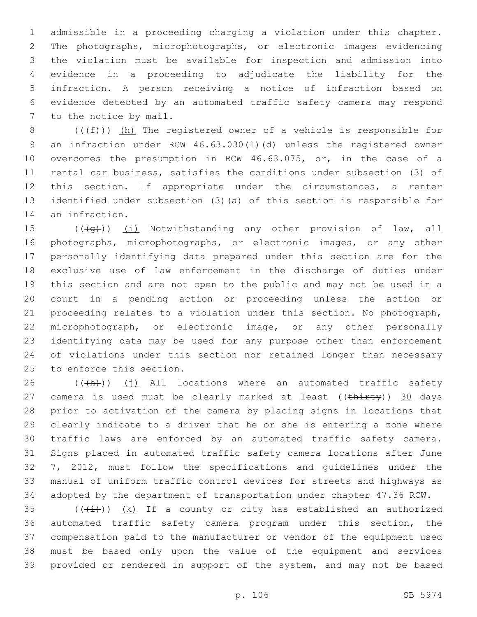admissible in a proceeding charging a violation under this chapter. The photographs, microphotographs, or electronic images evidencing the violation must be available for inspection and admission into evidence in a proceeding to adjudicate the liability for the infraction. A person receiving a notice of infraction based on evidence detected by an automated traffic safety camera may respond 7 to the notice by mail.

8 ( $(\text{+f})$ ) (h) The registered owner of a vehicle is responsible for an infraction under RCW 46.63.030(1)(d) unless the registered owner overcomes the presumption in RCW 46.63.075, or, in the case of a rental car business, satisfies the conditions under subsection (3) of this section. If appropriate under the circumstances, a renter identified under subsection (3)(a) of this section is responsible for 14 an infraction.

15 (((+q))) (i) Notwithstanding any other provision of law, all photographs, microphotographs, or electronic images, or any other personally identifying data prepared under this section are for the exclusive use of law enforcement in the discharge of duties under this section and are not open to the public and may not be used in a court in a pending action or proceeding unless the action or proceeding relates to a violation under this section. No photograph, microphotograph, or electronic image, or any other personally identifying data may be used for any purpose other than enforcement of violations under this section nor retained longer than necessary 25 to enforce this section.

 (( $\frac{h}{h}$ )) (j) All locations where an automated traffic safety 27 camera is used must be clearly marked at least  $((\text{thirty}))$  30 days prior to activation of the camera by placing signs in locations that clearly indicate to a driver that he or she is entering a zone where traffic laws are enforced by an automated traffic safety camera. Signs placed in automated traffic safety camera locations after June 7, 2012, must follow the specifications and guidelines under the manual of uniform traffic control devices for streets and highways as adopted by the department of transportation under chapter 47.36 RCW.

 $((\overline{(\dagger)}))$   $(k)$  If a county or city has established an authorized automated traffic safety camera program under this section, the compensation paid to the manufacturer or vendor of the equipment used must be based only upon the value of the equipment and services provided or rendered in support of the system, and may not be based

p. 106 SB 5974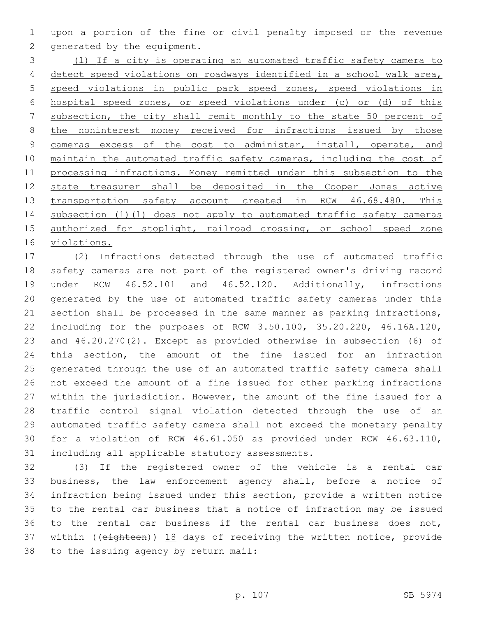upon a portion of the fine or civil penalty imposed or the revenue 2 generated by the equipment.

 (l) If a city is operating an automated traffic safety camera to detect speed violations on roadways identified in a school walk area, speed violations in public park speed zones, speed violations in hospital speed zones, or speed violations under (c) or (d) of this subsection, the city shall remit monthly to the state 50 percent of 8 the noninterest money received for infractions issued by those 9 cameras excess of the cost to administer, install, operate, and 10 maintain the automated traffic safety cameras, including the cost of processing infractions. Money remitted under this subsection to the state treasurer shall be deposited in the Cooper Jones active 13 transportation safety account created in RCW 46.68.480. This subsection (1)(l) does not apply to automated traffic safety cameras 15 authorized for stoplight, railroad crossing, or school speed zone violations.

 (2) Infractions detected through the use of automated traffic safety cameras are not part of the registered owner's driving record under RCW 46.52.101 and 46.52.120. Additionally, infractions generated by the use of automated traffic safety cameras under this section shall be processed in the same manner as parking infractions, including for the purposes of RCW 3.50.100, 35.20.220, 46.16A.120, and 46.20.270(2). Except as provided otherwise in subsection (6) of this section, the amount of the fine issued for an infraction generated through the use of an automated traffic safety camera shall not exceed the amount of a fine issued for other parking infractions within the jurisdiction. However, the amount of the fine issued for a traffic control signal violation detected through the use of an automated traffic safety camera shall not exceed the monetary penalty for a violation of RCW 46.61.050 as provided under RCW 46.63.110, 31 including all applicable statutory assessments.

 (3) If the registered owner of the vehicle is a rental car business, the law enforcement agency shall, before a notice of infraction being issued under this section, provide a written notice to the rental car business that a notice of infraction may be issued to the rental car business if the rental car business does not, 37 within ((eighteen)) 18 days of receiving the written notice, provide 38 to the issuing agency by return mail: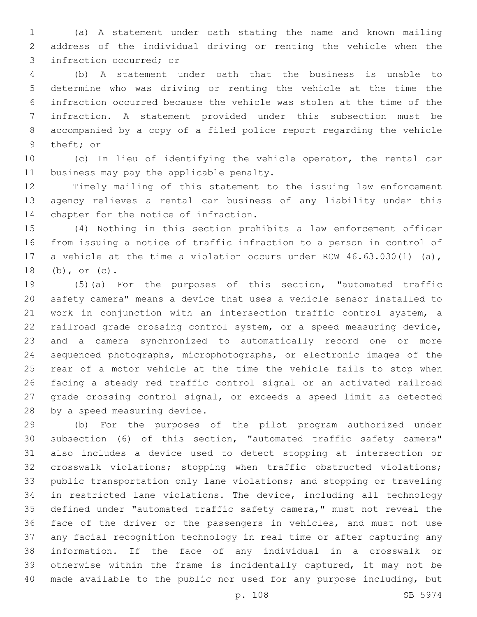(a) A statement under oath stating the name and known mailing address of the individual driving or renting the vehicle when the 3 infraction occurred; or

 (b) A statement under oath that the business is unable to determine who was driving or renting the vehicle at the time the infraction occurred because the vehicle was stolen at the time of the infraction. A statement provided under this subsection must be accompanied by a copy of a filed police report regarding the vehicle 9 theft; or

 (c) In lieu of identifying the vehicle operator, the rental car 11 business may pay the applicable penalty.

 Timely mailing of this statement to the issuing law enforcement agency relieves a rental car business of any liability under this 14 chapter for the notice of infraction.

 (4) Nothing in this section prohibits a law enforcement officer from issuing a notice of traffic infraction to a person in control of a vehicle at the time a violation occurs under RCW 46.63.030(1) (a), 18 (b), or (c).

 (5)(a) For the purposes of this section, "automated traffic safety camera" means a device that uses a vehicle sensor installed to work in conjunction with an intersection traffic control system, a railroad grade crossing control system, or a speed measuring device, and a camera synchronized to automatically record one or more sequenced photographs, microphotographs, or electronic images of the rear of a motor vehicle at the time the vehicle fails to stop when facing a steady red traffic control signal or an activated railroad grade crossing control signal, or exceeds a speed limit as detected 28 by a speed measuring device.

 (b) For the purposes of the pilot program authorized under subsection (6) of this section, "automated traffic safety camera" also includes a device used to detect stopping at intersection or crosswalk violations; stopping when traffic obstructed violations; public transportation only lane violations; and stopping or traveling in restricted lane violations. The device, including all technology defined under "automated traffic safety camera," must not reveal the face of the driver or the passengers in vehicles, and must not use any facial recognition technology in real time or after capturing any information. If the face of any individual in a crosswalk or otherwise within the frame is incidentally captured, it may not be made available to the public nor used for any purpose including, but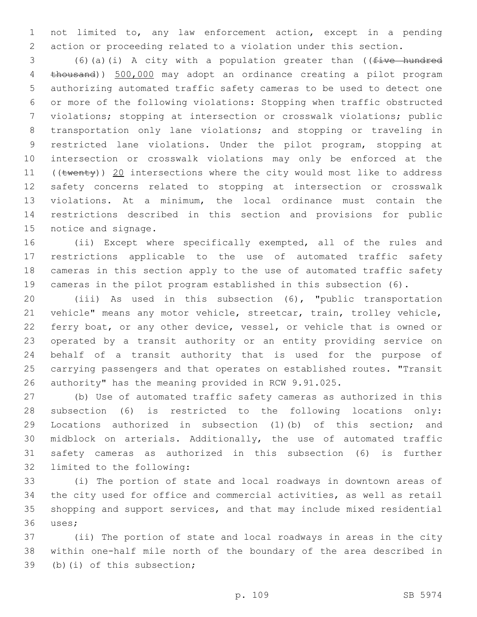not limited to, any law enforcement action, except in a pending action or proceeding related to a violation under this section.

 (6)(a)(i) A city with a population greater than ((five hundred thousand)) 500,000 may adopt an ordinance creating a pilot program authorizing automated traffic safety cameras to be used to detect one or more of the following violations: Stopping when traffic obstructed violations; stopping at intersection or crosswalk violations; public transportation only lane violations; and stopping or traveling in restricted lane violations. Under the pilot program, stopping at intersection or crosswalk violations may only be enforced at the 11 ((twenty)) 20 intersections where the city would most like to address safety concerns related to stopping at intersection or crosswalk violations. At a minimum, the local ordinance must contain the restrictions described in this section and provisions for public 15 notice and signage.

 (ii) Except where specifically exempted, all of the rules and restrictions applicable to the use of automated traffic safety cameras in this section apply to the use of automated traffic safety cameras in the pilot program established in this subsection (6).

 (iii) As used in this subsection (6), "public transportation vehicle" means any motor vehicle, streetcar, train, trolley vehicle, ferry boat, or any other device, vessel, or vehicle that is owned or operated by a transit authority or an entity providing service on behalf of a transit authority that is used for the purpose of carrying passengers and that operates on established routes. "Transit authority" has the meaning provided in RCW 9.91.025.

 (b) Use of automated traffic safety cameras as authorized in this subsection (6) is restricted to the following locations only: Locations authorized in subsection (1)(b) of this section; and midblock on arterials. Additionally, the use of automated traffic safety cameras as authorized in this subsection (6) is further 32 limited to the following:

 (i) The portion of state and local roadways in downtown areas of the city used for office and commercial activities, as well as retail shopping and support services, and that may include mixed residential 36 uses;

 (ii) The portion of state and local roadways in areas in the city within one-half mile north of the boundary of the area described in 39 (b)(i) of this subsection;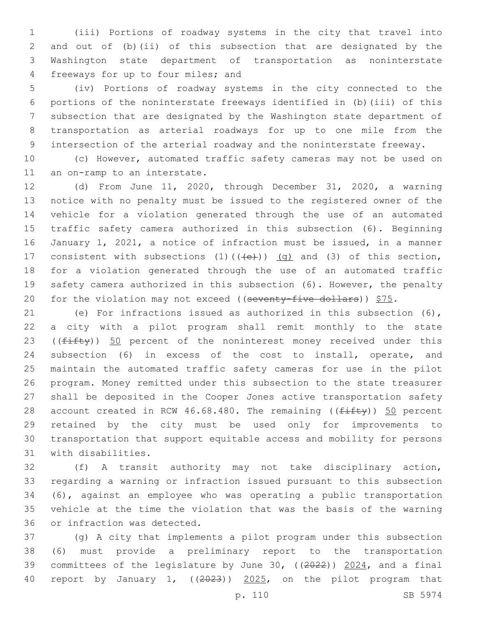(iii) Portions of roadway systems in the city that travel into and out of (b)(ii) of this subsection that are designated by the Washington state department of transportation as noninterstate 4 freeways for up to four miles; and

 (iv) Portions of roadway systems in the city connected to the portions of the noninterstate freeways identified in (b)(iii) of this subsection that are designated by the Washington state department of transportation as arterial roadways for up to one mile from the intersection of the arterial roadway and the noninterstate freeway.

 (c) However, automated traffic safety cameras may not be used on 11 an on-ramp to an interstate.

 (d) From June 11, 2020, through December 31, 2020, a warning notice with no penalty must be issued to the registered owner of the vehicle for a violation generated through the use of an automated traffic safety camera authorized in this subsection (6). Beginning January 1, 2021, a notice of infraction must be issued, in a manner 17 consistent with subsections  $(1)$   $((+e+))$   $(q)$  and  $(3)$  of this section, for a violation generated through the use of an automated traffic safety camera authorized in this subsection (6). However, the penalty 20 for the violation may not exceed ((seventy-five dollars))  $$75.$ 

 (e) For infractions issued as authorized in this subsection (6), a city with a pilot program shall remit monthly to the state 23 ( $(fiff(y))$  50 percent of the noninterest money received under this subsection (6) in excess of the cost to install, operate, and maintain the automated traffic safety cameras for use in the pilot program. Money remitted under this subsection to the state treasurer shall be deposited in the Cooper Jones active transportation safety 28 account created in RCW 46.68.480. The remaining ( $(f$ ifty)) 50 percent retained by the city must be used only for improvements to transportation that support equitable access and mobility for persons 31 with disabilities.

 (f) A transit authority may not take disciplinary action, regarding a warning or infraction issued pursuant to this subsection (6), against an employee who was operating a public transportation vehicle at the time the violation that was the basis of the warning 36 or infraction was detected.

 (g) A city that implements a pilot program under this subsection (6) must provide a preliminary report to the transportation 39 committees of the legislature by June 30, ((2022)) 2024, and a final report by January 1, ((2023)) 2025, on the pilot program that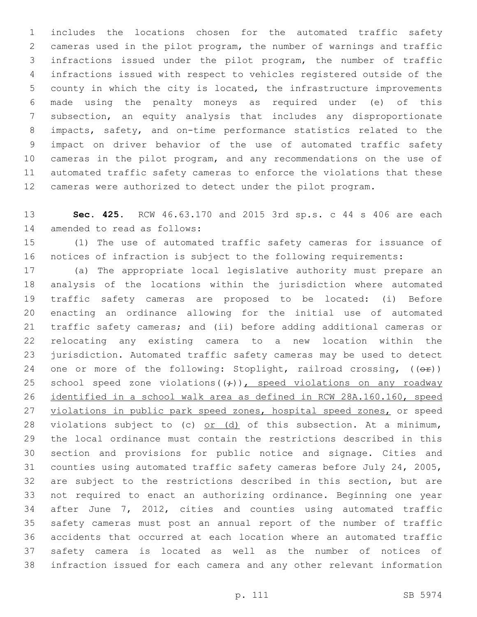includes the locations chosen for the automated traffic safety cameras used in the pilot program, the number of warnings and traffic infractions issued under the pilot program, the number of traffic infractions issued with respect to vehicles registered outside of the county in which the city is located, the infrastructure improvements made using the penalty moneys as required under (e) of this subsection, an equity analysis that includes any disproportionate impacts, safety, and on-time performance statistics related to the impact on driver behavior of the use of automated traffic safety cameras in the pilot program, and any recommendations on the use of automated traffic safety cameras to enforce the violations that these cameras were authorized to detect under the pilot program.

 **Sec. 425.** RCW 46.63.170 and 2015 3rd sp.s. c 44 s 406 are each 14 amended to read as follows:

 (1) The use of automated traffic safety cameras for issuance of notices of infraction is subject to the following requirements:

 (a) The appropriate local legislative authority must prepare an analysis of the locations within the jurisdiction where automated traffic safety cameras are proposed to be located: (i) Before enacting an ordinance allowing for the initial use of automated traffic safety cameras; and (ii) before adding additional cameras or relocating any existing camera to a new location within the jurisdiction. Automated traffic safety cameras may be used to detect 24 one or more of the following: Stoplight, railroad crossing,  $(\overrightarrow{CF})$ ) 25 school speed zone violations  $((\div))$ , speed violations on any roadway identified in a school walk area as defined in RCW 28A.160.160, speed 27 violations in public park speed zones, hospital speed zones, or speed 28 violations subject to (c)  $or$  (d) of this subsection. At a minimum, the local ordinance must contain the restrictions described in this section and provisions for public notice and signage. Cities and counties using automated traffic safety cameras before July 24, 2005, are subject to the restrictions described in this section, but are not required to enact an authorizing ordinance. Beginning one year after June 7, 2012, cities and counties using automated traffic safety cameras must post an annual report of the number of traffic accidents that occurred at each location where an automated traffic safety camera is located as well as the number of notices of infraction issued for each camera and any other relevant information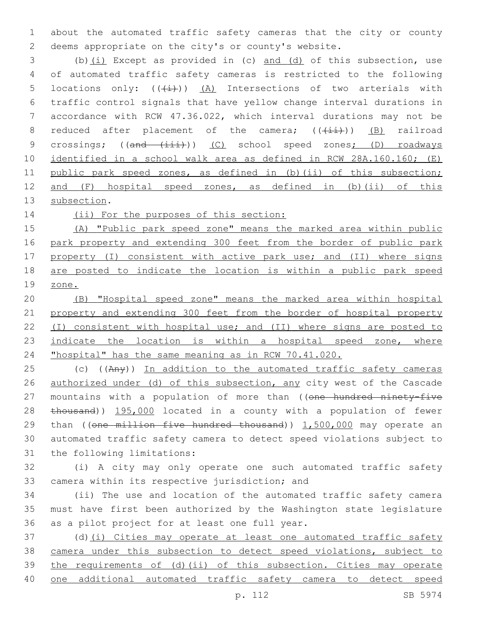about the automated traffic safety cameras that the city or county deems appropriate on the city's or county's website.

 (b)(i) Except as provided in (c) and (d) of this subsection, use of automated traffic safety cameras is restricted to the following 5 locations only:  $((\stackrel{\cdot}{(i)}))$   $(A)$  Intersections of two arterials with traffic control signals that have yellow change interval durations in accordance with RCW 47.36.022, which interval durations may not be 8 reduced after placement of the camera;  $((\overrightarrow{iii}))$  (B) railroad 9 crossings; ((and (iii))) (C) school speed zones; (D) roadways identified in a school walk area as defined in RCW 28A.160.160; (E) 11 public park speed zones, as defined in (b)(ii) of this subsection; and (F) hospital speed zones, as defined in (b)(ii) of this 13 subsection.

14 (ii) For the purposes of this section:

 (A) "Public park speed zone" means the marked area within public park property and extending 300 feet from the border of public park 17 property (I) consistent with active park use; and (II) where signs are posted to indicate the location is within a public park speed zone.

 (B) "Hospital speed zone" means the marked area within hospital property and extending 300 feet from the border of hospital property (I) consistent with hospital use; and (II) where signs are posted to 23 indicate the location is within a hospital speed zone, where "hospital" has the same meaning as in RCW 70.41.020.

25 (c) ((Any)) In addition to the automated traffic safety cameras authorized under (d) of this subsection, any city west of the Cascade 27 mountains with a population of more than ((one hundred ninety-five 28 thousand)) 195,000 located in a county with a population of fewer 29 than ((one million five hundred thousand)) 1,500,000 may operate an automated traffic safety camera to detect speed violations subject to 31 the following limitations:

 (i) A city may only operate one such automated traffic safety 33 camera within its respective jurisdiction; and

 (ii) The use and location of the automated traffic safety camera must have first been authorized by the Washington state legislature 36 as a pilot project for at least one full year.

 (d)(i) Cities may operate at least one automated traffic safety camera under this subsection to detect speed violations, subject to the requirements of (d)(ii) of this subsection. Cities may operate one additional automated traffic safety camera to detect speed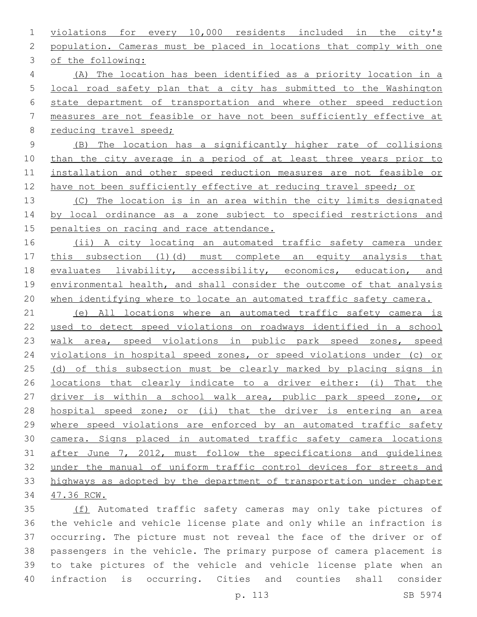violations for every 10,000 residents included in the city's population. Cameras must be placed in locations that comply with one 3 of the following: (A) The location has been identified as a priority location in a local road safety plan that a city has submitted to the Washington state department of transportation and where other speed reduction measures are not feasible or have not been sufficiently effective at 8 reducing travel speed; (B) The location has a significantly higher rate of collisions 10 than the city average in a period of at least three years prior to installation and other speed reduction measures are not feasible or 12 have not been sufficiently effective at reducing travel speed; or (C) The location is in an area within the city limits designated 14 by local ordinance as a zone subject to specified restrictions and 15 penalties on racing and race attendance. (ii) A city locating an automated traffic safety camera under this subsection (1)(d) must complete an equity analysis that evaluates livability, accessibility, economics, education, and environmental health, and shall consider the outcome of that analysis when identifying where to locate an automated traffic safety camera. (e) All locations where an automated traffic safety camera is used to detect speed violations on roadways identified in a school walk area, speed violations in public park speed zones, speed violations in hospital speed zones, or speed violations under (c) or 25 (d) of this subsection must be clearly marked by placing signs in locations that clearly indicate to a driver either: (i) That the driver is within a school walk area, public park speed zone, or hospital speed zone; or (ii) that the driver is entering an area where speed violations are enforced by an automated traffic safety camera. Signs placed in automated traffic safety camera locations after June 7, 2012, must follow the specifications and guidelines under the manual of uniform traffic control devices for streets and highways as adopted by the department of transportation under chapter 47.36 RCW. (f) Automated traffic safety cameras may only take pictures of the vehicle and vehicle license plate and only while an infraction is

 occurring. The picture must not reveal the face of the driver or of passengers in the vehicle. The primary purpose of camera placement is to take pictures of the vehicle and vehicle license plate when an infraction is occurring. Cities and counties shall consider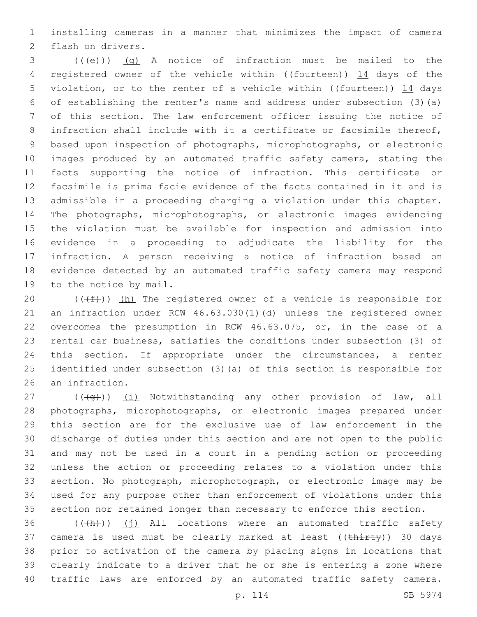installing cameras in a manner that minimizes the impact of camera 2 flash on drivers.

 (( $\left(\frac{1}{1}e\right)$ ) (q) A notice of infraction must be mailed to the 4 registered owner of the vehicle within ((fourteen)) 14 days of the 5 violation, or to the renter of a vehicle within ((fourteen)) 14 days of establishing the renter's name and address under subsection (3)(a) of this section. The law enforcement officer issuing the notice of infraction shall include with it a certificate or facsimile thereof, based upon inspection of photographs, microphotographs, or electronic images produced by an automated traffic safety camera, stating the facts supporting the notice of infraction. This certificate or facsimile is prima facie evidence of the facts contained in it and is admissible in a proceeding charging a violation under this chapter. The photographs, microphotographs, or electronic images evidencing the violation must be available for inspection and admission into evidence in a proceeding to adjudicate the liability for the infraction. A person receiving a notice of infraction based on evidence detected by an automated traffic safety camera may respond 19 to the notice by mail.

 $((\text{#}))$  (h) The registered owner of a vehicle is responsible for an infraction under RCW 46.63.030(1)(d) unless the registered owner overcomes the presumption in RCW 46.63.075, or, in the case of a rental car business, satisfies the conditions under subsection (3) of this section. If appropriate under the circumstances, a renter identified under subsection (3)(a) of this section is responsible for 26 an infraction.

 $((\overline{q}))(\overline{1})$  Notwithstanding any other provision of law, all photographs, microphotographs, or electronic images prepared under this section are for the exclusive use of law enforcement in the discharge of duties under this section and are not open to the public and may not be used in a court in a pending action or proceeding unless the action or proceeding relates to a violation under this section. No photograph, microphotograph, or electronic image may be used for any purpose other than enforcement of violations under this section nor retained longer than necessary to enforce this section.

36 (((+h)) (i) All locations where an automated traffic safety 37 camera is used must be clearly marked at least  $((\text{thirty}))$  30 days prior to activation of the camera by placing signs in locations that clearly indicate to a driver that he or she is entering a zone where traffic laws are enforced by an automated traffic safety camera.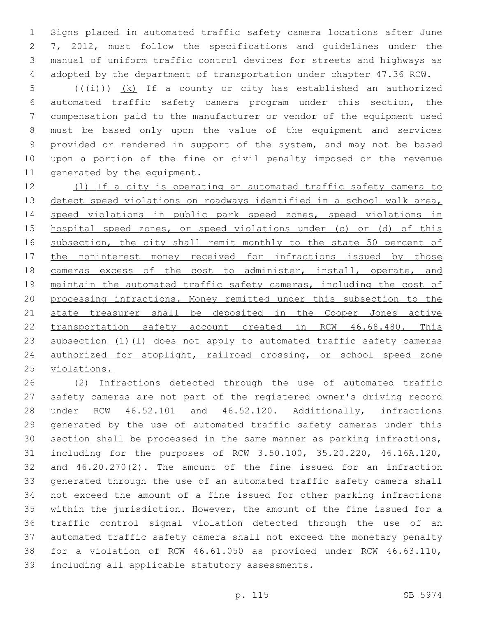Signs placed in automated traffic safety camera locations after June 7, 2012, must follow the specifications and guidelines under the manual of uniform traffic control devices for streets and highways as adopted by the department of transportation under chapter 47.36 RCW.

5 ( $(\frac{1}{1})$ )  $(k)$  If a county or city has established an authorized automated traffic safety camera program under this section, the compensation paid to the manufacturer or vendor of the equipment used must be based only upon the value of the equipment and services provided or rendered in support of the system, and may not be based upon a portion of the fine or civil penalty imposed or the revenue 11 generated by the equipment.

 (l) If a city is operating an automated traffic safety camera to detect speed violations on roadways identified in a school walk area, speed violations in public park speed zones, speed violations in hospital speed zones, or speed violations under (c) or (d) of this 16 subsection, the city shall remit monthly to the state 50 percent of 17 the noninterest money received for infractions issued by those 18 cameras excess of the cost to administer, install, operate, and maintain the automated traffic safety cameras, including the cost of processing infractions. Money remitted under this subsection to the 21 state treasurer shall be deposited in the Cooper Jones active transportation safety account created in RCW 46.68.480. This 23 subsection (1)(1) does not apply to automated traffic safety cameras authorized for stoplight, railroad crossing, or school speed zone violations.

 (2) Infractions detected through the use of automated traffic safety cameras are not part of the registered owner's driving record under RCW 46.52.101 and 46.52.120. Additionally, infractions generated by the use of automated traffic safety cameras under this section shall be processed in the same manner as parking infractions, including for the purposes of RCW 3.50.100, 35.20.220, 46.16A.120, and 46.20.270(2). The amount of the fine issued for an infraction generated through the use of an automated traffic safety camera shall not exceed the amount of a fine issued for other parking infractions within the jurisdiction. However, the amount of the fine issued for a traffic control signal violation detected through the use of an automated traffic safety camera shall not exceed the monetary penalty for a violation of RCW 46.61.050 as provided under RCW 46.63.110, 39 including all applicable statutory assessments.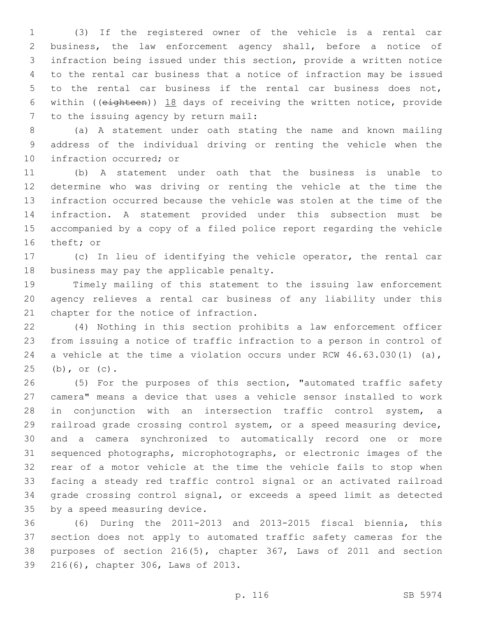(3) If the registered owner of the vehicle is a rental car business, the law enforcement agency shall, before a notice of infraction being issued under this section, provide a written notice to the rental car business that a notice of infraction may be issued to the rental car business if the rental car business does not, within ((eighteen)) 18 days of receiving the written notice, provide 7 to the issuing agency by return mail:

 (a) A statement under oath stating the name and known mailing address of the individual driving or renting the vehicle when the 10 infraction occurred; or

 (b) A statement under oath that the business is unable to determine who was driving or renting the vehicle at the time the infraction occurred because the vehicle was stolen at the time of the infraction. A statement provided under this subsection must be accompanied by a copy of a filed police report regarding the vehicle 16 theft; or

 (c) In lieu of identifying the vehicle operator, the rental car 18 business may pay the applicable penalty.

 Timely mailing of this statement to the issuing law enforcement agency relieves a rental car business of any liability under this 21 chapter for the notice of infraction.

 (4) Nothing in this section prohibits a law enforcement officer from issuing a notice of traffic infraction to a person in control of 24 a vehicle at the time a violation occurs under RCW 46.63.030(1) (a), 25 (b), or (c).

 (5) For the purposes of this section, "automated traffic safety camera" means a device that uses a vehicle sensor installed to work in conjunction with an intersection traffic control system, a railroad grade crossing control system, or a speed measuring device, and a camera synchronized to automatically record one or more sequenced photographs, microphotographs, or electronic images of the rear of a motor vehicle at the time the vehicle fails to stop when facing a steady red traffic control signal or an activated railroad grade crossing control signal, or exceeds a speed limit as detected 35 by a speed measuring device.

 (6) During the 2011-2013 and 2013-2015 fiscal biennia, this section does not apply to automated traffic safety cameras for the purposes of section 216(5), chapter 367, Laws of 2011 and section 39 216(6), chapter 306, Laws of 2013.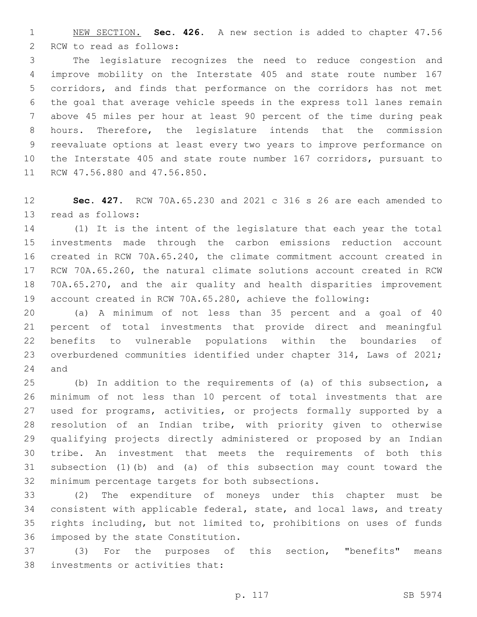NEW SECTION. **Sec. 426.** A new section is added to chapter 47.56 2 RCW to read as follows:

 The legislature recognizes the need to reduce congestion and improve mobility on the Interstate 405 and state route number 167 corridors, and finds that performance on the corridors has not met the goal that average vehicle speeds in the express toll lanes remain above 45 miles per hour at least 90 percent of the time during peak hours. Therefore, the legislature intends that the commission reevaluate options at least every two years to improve performance on the Interstate 405 and state route number 167 corridors, pursuant to 11 RCW 47.56.880 and 47.56.850.

 **Sec. 427.** RCW 70A.65.230 and 2021 c 316 s 26 are each amended to 13 read as follows:

 (1) It is the intent of the legislature that each year the total investments made through the carbon emissions reduction account created in RCW 70A.65.240, the climate commitment account created in RCW 70A.65.260, the natural climate solutions account created in RCW 70A.65.270, and the air quality and health disparities improvement account created in RCW 70A.65.280, achieve the following:

 (a) A minimum of not less than 35 percent and a goal of 40 percent of total investments that provide direct and meaningful benefits to vulnerable populations within the boundaries of overburdened communities identified under chapter 314, Laws of 2021; and

 (b) In addition to the requirements of (a) of this subsection, a minimum of not less than 10 percent of total investments that are used for programs, activities, or projects formally supported by a resolution of an Indian tribe, with priority given to otherwise qualifying projects directly administered or proposed by an Indian tribe. An investment that meets the requirements of both this subsection (1)(b) and (a) of this subsection may count toward the 32 minimum percentage targets for both subsections.

 (2) The expenditure of moneys under this chapter must be consistent with applicable federal, state, and local laws, and treaty rights including, but not limited to, prohibitions on uses of funds 36 imposed by the state Constitution.

 (3) For the purposes of this section, "benefits" means 38 investments or activities that: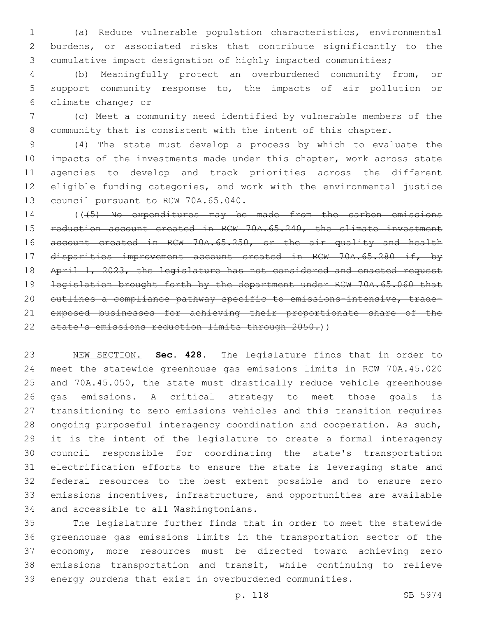(a) Reduce vulnerable population characteristics, environmental burdens, or associated risks that contribute significantly to the cumulative impact designation of highly impacted communities;

 (b) Meaningfully protect an overburdened community from, or support community response to, the impacts of air pollution or 6 climate change; or

 (c) Meet a community need identified by vulnerable members of the community that is consistent with the intent of this chapter.

 (4) The state must develop a process by which to evaluate the impacts of the investments made under this chapter, work across state agencies to develop and track priorities across the different eligible funding categories, and work with the environmental justice 13 council pursuant to RCW 70A.65.040.

14 ((45) No expenditures may be made from the carbon emissions reduction account created in RCW 70A.65.240, the climate investment account created in RCW 70A.65.250, or the air quality and health disparities improvement account created in RCW 70A.65.280 if, by 18 April 1, 2023, the legislature has not considered and enacted request legislation brought forth by the department under RCW 70A.65.060 that outlines a compliance pathway specific to emissions-intensive, trade- exposed businesses for achieving their proportionate share of the state's emissions reduction limits through 2050.))

 NEW SECTION. **Sec. 428.** The legislature finds that in order to meet the statewide greenhouse gas emissions limits in RCW 70A.45.020 and 70A.45.050, the state must drastically reduce vehicle greenhouse gas emissions. A critical strategy to meet those goals is transitioning to zero emissions vehicles and this transition requires ongoing purposeful interagency coordination and cooperation. As such, it is the intent of the legislature to create a formal interagency council responsible for coordinating the state's transportation electrification efforts to ensure the state is leveraging state and federal resources to the best extent possible and to ensure zero emissions incentives, infrastructure, and opportunities are available and accessible to all Washingtonians.

 The legislature further finds that in order to meet the statewide greenhouse gas emissions limits in the transportation sector of the economy, more resources must be directed toward achieving zero emissions transportation and transit, while continuing to relieve energy burdens that exist in overburdened communities.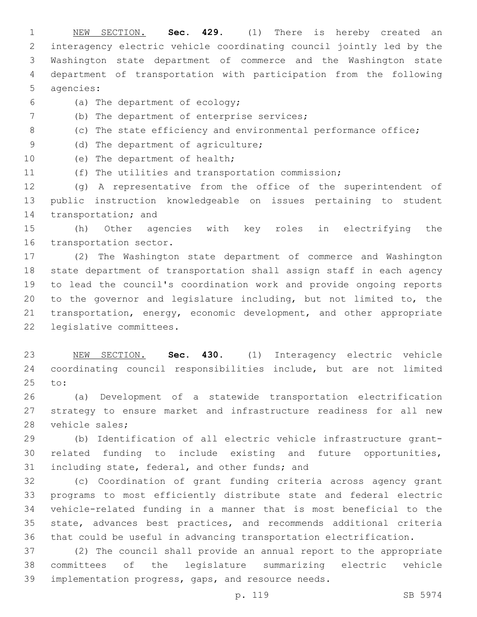NEW SECTION. **Sec. 429.** (1) There is hereby created an interagency electric vehicle coordinating council jointly led by the Washington state department of commerce and the Washington state department of transportation with participation from the following agencies:

- (a) The department of ecology;6
- (b) The department of enterprise services;
- (c) The state efficiency and environmental performance office;
- 9 (d) The department of agriculture;
- 10 (e) The department of health;
- (f) The utilities and transportation commission;

 (g) A representative from the office of the superintendent of public instruction knowledgeable on issues pertaining to student 14 transportation; and

 (h) Other agencies with key roles in electrifying the 16 transportation sector.

 (2) The Washington state department of commerce and Washington state department of transportation shall assign staff in each agency to lead the council's coordination work and provide ongoing reports to the governor and legislature including, but not limited to, the transportation, energy, economic development, and other appropriate 22 legislative committees.

 NEW SECTION. **Sec. 430.** (1) Interagency electric vehicle coordinating council responsibilities include, but are not limited to:

 (a) Development of a statewide transportation electrification strategy to ensure market and infrastructure readiness for all new 28 vehicle sales;

 (b) Identification of all electric vehicle infrastructure grant- related funding to include existing and future opportunities, 31 including state, federal, and other funds; and

 (c) Coordination of grant funding criteria across agency grant programs to most efficiently distribute state and federal electric vehicle-related funding in a manner that is most beneficial to the state, advances best practices, and recommends additional criteria that could be useful in advancing transportation electrification.

 (2) The council shall provide an annual report to the appropriate committees of the legislature summarizing electric vehicle implementation progress, gaps, and resource needs.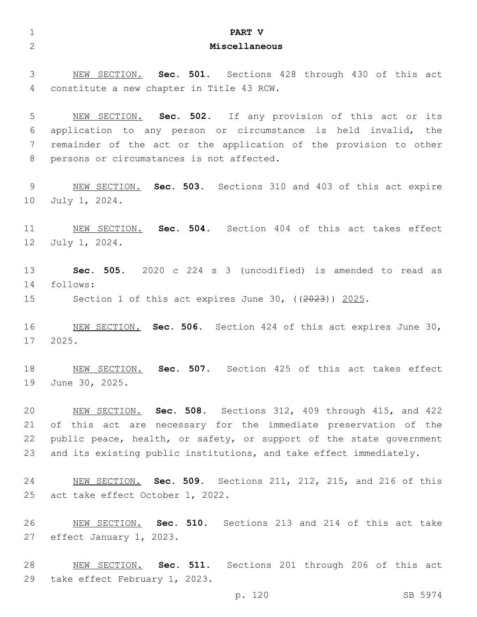| $\mathbf{1}$    | PART V                                                                                                         |
|-----------------|----------------------------------------------------------------------------------------------------------------|
| $\overline{2}$  | Miscellaneous                                                                                                  |
|                 |                                                                                                                |
| 3               | NEW SECTION. Sec. 501. Sections 428 through 430 of this act                                                    |
| 4               | constitute a new chapter in Title 43 RCW.                                                                      |
|                 |                                                                                                                |
| 5               | NEW SECTION. Sec. 502. If any provision of this act or its                                                     |
| 6<br>7          | application to any person or circumstance is held invalid, the                                                 |
| 8               | remainder of the act or the application of the provision to other<br>persons or circumstances is not affected. |
|                 |                                                                                                                |
| 9               | NEW SECTION. Sec. 503. Sections 310 and 403 of this act expire                                                 |
| 10              | July 1, 2024.                                                                                                  |
|                 |                                                                                                                |
| 11              | NEW SECTION. Sec. 504. Section 404 of this act takes effect                                                    |
| 12 <sup>°</sup> | July 1, 2024.                                                                                                  |
|                 |                                                                                                                |
| 13              | Sec. 505. 2020 c 224 s 3 (uncodified) is amended to read as                                                    |
| 14              | follows:                                                                                                       |
| 15              | Section 1 of this act expires June 30, $((2023))$ 2025.                                                        |
| 16              | NEW SECTION. Sec. 506. Section 424 of this act expires June 30,                                                |
| 17              | 2025.                                                                                                          |
|                 |                                                                                                                |
| 18              | Sec. 507. Section 425 of this act takes effect<br>NEW SECTION.                                                 |
| 19              | June 30, 2025.                                                                                                 |
|                 |                                                                                                                |
| 20              | NEW SECTION. Sec. 508. Sections 312, 409 through 415, and 422                                                  |
| 21              | of this act are necessary for the immediate preservation of the                                                |
| 22              | public peace, health, or safety, or support of the state government                                            |
| 23              | and its existing public institutions, and take effect immediately.                                             |
| 24              | NEW SECTION. Sec. 509. Sections 211, 212, 215, and 216 of this                                                 |
| 25              | act take effect October 1, 2022.                                                                               |
|                 |                                                                                                                |
| 26              | NEW SECTION. Sec. 510. Sections 213 and 214 of this act take                                                   |
| 27              | effect January 1, 2023.                                                                                        |
|                 |                                                                                                                |
| 28              | NEW SECTION. Sec. 511. Sections 201 through 206 of this act                                                    |
| 29              | take effect February 1, 2023.                                                                                  |
|                 | p. 120<br>SB 5974                                                                                              |